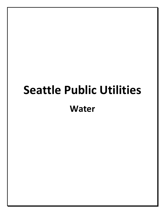# **Seattle Public Utilities Water**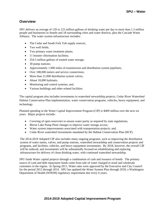# **Overview**

SPU delivers an average of 120 to 125 million gallons of drinking water per day to more than 1.3 million people and businesses in Seattle and 18 surrounding cities and water districts, plus the Cascade Water Alliance. The water system infrastructure includes:

- The Cedar and South Fork Tolt supply sources;
- Two well fields;
- Two primary water treatment plants;
- 11 booster chlorination facilities;
- 354.5 million gallons of treated water storage;
- 30 pump stations;
- Approximately 1,900 miles of transmission and distribution system pipelines;
- Over 188,000 meters and service connections;
- More than 21,000 distribution system valves;
- About 18,000 hydrants;
- Monitoring and control systems; and,
- Various buildings and other related facilities.

The capital program also includes investments in watershed stewardship projects, Cedar River Watershed Habitat Conservation Plan implementation, water conservation programs, vehicles, heavy equipment, and technology.

Planned spending in the Water Capital Improvement Program (CIP) is \$409 million over the next six years. Major projects include:

- Covering of open reservoirs to ensure water purity as required by state regulations;
- Morse Lake Pump Plant changes to improve water storage access;
- Water system improvements associated with transportation projects; and,
- Cedar River watershed investments mandated by the Habitat Conservation Plan (HCP).

The 2014-2019 Adopted CIP also includes many ongoing programs, such as improving the distribution system of water mains, valves, and pump stations, watershed stewardship and conservation projects and programs, and facilities, vehicles, and heavy equipment investments. By 2018, however, the overall CIP will be reduced, and investments will be substantially focused on rehabilitating and replacing infrastructure for delivery of clean drinking water, with continued watershed stewardship.

SPU funds Water capital projects through a combination of cash and issuance of bonds. The primary source of cash and debt repayment funds come from sale of water charged to retail and wholesale customers in the region. In Spring 2011, Water rates were approved by the Executive and City Council for the period 2012 through 2014. SPU has updated the Water System Plan through 2018, a Washington Department of Health (WDOH) regulatory requirement due every 6 years.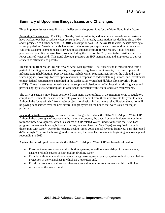# **Summary of Upcoming Budget Issues and Challenges**

Three important issues create financial challenges and opportunities for the Water Fund in the future.

Promoting Conservation: The City of Seattle, Seattle residents, and Seattle's wholesale water partners have worked together to reduce water consumption. As a result, consumption has declined since 1990 and is projected to further decline. In 2010, consumption was 33% below 1990 levels, despite serving a larger population. Seattle currently has some of the lowest per capita water consumption in the nation. While this accomplishment helps contribute to a sustainable future for the region, it puts financial pressure on the utility because fixed costs, including the costs of the CIP, need to be distributed across fewer units of water sold. This trend also puts pressure on SPU management and employees to deliver services as efficiently as possible.

Transitioning from Major Projects toward Asset Management: The Water Fund is transitioning from a period of building large capital projects, in response to regulatory requirements, to a time of physical infrastructure rehabilitation. Past investments include water treatment facilities for the Tolt and Cedar water supplies, coverings for five open reservoirs in response to federal/state regulations, and investments to meet federal requirements embodied in the Cedar River Watershed Habitat Conservation Plan (HCP). These investments helped secure the supply and distribution of high-quality drinking water and provide appropriate stewardship of the watersheds consistent with federal and state requirements.

The City of Seattle is now better positioned than many water utilities in the nation in terms of regulatory compliance. Residents, businesses and rate payers will benefit from these investments for years to come. Although the focus will shift from major projects to physical infrastructure rehabilitation, the utility will be paying debt service over the next several budget cycles on the bonds that were issued for major projects.

Responding to the Economy: Recent economic changes help shape the 2014-2019 Adopted Water CIP. Although there are signs of recovery in the national economy, the overall economic downturn continues to impact new development, which is a source of CIP-related Water Fund revenue via the New Taps program. When new housing is brought on line, new services (i.e. New Taps) are required to supply those units with water. Due to the housing decline, since 2008, annual revenue from New Taps decreased 42% through 2012. As the housing market improves, the New Taps revenue is beginning to show signs of rebounding in 2013.

Against the backdrop of these trends, the 2014-2019 Adopted Water CIP has been developed to:

- Preserve the transmission and distribution systems, as well as stewardship of the watersheds, to ensure a reliable source of high-quality drinking water;
- Comply with federal and state regulations governing water quality, system reliability, and habitat protection in the watersheds in which SPU operates; and,
- Prioritize projects to deliver on infrastructure and regulatory requirements within the limited resources of the Water Fund.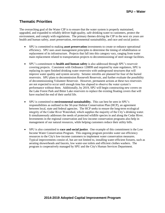# **Thematic Priorities**

The overarching goal of the Water CIP is to ensure that the water system is properly maintained, upgraded, and expanded to reliably deliver high-quality, safe drinking water to customers, protect the environment, and comply with regulations. The primary themes driving the CIP in the next six years are health and human safety, asset preservation, environmental sustainability, and race and social justice.

- SPU is committed to making **asset preservation** investments to create or enhance operational efficiency. SPU uses asset management principles to determine the timing of rehabilitation or replacement of its infrastructure. Projects that fall into this category vary, ranging from water main replacement related to transportation projects to decommissioning of steel storage facilities.
- SPU's commitment to **health and human safety** is also addressed through SPU's reservoir covering projects. Consistent with Ordinance 120899 and required by state regulators, SPU is replacing its open finished drinking water reservoirs with underground structures that will improve water quality and system security. Seismic retrofits are planned for four of the buried reservoirs. SPU plans to decommission Roosevelt Reservoir, and further evaluate the possibility of decommissioning Volunteer Reservoir. However, permanent actions at these two reservoirs are not expected to occur until enough time has elapsed to observe the water system's performance without them. Additionally, by 2019, SPU will begin constructing new covers on the Lake Forest Park and Bitter Lake reservoirs to replace the existing floating covers that will have reached the end of their useful life.
- SPU is committed to **environmental sustainability.** This can best be seen in SPU's responsibilities as outlined in the 50-year Habitat Conservation Plan (HCP), an agreement between local, state and federal agencies. The HCP seeks to ensure the long-term ecological integrity of the Cedar River Watershed, which supplies the majority of the City's drinking water. It simultaneously addresses the needs of protected wildlife species in and along the Cedar River. Investments in the regional conservation and low-income conservation programs also help in management of our natural resources, while helping customers reduce their utility bills.
- SPU is also committed to **race and social justice**. One example of this commitment is the Low Income Water Conservation Program. This ongoing program provides water use efficiency resources to the City's low-income customers to implement water conservation measures. Typical improvements consist of, but are not limited to, installing water-efficient fixtures, such as aerating showerheads and faucets, low water-use toilets and efficient clothes washers. The program is cooperatively managed by SPU and the City's Human Services Department.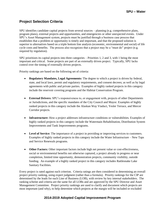# **Project Selection Criteria**

SPU identifies candidate capital projects from several sources – planning (e.g. comprehensive plans, program plans), external projects and opportunities, and emergencies or other unexpected events. Under SPU's Asset Management system, projects must be justified through a business case process that establishes that a problem or opportunity is timely and important, and that the proposed solution is superior to alternatives based on a triple bottom line analysis (economic, environmental and social) of life cycle costs and benefits. The process also recognizes that a project may be a "must do" project (e.g. required by regulation).

SPU prioritizes its capital projects into three categories – Priorities 1, 2 and 3, with 1 being the most important and critical. Some projects are part of an externally driven project. Typically, SPU lacks control over the timing of externally driven projects.

Priority rankings are based on the following set of criteria:

- **Regulatory Mandates, Legal Agreements:** The degree to which a project is driven by federal, state, and local laws, permit and regulatory requirements, and consent decrees; as well as by legal agreements with public and private parties. Examples of highly ranked projects in this category include the reservoir covering programs and the Habitat Conservation Program.
- **External Drivers:** SPU's responsiveness to, or engagement with, projects of other Departments or Jurisdictions, and the specific mandates of the City Council and Mayor. Examples of highly ranked projects in this category include the Alaskan Way Viaduct, Yesler Terrace, and Mercer Corridor projects.
- Infrastructure: How a project addresses infrastructure conditions or vulnerabilities. Examples of highly ranked projects in this category include the Watermain Rehabilitation, Distribution System Improvements and Tank Improvements programs.
- **Level of Service:** The importance of a project in providing or improving services to customers. Examples of highly ranked projects in this category include the Water Infrastructure – New Taps and Service Renewals programs.
- Other Factors: Other important factors include high net present value or cost-effectiveness, social or environmental benefits not otherwise captured, a project already in progress or near completion, limited time opportunity, demonstration projects, community visibility, outside funding. An example of a highly ranked project in this category includes Rattlesnake Lake Sanitary Facilities.

Every project is rated against each criterion. Criteria ratings are then considered in determining an overall project priority ranking, using expert judgment (rather than a formula). Priority rankings for the CIP are determined by the leads for each Line of Business (LOB), with review by key internal stakeholders. The ranking scheme and criteria are the same for all LOBs and are approved by the SPU Director and Asset Management Committee. Project priority rankings are used to clarify and document which projects are most important (and why), to help determine which projects at the margin will be included or excluded

#### **2014-2019 Adopted Capital Improvement Program**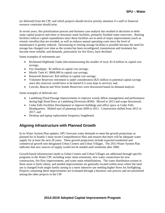(or deferred) from the CIP, and which projects should receive priority attention if a staff or financial resource constraint should arise.

In recent years, this prioritization process and business case analysis has resulted in decisions to defer some capital projects and retire or downsize some facilities, primarily finished water reservoirs. Retiring facilities reduces capital expenditures since these facilities are in need of major improvements (such as seismic retrofits) that are avoided, as well as reduces annual operating costs since the level of maintenance is greatly reduced. Downsizing or retiring storage facilities is possible because the need for storage has changed over time as the system has been reconfigured, transmission and treatment has become more reliable, and demands, particularly for fire flows, have declined.

Some examples of retirements are:

- Richmond Highlands Tanks (decommissioning the smaller of two): \$1.8 million in capital cost savings;
- Foy Standpipe: \$2 million in capital cost savings;
- Myrtle Tank #1: \$900,000 in capital cost savings;
- Roosevelt Reservoir: \$24 million in capital cost savings;
- Volunteer Reservoir retirement is under consideration (\$25 million in potential capital savings since this reservoir would have to be buried if it were kept in service); and,
- Lincoln, Beacon and West Seattle Reservoirs were downsized based on demand analysis.

Some examples of deferrals are:

- Landsburg Flood Passage Improvements to improve woody debris management and performance during high flood flows at Landsburg Diversion (\$5M): Moved to 2013 and scope downsized;
- Cedar Falls Facilities Development to improve buildings and office space at Cedar Falls Headquarters: Shifted start of planning from 2009 to 2011. Construction shifted from 2012 to 2017; and
- Desktop and laptop replacement frequency lengthened.

# **Aligning Infrastructure with Planned Growth**

In its Water System Plan updates, SPU forecasts water demands to meet the growth projections as planned for in Seattle's most recent Comprehensive Plan and ensures that there will be adequate water supply for at least the next 20 years. These growth projections include expected residential and commercial growth into designated Urban Centers and Urban Villages. The 2013 Water System Plan indicates that new sources of supply would not be needed until sometime after 2060.

Growth-based infrastructure needs in Urban Centers and Urban Villages are addressed through specific programs in the Water CIP, including water main extensions, new water connections for new construction, fire flow improvements, and water main rehabilitations. The water distribution system in these areas is fairly robust, and needed improvements are generally located within areas where the land use is changed from single family zoning to a more intensive use needing higher flows for firefighting. Projects containing these improvements are evaluated through a business case process and are prioritized among the other projects in the CIP.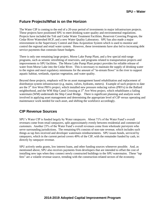# **Future Projects/What is on the Horizon**

The Water CIP is coming to the end of a 20-year period of investments in major infrastructure projects. These projects have positioned SPU to meet drinking water quality and environmental regulations. Projects have included the Tolt and Cedar Water Treatment Facilities, Reservoir Covering Program, the Cedar River Watershed HCP, and a new Water Quality Laboratory. SPU has also made a major reinvestment in the Supervisory Control and Data Acquisition System which is used to monitor and control the regional and retail water system. However, these investments have also led to increasing debt service payments that constrain future budgets.

There is only one remaining large project, Morse Lake Pump Plant, and a few special mid-range programs, such as seismic retrofitting of reservoirs, and programs related to transportation projects and improvements to SPU facilities. The Morse Lake Pump Plant project provides for reliable release of water from Morse Lake into the Cedar River. This is necessary to maintain the supply of drinking water to the region and meet regulatory minimums for the amount of "in-stream flows" in the river to support aquatic habitat, wetlands, riparian vegetation, and water quality.

Beyond these projects, emphasis will be on asset management based rehabilitation and replacement of distribution system infrastructure (e.g. mains, valves, hydrants, meters). Example of such projects to date are the 3<sup>rd</sup> Ave West PRVs project, which installed new pressure reducing valves (PRVs) in the Ballard neighborhood, and the WM Ship Canal Crossing at  $3<sup>rd</sup>$  Ave West project, which rehabilitates a failing watermain (WM) underneath the Ship Canal Bridge. There is significant planning and analysis work involved in applying asset management and determining the appropriate level of CIP versus operating and maintenance work needed for each asset, and shifting the workforce accordingly.

# **CIP Revenue Sources**

SPU's Water CIP is funded largely by Water ratepayers. About 71% of the Water Fund's overall revenues come from retail ratepayers, split approximately evenly between residential and commercial customers. Another 23% of the Water Fund's overall revenues come from wholesale purveyors who serve surrounding jurisdictions. The remaining 6% consists of non-rate revenue, which includes such things as tap fees received and developer watermain reimbursements. SPU issues bonds, serviced by ratepayers, which in the current period covers 49% of the CIP, with the remainder funded by cash, ie: directly by ratepayer revenue.

SPU actively seeks grants, low interest loans, and other funding sources whenever possible. And, as mentioned above, SPU also receives payments from developers that are intended to offset the cost of installing new taps when they connect newly constructed buildings to the SPU watermains. These "tap fees" are a volatile revenue source, trending with the construction-related sectors of the economy.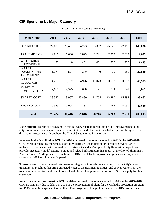# **CIP Spending by Major Category**

| <b>Water Fund</b>                                      | 2014   | 2015   | 2016   | 2017   | 2018   | 2019   | <b>Total</b> |
|--------------------------------------------------------|--------|--------|--------|--------|--------|--------|--------------|
| <b>DISTRIBUTION</b>                                    | 22,600 | 21,451 | 24,773 | 23,307 | 25,728 | 27,180 | 145,038      |
| <b>TRANSMISSION</b>                                    | 2,916  | 5,636  | 2,823  | 2,721  | 2,773  | 2,827  | 19,695       |
| <b>WATERSHED</b><br><b>STEWARDSHIP</b>                 | 27     | 6      | 451    | 451    | 250    | 250    | 1,435        |
| <b>WATER</b><br><b>QUALITY AND</b><br><b>TREATMENT</b> | 11,279 | 9,821  | 249    | 100    | 100    | 1,280  | 22,830       |
| <b>WATER</b><br><b>RESOURCES</b>                       | 4,215  | 13,167 | 24,976 | 11,073 | 3,953  | 3,612  | 60,995       |
| <b>HABITAT</b><br><b>CONSERVATION</b>                  | 2,610  | 2,375  | 2,680  | 2,121  | 1,934  | 1,941  | 13,661       |
| <b>SHARED COST</b>                                     | 23,387 | 18,957 | 15,880 | 11,764 | 13,280 | 15,393 | 98,662       |
| <b>TECHNOLOGY</b>                                      | 9,389  | 10,004 | 7,783  | 7,178  | 7,185  | 5,090  | 46,630       |
| <b>Total</b>                                           | 76,424 | 81,416 | 79,616 | 58,716 | 55,203 | 57,571 | 409,045      |

(In '000s; total may not sum due to rounding)

**Distribution:** Projects and programs in this category relate to rehabilitation and improvements to the City's water mains and appurtenances, pump stations, and other facilities that are part of the system that distributes treated water throughout the City of Seattle to retail customers.

Increases in the **Distribution BCL** for 2014, compared to amounts adopted in 2013 in the 2013-2018 CIP, reflect accelerating the schedule of the Watermain Rehabilitation project near Seward Park to replace corroded watermains located in corrosive soils and a Multiple Utility Relocation project that provides necessary modifications to pipes and related infrastructure in support of the City of Shoreline's Aurora Avenue North project. Reductions in 2015 reflect Tank Improvement projects starting in 2016 rather than 2015 as initially anticipated.

**Transmission:** The purpose of this program category is to rehabilitate and improve the City's large transmission pipelines that bring untreated water to the treatment facilities, and convey water from the treatment facilities to Seattle and to other local utilities that purchase a portion of SPU's supply for their customers.

Reductions in the **Transmission BCL** in 2014 compared to amounts adopted in 2013 in the 2013-2018 CIP, are primarily due to delays in 2013 of the presentation of plans for the Cathodic Protection program to SPU's Asset Management Committee. This program will begin to accelerate in 2015. An increase in

#### **2014-2019 Adopted Capital Improvement Program**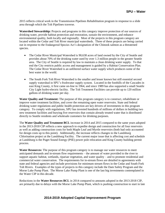2015 reflects critical work in the Transmission Pipelines Rehabilitation program in response to a slide area through which the Tolt Pipelines traverse.

**Watershed Stewardship:** Projects and programs in this category improve protection of our sources of drinking water, provide habitat protection and restoration, sustain the environment, and enhance environmental quality, both locally and regionally. Most of the projects in this program category are located within the Cedar and Tolt River municipal watersheds. Three of these projects are being carried out in response to the Endangered Species Act's designation of the Chinook salmon as a threatened species.

- The Cedar River Municipal Watershed is 90,638 acres of land owned by the City of Seattle and provides about 70% of the drinking water used by over 1.3 million people in the greater Seattle area. The City of Seattle is required by law to maintain a clean drinking water supply. To that end the City restricts public access and management is guided by a Habitat Conservation Plan. The Cedar River Watershed is an unfiltered surface water supply which produces some of the best water in the world.
- The South Fork Tolt River Watershed is the smaller and lesser known but still essential second supply watershed in SPU's freshwater supply system. Located in the foothills of the Cascades in east King County, it first came on-line in 1964, and since 1989 has also supported a small Seattle City Light hydro-electric facility. The Tolt Treatment Facilities can provide up to 120 million gallons of drinking water per day.

**Water Quality and Treatment:** The purpose of this program category is to construct, rehabilitate or improve water treatment facilities, and cover the remaining open water reservoirs. State and federal drinking water regulations and public health protection are key drivers of investments in this program category. To comply with regulations, SPU has invested hundreds of millions of dollars in building two new treatment facilities and burying five reservoirs that contain already treated water that is distributed directly to Seattle residents and wholesale customers for drinking purposes.

The **Water Quality and Treatment BCL** increase in 2014 and 2015 compared to the same years adopted in the 2013-2018 CIP reflects a new approach to expedite design and construction for all four reservoirs as well as adding construction costs for both Maple Leaf and Myrtle reservoirs (both had only accounted for design costs up to this point). Additionally, the increase reflects changes to the Landsburg Chlorination project at the Landsburg Facility. The current major issue that is affecting cost and schedule at Landsburg is the Puget Sound Energy (PSE) power pole relocation and King County building permit process.

**Water Resources:** The purpose of this program category is to manage our water resources to meet anticipated demands and in-stream flow requirements – the amount of water provided to the river to support aquatic habitat, wetlands, riparian vegetation, and water quality – and to promote residential and commercial water conservation. The requirements for in-stream flows are detailed in agreements with state and federal agencies and include provisions for minimum stream flows in the Cedar and South Fork Tolt Rivers. Examples of the types of projects in this category include the Dam Safety Program and the Morse Lake Pump Plant. The Morse Lake Pump Plant is one of the last big investments contemplated in the Water CIP in this decade.

Reductions in the **Water Resources BCL** in 2014 compared to amounts adopted in the 2013-2018 CIP, are primarily due to delays with the Morse Lake Pump Plant, which is pushing construction to start in late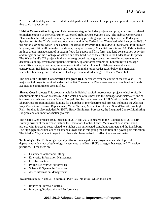2015. Schedule delays are due to additional departmental reviews of the project and permit requirements that could impact design.

**Habitat Conservation Program:** This program category includes projects and programs directly related to implementation of the Cedar River Watershed Habitat Conservation Plan. The Habitat Conservation Plan benefits the utility and the ratepayers it serves by providing legal certainty under the Endangered Species Act for the City's continued operations within the Cedar River Watershed, which supplies 70% of the region's drinking water. The Habitat Conservation Program requires SPU to invest \$100 million over 50 years, with \$60 million in the first decade, on approximately 30 capital projects and 60 O&M activities in three areas: management of in-stream flows for people and fish, forest and land conservation activities, and mitigation for the blockage of salmon and steelhead fish as they return to the Cedar River to spawn. The Water Fund's CIP projects in this area are grouped into eight categories: road improvements and decommissioning, stream and riparian restoration, upland forest restoration, Landsburg fish passage, Cedar River sockeye hatchery, improvements to the Ballard Locks for fish passage and water conservation, fish habitat protection and restoration in the lower Cedar River below the municipal watershed boundary, and evaluation of Cedar permanent dead storage in Chester Morse Lake.

The size of the **Habitat Conservation Program BCL** decreases over the course of the six-year CIP as major capital projects required under the Habitat Conservation Plan agreement are completed and landacquisition commitments are satisfied.

**Shared Cost Projects:** This program includes individual capital improvement projects which typically benefit multiple lines of business (e.g. the water line of business and the drainage and wastewater line of business) and whose costs are "shared," or paid for, by more than one of SPU's utility funds. In 2014, the Shared Cost program includes funding for a number of interdepartmental projects including the Alaskan Way Viaduct and Seawall Replacement, Yesler Terrace, Mercer Corridor and Sound Transit Link Light Rail. Funding is also included for SPU's Heavy Equipment Purchases, the Integrated Control Monitoring Program and a number of smaller projects.

The Shared Cost Projects BCL increases in 2014 and 2015 compared to the Adopted 2013-2018 CIP. Primary drivers of the increase include the Operations Control Center Main Warehouse Ventilation project, with increased costs related to a higher than anticipated consultant contract; and the Landsburg Facility Upgrades which added an antenna tower and is mitigating the addition of a power pole relocation. The Alaskan Way Viaduct project costs have also been revised to reflect the latest estimates.

**Technology:** The Technology capital portfolio is managed in six program areas, which provide a department-wide view of technology investments to address SPU's strategic, business, and City-wide priorities. These areas are:

- Customer Contact and Billing
- Enterprise Information Management
- IT Infrastructure
- Project Delivery & Performance
- Science & System Performance
- Asset Information Management

Investments in 2014 and 2015 address SPU's key initiatives, which focus on:

- Improving Internal Controls,
- Improving Productivity and Performance

#### **2014-2019 Adopted Capital Improvement Program**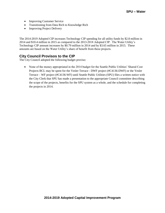- Improving Customer Service
- Transitioning from Data Rich to Knowledge Rich
- Improving Project Delivery

The 2014-2019 Adopted CIP increases Technology CIP spending for all utility funds by \$2.8 million in 2014 and \$10.4 million in 2015 as compared to the 2013-2018 Adopted CIP. The Water Utility's Technology CIP amount increases by \$0.79 million in 2014 and by \$3.65 million in 2015. These amounts are based on the Water Utility's share of benefit from these projects.

# **City Council Provisos to the CIP**

The City Council adopted the following budget proviso:

• None of the money appropriated in the 2014 budget for the Seattle Public Utilities' Shared Cost Projects BCL may be spent for the Yesler Terrace - DWF project (#C4136-DWF) or the Yesler Terrace – WF project (#C4136-WF) until Seattle Public Utilities (SPU) files a written notice with the City Clerk that SPU has made a presentation to the appropriate Council committee describing the scope of the projects, benefits for the SPU system as a whole, and the schedule for completing the projects in 2014.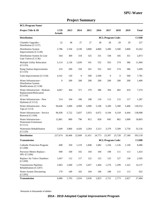| <b>BCL/Program Name/</b>                                               |                              |        |              |        |        |                               |                  |        |              |
|------------------------------------------------------------------------|------------------------------|--------|--------------|--------|--------|-------------------------------|------------------|--------|--------------|
| Project Title & ID                                                     | <b>LTD</b><br><b>Actuals</b> | 2013   | 2014         | 2015   | 2016   | 2017                          | 2018             | 2019   | <b>Total</b> |
| <b>Distribution</b>                                                    |                              |        |              |        |        | <b>BCL/Program Code:</b>      |                  |        | <b>C110B</b> |
| Chamber Upgrades -<br>Distribution (C1137)                             | 22                           | 38     | 27           | 27     | 28     | 28                            | 29               | 29     | 227          |
| Distribution System<br>Improvements (C1128)                            | 2,786                        | 1,556  | 3,530        | 3,800  | 4,800  | 5,490                         | 5,500            | 5,800  | 33,262       |
| Distribution System In-Line<br>Gate Valves (C1136)                     | 564                          | 300    | 318          | 325    | 331    | 338                           | 345              | 351    | 2,873        |
| Multiple Utility Relocation<br>(C1133)                                 | 5,114                        | 2,136  | 1,839        | 541    | 552    | 563                           | 574              | 586    | 11,904       |
| <b>Pump Station Improvements</b><br>(C1135)                            | 233                          | 200    | 250          | 541    | 552    | 563                           | 574              | 586    | 3,499        |
| Tank Improvements (C1134)                                              | 4,161                        | 120    | $\mathbf{0}$ | 500    | 2,500  | $\mathbf{0}$                  | $\boldsymbol{0}$ | 500    | 7,781        |
| Water Infrastructure -<br>Distribution System<br>Modifications (C1138) | $\boldsymbol{0}$             | 200    | 200          | 200    | 200    | 200                           | 200              | 200    | 1,400        |
| Water Infrastructure - Hydrant<br>Replacement/Relocation<br>(C1110)    | 4,667                        | 364    | 371          | 379    | 386    | 394                           | 402              | 410    | 7,374        |
| Water Infrastructure - New<br>Hydrants (C1112)                         | 514                          | 104    | 106          | 108    | 110    | 113                           | 115              | 117    | 1,287        |
| Water Infrastructure - New<br>Taps (C1113)                             | 94,646                       | 5,000  | 4,900        | 5,000  | 5,100  | 5,200                         | 5,300            | 5,406  | 130,552      |
| Water Infrastructure - Service<br>Renewal (C1109)                      | 96,458                       | 5,722  | 5,837        | 5,953  | 6,072  | 6,194                         | 6,318            | 6,444  | 138,998      |
| Water Infrastructure -<br>Watermain Extensions<br>(C1111)              | 12,861                       | 800    | 796          | 812    | 828    | 845                           | 862              | 1,000  | 18,803       |
| Watermain Rehabilitation<br>(C1129)                                    | 5,649                        | 3,866  | 4,426        | 3,264  | 3,313  | 3,379                         | 5,509            | 5,750  | 35,156       |
| <b>Distribution</b>                                                    | 227,674                      | 20,406 | 22,600       | 21,451 | 24,773 | 23,307                        | 25,728           | 27,180 | 393,118      |
| Transmission                                                           |                              |        |              |        |        | <b>BCL/Program Code:</b>      |                  |        | <b>C120B</b> |
| <b>Cathodic Protection Program</b><br>(C1208)                          | 608                          | 350    |              |        |        | 1,219 1,848 1,082 1,104 1,126 |                  | 1,149  | 8,486        |
| Purveyor Meters Replace -<br>SPU (C1206)                               | 690                          | 100    | 102          | 104    | 106    | 108                           | 111              | 113    | 1,433        |
| Replace Air Valve Chambers<br>(C1209)                                  | 1,647                        | 112    | 117          | 122    | 125    | 125                           | 127              | 130    | 2,505        |
| <b>Transmission Pipelines</b><br>Rehabilitation (C1207)                | 2,963                        | 1,040  | 1,376        | 3,457  | 1,404  | 1,276                         | 1,299            | 1,322  | 14,137       |
| Water System Dewatering<br>(C1205)                                     | 179                          | 100    | 102          | 104    | 106    | 108                           | 111              | 113    | 922          |
| Transmission                                                           | 6,086                        | 1,703  | 2,916        | 5,636  | 2,823  | 2,721                         | 2,773            | 2,827  | 27,484       |

# **Project Summary**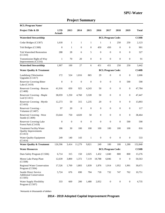| <b>BCL/Program Name/</b>                                                   |                              |                  |                  |                  |                  |                          |                  |                  |              |
|----------------------------------------------------------------------------|------------------------------|------------------|------------------|------------------|------------------|--------------------------|------------------|------------------|--------------|
| Project Title & ID                                                         | <b>LTD</b><br><b>Actuals</b> | 2013             | 2014             | 2015             | 2016             | 2017                     | 2018             | 2019             | <b>Total</b> |
| <b>Watershed Stewardship</b>                                               |                              |                  |                  |                  |                  | <b>BCL/Program Code:</b> |                  |                  | <b>C130B</b> |
| Cedar Bridges (C1307)                                                      | 1,618                        | $\mathbf{1}$     | $\mathbf{1}$     | 1                | 1                | 1                        | 250              | 250              | 2,123        |
| Tolt Bridges (C1308)                                                       | $\boldsymbol{0}$             | $\mathbf{1}$     | $\mathbf{0}$     | 0                | 450              | 450                      | $\boldsymbol{0}$ | $\mathbf{0}$     | 901          |
| <b>Tolt Watershed Restoration</b><br>(C1310)                               | 288                          | 28               | 6                | 5                | $\overline{0}$   | $\overline{0}$           | $\mathbf{0}$     | $\overline{0}$   | 327          |
| <b>Transmission Right-of-Way</b><br>Improvements (C1316)                   | 1                            | 70               | 20               | 0                | $\boldsymbol{0}$ | $\mathbf{0}$             | $\boldsymbol{0}$ | $\boldsymbol{0}$ | 91           |
| <b>Watershed Stewardship</b>                                               | 1,907                        | 100              | 27               | 6                | 451              | 451                      | 250              | 250              | 3,442        |
| <b>Water Quality &amp; Treatment</b>                                       |                              |                  |                  |                  |                  | <b>BCL/Program Code:</b> |                  |                  | <b>C140B</b> |
| Landsburg Chlorination<br>Upgrades (C1417)                                 | 172                          | 524              | 1,016            | 865              | 29               | $\boldsymbol{0}$         | $\mathbf{0}$     | $\boldsymbol{0}$ | 2,606        |
| Reservior Covering-Bitter<br>Lake (C1419)                                  | $\boldsymbol{0}$             | $\boldsymbol{0}$ | $\boldsymbol{0}$ | $\boldsymbol{0}$ | $\boldsymbol{0}$ | $\mathbf{0}$             | $\boldsymbol{0}$ | 590              | 590          |
| Reservoir Covering - Beacon<br>(C1408)                                     | 41,916                       | 650              | 925              | 4,243            | 50               | $\mathbf{0}$             | $\boldsymbol{0}$ | $\boldsymbol{0}$ | 47,784       |
| Reservoir Covering - Maple<br>Leaf $(C1411)$                               | 38,059                       | 1,250            | 4,760            | 3,328            | 50               | $\mathbf{0}$             | 0                | 0                | 47,447       |
| Reservoir Covering - Myrtle<br>(C1410)                                     | 12,273                       | 50               | 315              | 1,235            | 20               | $\mathbf{0}$             | $\boldsymbol{0}$ | 0                | 13,893       |
| Reservoir Covering -<br>Volunteer (C1407)                                  | 97                           | 20               | $\boldsymbol{0}$ | $\boldsymbol{0}$ | $\boldsymbol{0}$ | $\mathbf{0}$             | $\boldsymbol{0}$ | $\boldsymbol{0}$ | 117          |
| Reservoir Covering - West<br>Seattle (C1409)                               | 33,644                       | 750              | 4,020            | 50               | $\mathbf{0}$     | $\mathbf{0}$             | $\boldsymbol{0}$ | $\boldsymbol{0}$ | 38,464       |
| Reservoir Covering-Lake<br>Forest Park (C1418)                             | $\mathbf{0}$                 | $\boldsymbol{0}$ | $\boldsymbol{0}$ | $\boldsymbol{0}$ | 0                | $\mathbf{0}$             | $\boldsymbol{0}$ | 590              | 590          |
| Treatment Facility/Water<br><b>Quality Improvements</b><br>(C1413)         | 186                          | 30               | 100              | 100              | 100              | 100                      | 100              | 100              | 816          |
| Water Quality Equipment<br>(C1414)                                         | 249                          | 140              | 143              | $\mathbf{1}$     | $\boldsymbol{0}$ | $\mathbf{0}$             | $\boldsymbol{0}$ | $\mathbf{0}$     | 533          |
| <b>Water Quality &amp; Treatment</b>                                       | 126,596                      | 3,414            | 11,279           | 9,821            | 249              | 100                      | 100              | 1,280            | 152,840      |
| <b>Water Resources</b>                                                     |                              |                  |                  |                  |                  | <b>BCL/Program Code:</b> |                  |                  | <b>C150B</b> |
| Dam Safety Program (C1506)                                                 | 6,714                        | 315              | 150              | 2,025            | 1,432            | 1,040                    | 800              | 800              | 13,276       |
| Morse Lake Pump Plant<br>(C1508)                                           | 12,639                       | 3,800            | 1,372            | 7,119            | 18,788           | 6,846                    | $\boldsymbol{0}$ | $\boldsymbol{0}$ | 50,563       |
| <b>Regional Water Conservation</b><br>Program (C1504)                      | 17,526                       | 1,769            | 1,803            | 1,839            | 1,876            | 1,914                    | 1,952            | 1,991            | 30,671       |
| <b>Seattle Direct Service</b><br><b>Additional Conservation</b><br>(C1505) | 5,724                        | 676              | 690              | 704              | 718              | 732                      | 747              | 762              | 10,751       |
| Water Supply Flexibility<br>Program (C1507)                                | 333                          | 669              | 200              | 1,480            | 2,052            | $\boldsymbol{0}$         | $\boldsymbol{0}$ | $\boldsymbol{0}$ | 4,735        |

# **Project Summary**

\*Amounts in thousands of dollars

# **2014 - 2019 Adopted Capital Improvement Program**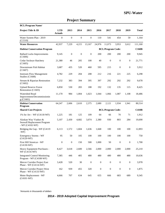# **Project Summary**

| <b>BCL/Program Name/</b>                                                 |                              |                  |                  |                  |                  |                          |                  |                  |              |
|--------------------------------------------------------------------------|------------------------------|------------------|------------------|------------------|------------------|--------------------------|------------------|------------------|--------------|
| Project Title & ID                                                       | <b>LTD</b><br><b>Actuals</b> | 2013             | 2014             | 2015             | 2016             | 2017                     | 2018             | 2019             | <b>Total</b> |
| Water System Plan - 2019<br>(C1510)                                      | $\overline{0}$               | $\boldsymbol{0}$ | $\boldsymbol{0}$ | $\overline{0}$   | 110              | 541                      | 454              | 59               | 1,164        |
| <b>Water Resources</b>                                                   | 42,937                       | 7,229            | 4,215            | 13,167           | 24,976           | 11,073                   | 3,953            | 3,612            | 111,160      |
| <b>Habitat Conservation Program</b>                                      |                              |                  |                  |                  |                  | <b>BCL/Program Code:</b> |                  |                  | <b>C160B</b> |
| <b>Ballard Locks Improvements</b><br>(C1606)                             | 9,145                        | $\boldsymbol{0}$ | $\boldsymbol{0}$ | $\boldsymbol{0}$ | 200              | 200                      | 200              | 200              | 9,945        |
| Cedar Sockeye Hatchery<br>(C1605)                                        | 21,380                       | 46               | 205              | 100              | 40               | $\mathbf{0}$             | $\mathbf{0}$     | $\mathbf{0}$     | 21,771       |
| Downstream Fish Habitat<br>(C1607)                                       | 3,687                        | 435              | 520              | 460              | 595              | 215                      | $\mathbf{0}$     | $\mathbf{0}$     | 5,912        |
| <b>Instream Flow Management</b><br>Studies (C1608)                       | 4,782                        | 229              | 204              | 208              | 212              | 216                      | 221              | 225              | 6,298        |
| Stream & Riparian Restoration<br>(C1602)                                 | 7,232                        | 383              | 394              | 395              | 397              | 292                      | 292              | 292              | 9,678        |
| <b>Upland Reserve Forest</b><br>Restoration (C1603)                      | 6,850                        | 530              | 283              | 188              | 192              | 132                      | 135              | 115              | 8,425        |
| Watershed Road<br>Improvement/Decommissionin<br>g (C1601)                | 11,170                       | 984              | 1,004            | 1,023            | 1,044            | 1,066                    | 1,087            | 1,108            | 18,486       |
| <b>Habitat Conservation</b><br>Program                                   | 64,247                       | 2,606            | 2,610            | 2,375            | 2,680            | 2,121                    | 1,934            | 1,941            | 80,514       |
| <b>Shared Cost Projects</b>                                              |                              |                  |                  |                  |                  | <b>BCL/Program Code:</b> |                  |                  | <b>C410B</b> |
| 1% for $Art - WF (C4118-WF)$                                             | 1,225                        | 181              | 125              | 109              | 64               | 66                       | 70               | 71               | 1,912        |
| Alaskan Way Viaduct &<br>Seawall Replacement Program<br>- $WF(C4102-WF)$ | 5,107                        | 2,430            | 4,682            | 3,074            | 2,380            | 930                      | 803              | 284              | 19,690       |
| Bridging the Gap - WF (C4119<br>$-WF)$                                   | 6,113                        | 1,572            | 1,604            | 1,636            | 1.668            | 100                      | 100              | 100              | 12,893       |
| <b>Emergency Storms - WF</b><br>$(C4120-WF)$                             | 95                           | 50               | 105              | 100              | 100              | 100                      | 100              | 100              | 750          |
| First Hill Streetcar - WF<br>$(C4130-WF)$                                | $\boldsymbol{0}$             | $\mathbf{0}$     | 150              | 500              | 1,000            | 50                       | $\mathbf{0}$     | $\mathbf{0}$     | 1,700        |
| Heavy Equipment Purchases -<br>WF (C4116-WF)                             | 8,427                        | 3,618            | 2,600            | 2,566            | 2,000            | 2,000                    | 2,000            | 2,000            | 25,210       |
| <b>Integrated Control Monitoring</b><br>Program - WF (C4108-WF)          | 7,385                        | 446              | 405              | 480              | 480              | 480                      | 480              | 480              | 10,636       |
| Mercer Corridor Project East<br>Phase - $WF(C4114-WF)$                   | 3,428                        | 520              | $30\,$           | $\boldsymbol{0}$ | $\boldsymbol{0}$ | $\boldsymbol{0}$         | $\boldsymbol{0}$ | $\boldsymbol{0}$ | 3,978        |
| Mercer Corridor Project West<br>Phase - WF (C4133-WF)                    | 162                          | 939              | 455              | 320              | $\boldsymbol{0}$ | $\boldsymbol{0}$         | $\boldsymbol{0}$ | $\mathbf{0}$     | 1,875        |
| Meter Replacement - WF<br>$(C4101-WF)$                                   | 4,666                        | 707              | 634              | 645              | 655              | 666                      | 683              | 689              | 9,345        |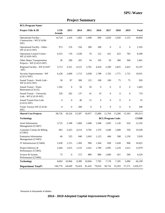| <b>BCL/Program Name/</b>                                   |                       |                  |        |                  |                  |                          |                  |                  |              |
|------------------------------------------------------------|-----------------------|------------------|--------|------------------|------------------|--------------------------|------------------|------------------|--------------|
| Project Title & ID                                         | <b>LTD</b><br>Actuals | 2013             | 2014   | 2015             | 2016             | 2017                     | 2018             | 2019             | <b>Total</b> |
| Operational Facility -<br>Construction - WF (C4106-<br>WF) | 14,724                | 1,416            | 1,492  | 1,048            | 690              | 2,829                    | 3,450            | 5,155            | 30,804       |
| Operational Facility - Other -<br>WF (C4115-WF)            | 973                   | 276              | 256    | 300              | 300              | $\mathbf{0}$             | $\boldsymbol{0}$ | $\boldsymbol{0}$ | 2,105        |
| Operations Control Center -<br>WF (C4105-WF)               | 4,555                 | 170              | 1,630  | 76               | 122              | 431                      | 623              | 783              | 8,390        |
| Other Major Transportation<br>Projects - WF (C4123-WF)     | 36                    | 290              | 265    | 54               | 105              | 50                       | 300              | 500              | 1,601        |
| Regional Facility - WF (C4107<br>$-WF)$                    | 3,713                 | 3,321            | 6,515  | 5,781            | 4,418            | 2,200                    | 2,825            | 3,425            | 32,197       |
| Security Improvements - WF<br>$(C4113-WF)$                 | 6,228                 | 2,000            | 1,713  | 2,038            | 1,788            | 1,763                    | 1,771            | 1,731            | 19,031       |
| Sound Transit - North Link -<br>WF (C4135-WF)              | 58                    | 87               | 300    | 125              | 100              | 100                      | 75               | 75               | 920          |
| Sound Transit - Water<br>Betterment (C4125)                | 1,502                 | $\boldsymbol{0}$ | 50     | 50               | $\boldsymbol{0}$ | $\boldsymbol{0}$         | $\boldsymbol{0}$ | $\boldsymbol{0}$ | 1,602        |
| Sound Transit - University<br>Link - WF (C4110-WF)         | 329                   | 202              | 137    | 41               | 10               | $\boldsymbol{0}$         | $\boldsymbol{0}$ | $\mathbf{0}$     | 719          |
| Sound Transit-East Link<br>$(C4122-WF)$                    | $\mathbf{0}$          | $\boldsymbol{0}$ | 40     | 15               | $\boldsymbol{0}$ | $\boldsymbol{0}$         | $\boldsymbol{0}$ | $\boldsymbol{0}$ | 55           |
| Yesler Terrace-WF (C4136-<br>WF)                           | $\mathbf{0}$          | $\boldsymbol{0}$ | 200    | $\boldsymbol{0}$ | $\mathbf{0}$     | $\mathbf{0}$             | $\boldsymbol{0}$ | $\boldsymbol{0}$ | 200          |
| <b>Shared Cost Projects</b>                                | 68,726                | 18,226           | 23,387 | 18,957           | 15,880           | 11,764                   | 13,280           | 15,393           | 185,613      |
| <b>Technology</b>                                          |                       |                  |        |                  |                  | <b>BCL/Program Code:</b> |                  |                  | <b>C510B</b> |
| Asset Information<br>Management (C5407)                    | 3,725                 | 2,188            | 1,060  | 1,048            | 1,048            | 1,093                    | 1,120            | 910              | 12,192       |
| Customer Contact & Billing<br>(C5402)                      | 663                   | 5,423            | 4,214  | 3,782            | 1,579            | 1,648                    | 1,689            | 550              | 19,549       |
| <b>Enterprise Information</b><br>Management (C5403)        | 66                    | 525              | 940    | 1,043            | 1,123            | 484                      | 598              | 1,150            | 5,929        |
| IT Infrastructure (C5404)                                  | 1,630                 | 1,215            | 1,369  | 990              | 1,364            | 858                      | 1,628            | 968              | 10,022       |
| Project Delivery &<br>Performance (C5405)                  | 2,444                 | 1,615            | 1,533  | 2,261            | 1,789            | 2,095                    | 1,229            | 1,012            | 13,979       |
| Science & System<br>Performance (C5406)                    | 75                    | $\boldsymbol{0}$ | 272    | 880              | 880              | 1,000                    | 921              | 500              | 4,529        |
| <b>Technology</b>                                          | 8,603                 | 10,966           | 9,389  | 10,004           | 7,783            | 7,178                    | 7,185            | 5,090            | 66,199       |
| <b>Department Total*:</b>                                  | 546,776               | 64,649           | 76,424 | 81,416           | 79,616           | 58,716                   | 55,203           | 57,571           | 1,020,371    |

# **Project Summary**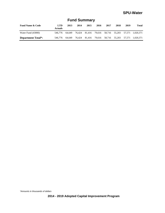| <b>Fund Name &amp; Code</b> | <b>LTD</b><br><b>Actuals</b> | 2013   | 2014 | 2015 | 2016 | 2017 | 2018 | 2019 | <b>Total</b>                                        |
|-----------------------------|------------------------------|--------|------|------|------|------|------|------|-----------------------------------------------------|
| Water Fund (43000)          | 546.776                      | 64.649 |      |      |      |      |      |      | 76,424 81,416 79,616 58,716 55,203 57,571 1,020,371 |
| <b>Department Total*:</b>   | 546.776                      | 64.649 |      |      |      |      |      |      | 76,424 81,416 79,616 58,716 55,203 57,571 1,020,371 |

# **Fund Summary**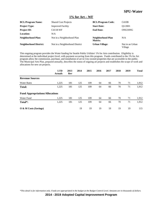#### **1% for Art – WF**

| <b>BCL/Program Name:</b>      | <b>Shared Cost Projects</b>    | <b>BCL/Program Code:</b>     | C410B                      |
|-------------------------------|--------------------------------|------------------------------|----------------------------|
| <b>Project Type:</b>          | <b>Improved Facility</b>       | <b>Start Date:</b>           | O1/2001                    |
| <b>Project ID:</b>            | C4118-WF                       | <b>End Date:</b>             | ONGOING                    |
| Location:                     | N/A                            |                              |                            |
| Neighborhood Plan:            | Not in a Neighborhood Plan     | Neighborhood Plan<br>Matrix: | N/A                        |
| <b>Neighborhood District:</b> | Not in a Neighborhood District | <b>Urban Village:</b>        | Not in an Urban<br>Village |

This ongoing program provides the Water funding for Seattle Public Utilities' 1% for Arts contribution. Eligibility is determined at the individual project level, with payment occurring from this program. Funds contributed to the 1% for Art program allow the commission, purchase, and installation of art in City-owned properties that are accessible to the public. The Municipal Arts Plan, prepared annually, describes the status of ongoing art projects and establishes the scope of work and allocations for new art projects.

|                                        | <b>LTD</b><br><b>Actuals</b> | 2013<br>Rev | 2014 | 2015 | 2016 | 2017 | 2018 | 2019 | <b>Total</b> |
|----------------------------------------|------------------------------|-------------|------|------|------|------|------|------|--------------|
| <b>Revenue Sources</b>                 |                              |             |      |      |      |      |      |      |              |
| <b>Water Rates</b>                     | 1,225                        | 181         | 125  | 109  | 64   | 66   | 70   | 71   | 1,912        |
| Total:                                 | 1,225                        | 181         | 125  | 109  | 64   | 66   | 70   | 71   | 1,912        |
| <b>Fund Appropriations/Allocations</b> |                              |             |      |      |      |      |      |      |              |
| Water Fund                             | 1,225                        | 181         | 125  | 109  | 64   | 66   | 70   | 71   | 1,912        |
| Total*:                                | 1,225                        | 181         | 125  | 109  | 64   | 66   | 70   | 71   | 1,912        |
| O & M Costs (Savings)                  |                              |             | 19   | 19   | 19   | 19   | 19   | 19   | 115          |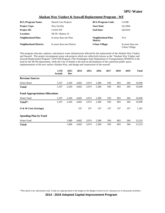|  | Alaskan Way Viaduct & Seawall Replacement Program - WF |  |
|--|--------------------------------------------------------|--|
|  |                                                        |  |

| <b>BCL/Program Name:</b>      | <b>Shared Cost Projects</b> | <b>BCL/Program Code:</b>     | C410B                             |
|-------------------------------|-----------------------------|------------------------------|-----------------------------------|
| <b>Project Type:</b>          | New Facility                | <b>Start Date:</b>           | O1/2004                           |
| <b>Project ID:</b>            | C4102-WF                    | <b>End Date:</b>             | O4/2019                           |
| <b>Location:</b>              | SR 99 / Battery St          |                              |                                   |
| Neighborhood Plan:            | In more than one Plan       | Neighborhood Plan<br>Matrix: | N/A                               |
| <b>Neighborhood District:</b> | In more than one District   | <b>Urban Village:</b>        | In more than one<br>Urban Village |

This program relocates, replaces, and protects water infrastructure affected by the replacement of the Alaskan Way Viaduct and Seawall. This project encompasses many sub-projects which are collectively known as the "Alaskan Way Viaduct and Seawall Replacement Program" (AWVSR Program.) The Washington State Department of Transportation (WSDOT) is the lead for the SR-99 replacement, while the City of Seattle is the lead on development of the waterfront public space, implementation of the new surface Alaskan Way, and design and construction of the seawall.

|                                        | <b>LTD</b><br><b>Actuals</b> | 2013<br>Rev | 2014  | 2015  | 2016  | 2017 | 2018 | 2019 | <b>Total</b> |
|----------------------------------------|------------------------------|-------------|-------|-------|-------|------|------|------|--------------|
| <b>Revenue Sources</b>                 |                              |             |       |       |       |      |      |      |              |
| <b>Water Rates</b>                     | 5,107                        | 2,430       | 4,682 | 3,074 | 2,380 | 930  | 803  | 284  | 19,690       |
| <b>Total:</b>                          | 5,107                        | 2,430       | 4,682 | 3,074 | 2,380 | 930  | 803  | 284  | 19,690       |
| <b>Fund Appropriations/Allocations</b> |                              |             |       |       |       |      |      |      |              |
| Water Fund                             | 5,107                        | 2,430       | 4,682 | 3,074 | 2,380 | 930  | 803  | 284  | 19,690       |
| Total*:                                | 5,107                        | 2,430       | 4,682 | 3,074 | 2,380 | 930  | 803  | 284  | 19,690       |
| O & M Costs (Savings)                  |                              |             | 197   | 197   | 197   | 197  | 197  | 197  | 1,181        |
| <b>Spending Plan by Fund</b>           |                              |             |       |       |       |      |      |      |              |
| Water Fund                             |                              | 1,080       | 4,682 | 3,074 | 2,380 | 930  | 803  | 284  | 13,233       |
| <b>Total:</b>                          |                              | 1,080       | 4,682 | 3,074 | 2,380 | 930  | 803  | 284  | 13,233       |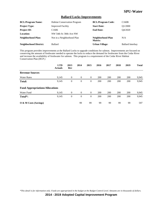#### **Ballard Locks Improvements**

| <b>BCL/Program Name:</b>      | <b>Habitat Conservation Program</b> | <b>BCL/Program Code:</b>     | C <sub>160</sub> B      |
|-------------------------------|-------------------------------------|------------------------------|-------------------------|
| <b>Project Type:</b>          | <b>Improved Facility</b>            | <b>Start Date:</b>           | O1/2000                 |
| <b>Project ID:</b>            | C <sub>1606</sub>                   | <b>End Date:</b>             | O4/2020                 |
| <b>Location:</b>              | NW 54th St /30th Ave NW             |                              |                         |
| Neighborhood Plan:            | Not in a Neighborhood Plan          | Neighborhood Plan<br>Matrix: | N/A                     |
| <b>Neighborhood District:</b> | <b>Ballard</b>                      | <b>Urban Village:</b>        | <b>Ballard Interbay</b> |

This program provides improvements at the Ballard Locks to upgrade conditions for salmon. Improvements are focused on conserving the amount of freshwater needed to operate the locks to reduce the demand for freshwater from the Cedar River and increase the availability of freshwater for salmon. This program is a requirement of the Cedar River Habitat Conservation Plan (HCP.)

|                                        | <b>LTD</b><br><b>Actuals</b> | 2013<br>Rev      | 2014     | 2015           | 2016 | 2017 | 2018 | 2019 | <b>Total</b> |
|----------------------------------------|------------------------------|------------------|----------|----------------|------|------|------|------|--------------|
| <b>Revenue Sources</b>                 |                              |                  |          |                |      |      |      |      |              |
| <b>Water Rates</b>                     | 9,145                        | $\mathbf{0}$     | $\theta$ | $\overline{0}$ | 200  | 200  | 200  | 200  | 9,945        |
| <b>Total:</b>                          | 9,145                        | $\boldsymbol{0}$ | $\theta$ | $\overline{0}$ | 200  | 200  | 200  | 200  | 9,945        |
| <b>Fund Appropriations/Allocations</b> |                              |                  |          |                |      |      |      |      |              |
| Water Fund                             | 9,145                        | $\overline{0}$   | $\theta$ | $\overline{0}$ | 200  | 200  | 200  | 200  | 9,945        |
| Total*:                                | 9,145                        | $\overline{0}$   | $\theta$ | $\overline{0}$ | 200  | 200  | 200  | 200  | 9,945        |
| O & M Costs (Savings)                  |                              |                  | 99       | 99             | 99   | 99   | 99   | 99   | 597          |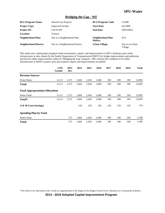#### **Bridging the Gap - WF**

| <b>BCL/Program Name:</b>      | <b>Shared Cost Projects</b>    | <b>BCL/Program Code:</b>     | C410B                      |
|-------------------------------|--------------------------------|------------------------------|----------------------------|
| <b>Project Type:</b>          | <b>Improved Facility</b>       | <b>Start Date:</b>           | O1/2008                    |
| <b>Project ID:</b>            | C4119-WF                       | <b>End Date:</b>             | ONGOING                    |
| <b>Location:</b>              | Various                        |                              |                            |
| Neighborhood Plan:            | Not in a Neighborhood Plan     | Neighborhood Plan<br>Matrix: | N/A                        |
| <b>Neighborhood District:</b> | Not in a Neighborhood District | <b>Urban Village:</b>        | Not in an Urban<br>Village |

This multi-year, multi-project program funds assessments, repairs, and improvements to SPU's drinking water utility infrastructure at sites chosen by the Seattle Department of Transportation (SDOT) for bridge improvements and pedestrian and bicycle safety improvements within its "Bridging the Gap" program. SPU assesses the condition of its utility infrastructure at SDOT's project sites and conducts repairs and improvements as needed.

|                                        | <b>LTD</b><br><b>Actuals</b> | 2013<br>Rev | 2014  | 2015  | 2016  | 2017 | 2018 | 2019 | <b>Total</b> |
|----------------------------------------|------------------------------|-------------|-------|-------|-------|------|------|------|--------------|
| <b>Revenue Sources</b>                 |                              |             |       |       |       |      |      |      |              |
| <b>Water Rates</b>                     | 6,113                        | 1,572       | 1,604 | 1,636 | 1,668 | 100  | 100  | 100  | 12,893       |
| <b>Total:</b>                          | 6,113                        | 1,572       | 1,604 | 1,636 | 1,668 | 100  | 100  | 100  | 12,893       |
| <b>Fund Appropriations/Allocations</b> |                              |             |       |       |       |      |      |      |              |
| Water Fund                             | 6,113                        | 1,572       | 1,604 | 1,636 | 1,668 | 100  | 100  | 100  | 12,893       |
| Total <sup>*</sup> :                   | 6,113                        | 1,572       | 1,604 | 1,636 | 1,668 | 100  | 100  | 100  | 12,893       |
| O & M Costs (Savings)                  |                              |             | 129   | 129   | 129   | 129  | 129  | 129  | 774          |
| <b>Spending Plan by Fund</b>           |                              |             |       |       |       |      |      |      |              |
| Water Fund                             |                              | 572         | 1,604 | 1,636 | 1,668 | 100  | 100  | 100  | 5,780        |
| <b>Total:</b>                          |                              | 572         | 1,604 | 1,636 | 1,668 | 100  | 100  | 100  | 5,780        |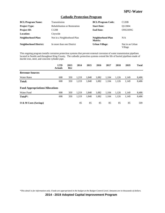#### **Cathodic Protection Program**

| <b>BCL/Program Name:</b>      | Transmission                         | <b>BCL/Program Code:</b>     | C120B                      |
|-------------------------------|--------------------------------------|------------------------------|----------------------------|
| <b>Project Type:</b>          | <b>Rehabilitation or Restoration</b> | <b>Start Date:</b>           | O1/2004                    |
| <b>Project ID:</b>            | C <sub>1208</sub>                    | <b>End Date:</b>             | ONGOING                    |
| Location:                     | Citywide                             |                              |                            |
| <b>Neighborhood Plan:</b>     | Not in a Neighborhood Plan           | Neighborhood Plan<br>Matrix: | N/A                        |
| <b>Neighborhood District:</b> | In more than one District            | <b>Urban Village:</b>        | Not in an Urban<br>Village |

This ongoing program installs corrosion protection systems that prevent external corrosion of water transmission pipelines located in Seattle and throughout King County. The cathodic protection systems extend the life of buried pipelines made of ductile iron, steel, and concrete cylinder pipe.

|                                        | <b>LTD</b><br><b>Actuals</b> | 2013<br>Rev | 2014  | 2015  | 2016  | 2017  | 2018  | 2019  | <b>Total</b> |
|----------------------------------------|------------------------------|-------------|-------|-------|-------|-------|-------|-------|--------------|
| <b>Revenue Sources</b>                 |                              |             |       |       |       |       |       |       |              |
| <b>Water Rates</b>                     | 608                          | 350         | 1,219 | 1,848 | 1,082 | 1,104 | 1,126 | 1,149 | 8,486        |
| <b>Total:</b>                          | 608                          | 350         | 1,219 | 1,848 | 1,082 | 1,104 | 1,126 | 1,149 | 8,486        |
| <b>Fund Appropriations/Allocations</b> |                              |             |       |       |       |       |       |       |              |
| Water Fund                             | 608                          | 350         | 1.219 | 1.848 | 1.082 | 1.104 | 1,126 | 1,149 | 8,486        |
| Total*:                                | 608                          | 350         | 1,219 | 1.848 | 1,082 | 1,104 | 1,126 | 1,149 | 8,486        |
| O & M Costs (Savings)                  |                              |             | 85    | 85    | 85    | 85    | 85    | 85    | 509          |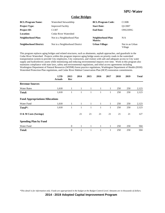#### **Cedar Bridges**

| <b>BCL/Program Name:</b>      | Watershed Stewardship          | <b>BCL/Program Code:</b>     | C130B                      |
|-------------------------------|--------------------------------|------------------------------|----------------------------|
| <b>Project Type:</b>          | <b>Improved Facility</b>       | <b>Start Date:</b>           | O1/2007                    |
| <b>Project ID:</b>            | C <sub>1307</sub>              | <b>End Date:</b>             | ONGOING                    |
| Location:                     | Cedar River Watershed          |                              |                            |
| Neighborhood Plan:            | Not in a Neighborhood Plan     | Neighborhood Plan<br>Matrix: | N/A                        |
| <b>Neighborhood District:</b> | Not in a Neighborhood District | <b>Urban Village:</b>        | Not in an Urban<br>Village |

This program replaces aging bridges and related structures, such as abutments, asphalt approaches, and guardrails in the Cedar River Watershed. Projects within this program improve aging bridge assets on priority roads in the watershed transportation system to provide City employees, City contractors, and visitors with safe and adequate access to City water supply and hydroelectric assets while minimizing and reducing environmental impacts over time. Work in this program also maintains compliance with state laws, safety and environmental regulations, and tribal access agreements including Washington Department of Natural Resources (WDNR) forest practice regulations, Washington Department of Health (DOH) Watershed Protection Plan regulations, and Cedar River Habitat Conservation Plan (HCP) restoration commitments.

|                                        | <b>LTD</b><br><b>Actuals</b> | 2013<br>Rev    | 2014         | 2015         | 2016 | 2017         | 2018 | 2019 | <b>Total</b> |
|----------------------------------------|------------------------------|----------------|--------------|--------------|------|--------------|------|------|--------------|
| <b>Revenue Sources</b>                 |                              |                |              |              |      |              |      |      |              |
| <b>Water Rates</b>                     | 1,618                        | 1              | 1            | 1            | 1    | 1            | 250  | 250  | 2,123        |
| <b>Total:</b>                          | 1,618                        | $\mathbf{1}$   | 1            | 1            | 1    | $\mathbf{1}$ | 250  | 250  | 2,123        |
| <b>Fund Appropriations/Allocations</b> |                              |                |              |              |      |              |      |      |              |
| Water Fund                             | 1,618                        | $\mathbf{1}$   | $\mathbf{1}$ | $\mathbf{1}$ | 1    | $\mathbf{1}$ | 250  | 250  | 2,123        |
| Total*:                                | 1,618                        | 1              | 1            | 1            | 1    | $\mathbf{1}$ | 250  | 250  | 2,123        |
| O & M Costs (Savings)                  |                              |                | 21           | 21           | 21   | 21           | 21   | 21   | 127          |
| <b>Spending Plan by Fund</b>           |                              |                |              |              |      |              |      |      |              |
| Water Fund                             |                              | $\theta$       | $\mathbf{1}$ | $\mathbf{1}$ | 1    | 1            | 250  | 250  | 504          |
| <b>Total:</b>                          |                              | $\overline{0}$ | 1            | 1            | 1    | 1            | 250  | 250  | 504          |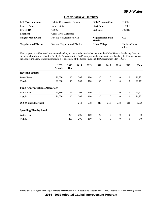#### **Cedar Sockeye Hatchery**

| <b>BCL/Program Name:</b>      | <b>Habitat Conservation Program</b> | <b>BCL/Program Code:</b>     | C <sub>160</sub> B         |
|-------------------------------|-------------------------------------|------------------------------|----------------------------|
| <b>Project Type:</b>          | New Facility                        | <b>Start Date:</b>           | O1/2000                    |
| <b>Project ID:</b>            | C <sub>1605</sub>                   | <b>End Date:</b>             | O <sub>2</sub> /2016       |
| <b>Location:</b>              | Cedar River Watershed               |                              |                            |
| Neighborhood Plan:            | Not in a Neighborhood Plan          | Neighborhood Plan<br>Matrix: | N/A                        |
| <b>Neighborhood District:</b> | Not in a Neighborhood District      | <b>Urban Village:</b>        | Not in an Urban<br>Village |

This program provides a sockeye salmon hatchery to replace the interim hatchery on the Cedar River at Landsburg Dam, and includes a broodstock collection facility in Renton near the I-405 overpass, and a state-of-the-art hatchery facility located near the Landsburg Dam. These facilities are a requirement of the Cedar River Habitat Conservation Plan (HCP).

|                                        | <b>LTD</b><br><b>Actuals</b> | 2013<br>Rev | 2014 | 2015 | 2016 | 2017           | 2018           | 2019             | <b>Total</b> |
|----------------------------------------|------------------------------|-------------|------|------|------|----------------|----------------|------------------|--------------|
| <b>Revenue Sources</b>                 |                              |             |      |      |      |                |                |                  |              |
| <b>Water Rates</b>                     | 21,380                       | 46          | 205  | 100  | 40   | $\overline{0}$ | $\overline{0}$ | $\overline{0}$   | 21,771       |
| <b>Total:</b>                          | 21,380                       | 46          | 205  | 100  | 40   | $\mathbf{0}$   | $\theta$       | $\boldsymbol{0}$ | 21,771       |
| <b>Fund Appropriations/Allocations</b> |                              |             |      |      |      |                |                |                  |              |
| Water Fund                             | 21,380                       | 46          | 205  | 100  | 40   | $\overline{0}$ | $\overline{0}$ | $\overline{0}$   | 21,771       |
| Total*:                                | 21,380                       | 46          | 205  | 100  | 40   | $\theta$       | $\theta$       | $\overline{0}$   | 21,771       |
| O & M Costs (Savings)                  |                              |             | 218  | 218  | 218  | 218            | 218            | 218              | 1,306        |
| <b>Spending Plan by Fund</b>           |                              |             |      |      |      |                |                |                  |              |
| Water Fund                             |                              | 295         | 205  | 100  | 40   | $\overline{0}$ | $\mathbf{0}$   | $\mathbf{0}$     | 640          |
| <b>Total:</b>                          |                              | 295         | 205  | 100  | 40   | $\theta$       | $\theta$       | $\overline{0}$   | 640          |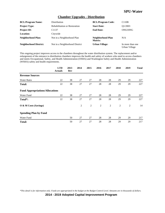#### **Chamber Upgrades - Distribution**

| <b>BCL/Program Name:</b>      | Distribution                         | <b>BCL/Program Code:</b>     | C110B                             |
|-------------------------------|--------------------------------------|------------------------------|-----------------------------------|
| <b>Project Type:</b>          | <b>Rehabilitation or Restoration</b> | <b>Start Date:</b>           | O1/2003                           |
| <b>Project ID:</b>            | C <sub>1137</sub>                    | <b>End Date:</b>             | ONGOING                           |
| <b>Location:</b>              | Citywide                             |                              |                                   |
| <b>Neighborhood Plan:</b>     | Not in a Neighborhood Plan           | Neighborhood Plan<br>Matrix: | N/A                               |
| <b>Neighborhood District:</b> | Not in a Neighborhood District       | <b>Urban Village:</b>        | In more than one<br>Urban Village |

This ongoing project improves access to the chambers throughout the water distribution system. The replacement and/or enlargement of the entrance to distribution chambers improves the health and safety of workers who need to access chambers and meets Occupational, Safety, and Health Administration (OSHA) and Washington Safety and Health Administration (WSHA) safety and health requirements.

|                                        | <b>LTD</b><br><b>Actuals</b> | 2013<br>Rev | 2014           | 2015           | 2016 | 2017           | 2018           | 2019           | <b>Total</b> |
|----------------------------------------|------------------------------|-------------|----------------|----------------|------|----------------|----------------|----------------|--------------|
| <b>Revenue Sources</b>                 |                              |             |                |                |      |                |                |                |              |
| <b>Water Rates</b>                     | 22                           | 38          | 27             | 27             | 28   | 28             | 29             | 29             | 227          |
| <b>Total:</b>                          | 22                           | 38          | 27             | 27             | 28   | 28             | 29             | 29             | 227          |
| <b>Fund Appropriations/Allocations</b> |                              |             |                |                |      |                |                |                |              |
| Water Fund                             | 22                           | 38          | 27             | 27             | 28   | 28             | 29             | 29             | 227          |
| Total*:                                | 22                           | 38          | 27             | 27             | 28   | 28             | 29             | 29             | 227          |
| O & M Costs (Savings)                  |                              |             | $\overline{2}$ | $\overline{c}$ | 2    | $\overline{2}$ | $\overline{c}$ | $\overline{2}$ | 14           |
| <b>Spending Plan by Fund</b>           |                              |             |                |                |      |                |                |                |              |
| Water Fund                             |                              | 50          | 27             | 27             | 28   | 28             | 29             | 29             | 217          |
| <b>Total:</b>                          |                              | 50          | 27             | 27             | 28   | 28             | 29             | 29             | 217          |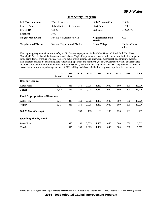#### **Dam Safety Program**

| <b>BCL/Program Name:</b>      | <b>Water Resources</b>               | <b>BCL/Program Code:</b>     | C <sub>150</sub> B         |
|-------------------------------|--------------------------------------|------------------------------|----------------------------|
| <b>Project Type:</b>          | <b>Rehabilitation or Restoration</b> | <b>Start Date:</b>           | O1/2008                    |
| <b>Project ID:</b>            | C <sub>1506</sub>                    | <b>End Date:</b>             | ONGOING                    |
| Location:                     | N/A                                  |                              |                            |
| Neighborhood Plan:            | Not in a Neighborhood Plan           | Neighborhood Plan<br>Matrix: | N/A                        |
| <b>Neighborhood District:</b> | Not in a Neighborhood District       | <b>Urban Village:</b>        | Not in an Urban<br>Village |

This ongoing program maintains the safety of SPU's water supply dams in the Cedar River and South Fork Tolt River Municipal Watersheds and the in-town reservoir dams. Typical improvements may include, but are not limited to, upgrades to the dams' failure warning systems, spillways, outlet works, piping, and other civil, mechanical, and structural systems. This program ensures the continuing safe functioning, operation and monitoring of SPU's water supply dams and associated facilities per Federal Energy Regulatory Commission (FERC), state and local regulations, and SPU requirements to prevent loss of life and/or property damage and loss of SPU's ability to deliver reliable drinking water supply to its customers.

|                                        | <b>LTD</b><br><b>Actuals</b> | 2013<br>Rev | 2014 | 2015  | 2016  | 2017  | 2018 | 2019 | <b>Total</b> |
|----------------------------------------|------------------------------|-------------|------|-------|-------|-------|------|------|--------------|
| <b>Revenue Sources</b>                 |                              |             |      |       |       |       |      |      |              |
| <b>Water Rates</b>                     | 6,714                        | 315         | 150  | 2,025 | 1,432 | 1,040 | 800  | 800  | 13,276       |
| Total:                                 | 6,714                        | 315         | 150  | 2,025 | 1,432 | 1,040 | 800  | 800  | 13,276       |
| <b>Fund Appropriations/Allocations</b> |                              |             |      |       |       |       |      |      |              |
| Water Fund                             | 6,714                        | 315         | 150  | 2,025 | 1,432 | 1,040 | 800  | 800  | 13,276       |
| Total <sup>*</sup> :                   | 6,714                        | 315         | 150  | 2,025 | 1,432 | 1,040 | 800  | 800  | 13,276       |
| O & M Costs (Savings)                  |                              |             | 133  | 133   | 133   | 133   | 133  | 133  | 797          |
| <b>Spending Plan by Fund</b>           |                              |             |      |       |       |       |      |      |              |
| Water Fund                             |                              | 315         | 150  | 2,025 | 1,432 | 1,040 | 800  | 800  | 6,562        |
| Total:                                 |                              | 315         | 150  | 2,025 | 1,432 | 1,040 | 800  | 800  | 6,562        |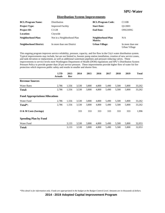#### **Distribution System Improvements**

| <b>BCL/Program Name:</b>      | Distribution               | <b>BCL/Program Code:</b>     | C110B                             |
|-------------------------------|----------------------------|------------------------------|-----------------------------------|
| <b>Project Type:</b>          | <b>Improved Facility</b>   | <b>Start Date:</b>           | O <sub>1</sub> /2003              |
| <b>Project ID:</b>            | C <sub>1128</sub>          | <b>End Date:</b>             | ONGOING                           |
| <b>Location:</b>              | Citywide                   |                              |                                   |
| Neighborhood Plan:            | Not in a Neighborhood Plan | Neighborhood Plan<br>Matrix: | N/A                               |
| <b>Neighborhood District:</b> | In more than one District  | <b>Urban Village:</b>        | In more than one<br>Urban Village |

This ongoing program improves service reliability, pressure, capacity, and fire flow in the City's water distribution system. Typical improvements may include, but are not limited to, booster pump station installation, creation of new service zones, and tank elevation or replacement, as well as additional watermain pipelines and pressure reducing valves. These improvements to service levels meet Washington Department of Health (DOH) regulations and SPU's Distribution System Pressure Policy to provide greater than 20 psi service pressure. These improvements provide higher flow of water for fire protection which improves public safety and results in smaller and shorter fires.

|                                        | <b>LTD</b><br><b>Actuals</b> | 2013<br>Rev | 2014  | 2015  | 2016  | 2017  | 2018  | 2019  | <b>Total</b> |
|----------------------------------------|------------------------------|-------------|-------|-------|-------|-------|-------|-------|--------------|
| <b>Revenue Sources</b>                 |                              |             |       |       |       |       |       |       |              |
| <b>Water Rates</b>                     | 2,786                        | 1,556       | 3,530 | 3,800 | 4,800 | 5,490 | 5,500 | 5,800 | 33,262       |
| <b>Total:</b>                          | 2,786                        | 1,556       | 3,530 | 3,800 | 4,800 | 5,490 | 5,500 | 5,800 | 33,262       |
| <b>Fund Appropriations/Allocations</b> |                              |             |       |       |       |       |       |       |              |
| Water Fund                             | 2,786                        | 1,556       | 3,530 | 3,800 | 4,800 | 5,490 | 5,500 | 5,800 | 33,262       |
| Total <sup>*</sup> :                   | 2,786                        | 1,556       | 3,530 | 3,800 | 4,800 | 5,490 | 5,500 | 5,800 | 33,262       |
| $\overline{O}$ & M Costs (Savings)     |                              |             | 333   | 333   | 333   | 333   | 333   | 333   | 1,996        |
| <b>Spending Plan by Fund</b>           |                              |             |       |       |       |       |       |       |              |
| Water Fund                             |                              | 3,133       | 3,530 | 3,800 | 4,800 | 5,490 | 5,500 | 5,800 | 32,053       |
| Total:                                 |                              | 3,133       | 3,530 | 3,800 | 4,800 | 5,490 | 5,500 | 5,800 | 32,053       |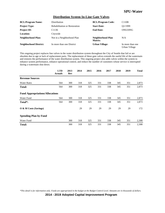#### **Distribution System In-Line Gate Valves**

| <b>BCL/Program Name:</b>      | Distribution                         | <b>BCL/Program Code:</b>     | C110B                             |
|-------------------------------|--------------------------------------|------------------------------|-----------------------------------|
| <b>Project Type:</b>          | <b>Rehabilitation or Restoration</b> | <b>Start Date:</b>           | O1/1999                           |
| <b>Project ID:</b>            | C1136                                | <b>End Date:</b>             | ONGOING                           |
| <b>Location:</b>              | Citywide                             |                              |                                   |
| Neighborhood Plan:            | Not in a Neighborhood Plan           | Neighborhood Plan<br>Matrix: | N/A                               |
| <b>Neighborhood District:</b> | In more than one District            | <b>Urban Village:</b>        | In more than one<br>Urban Village |

This ongoing project replaces line valves in the water distribution system throughout the City of Seattle that fail or are obsolete due to age or lack of replacement parts. The replacement of these gate valves extends the useful life of the watermain and restores the performance of the water distribution system. This ongoing project also adds valves within the system to enhance system performance, enhance operational control, and reduce the number of customers whose service is interrupted during a watermain shut down.

|                                        | <b>LTD</b><br><b>Actuals</b> | 2013<br>Rev | 2014 | 2015 | 2016 | 2017 | 2018 | 2019 | <b>Total</b> |
|----------------------------------------|------------------------------|-------------|------|------|------|------|------|------|--------------|
| <b>Revenue Sources</b>                 |                              |             |      |      |      |      |      |      |              |
| <b>Water Rates</b>                     | 564                          | 300         | 318  | 325  | 331  | 338  | 345  | 351  | 2,873        |
| Total:                                 | 564                          | 300         | 318  | 325  | 331  | 338  | 345  | 351  | 2,873        |
| <b>Fund Appropriations/Allocations</b> |                              |             |      |      |      |      |      |      |              |
| Water Fund                             | 564                          | 300         | 318  | 325  | 331  | 338  | 345  | 351  | 2,873        |
| Total*:                                | 564                          | 300         | 318  | 325  | 331  | 338  | 345  | 351  | 2,873        |
| O & M Costs (Savings)                  |                              |             | 29   | 29   | 29   | 29   | 29   | 29   | 172          |
| <b>Spending Plan by Fund</b>           |                              |             |      |      |      |      |      |      |              |
| Water Fund                             |                              | 300         | 318  | 325  | 331  | 338  | 345  | 351  | 2,308        |
| <b>Total:</b>                          |                              | 300         | 318  | 325  | 331  | 338  | 345  | 351  | 2,308        |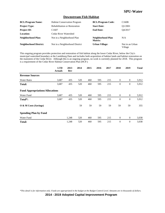#### **Downstream Fish Habitat**

| <b>BCL/Program Name:</b>      | <b>Habitat Conservation Program</b>  | <b>BCL/Program Code:</b>     | C <sub>160</sub> B         |
|-------------------------------|--------------------------------------|------------------------------|----------------------------|
| <b>Project Type:</b>          | <b>Rehabilitation or Restoration</b> | <b>Start Date:</b>           | O1/2001                    |
| <b>Project ID:</b>            | C <sub>1607</sub>                    | <b>End Date:</b>             | O4/2017                    |
| Location:                     | Cedar River Watershed                |                              |                            |
| <b>Neighborhood Plan:</b>     | Not in a Neighborhood Plan           | Neighborhood Plan<br>Matrix: | N/A                        |
| <b>Neighborhood District:</b> | Not in a Neighborhood District       | <b>Urban Village:</b>        | Not in an Urban<br>Village |

This ongoing program provides protection and restoration of fish habitat along the lower Cedar River, below the City's municipal watershed boundary at the Landsburg Dam and includes both acquisition of habitat lands and habitat restoration on the mainstem of the Cedar River. Although this is an ongoing program, no work is currently planned for 2018. This program is a requirement of the Cedar River Habitat Conservation Plan (HCP.)

|                                        | <b>LTD</b><br><b>Actuals</b> | 2013<br>Rev | 2014 | 2015 | 2016 | 2017 | 2018             | 2019         | <b>Total</b> |
|----------------------------------------|------------------------------|-------------|------|------|------|------|------------------|--------------|--------------|
| <b>Revenue Sources</b>                 |                              |             |      |      |      |      |                  |              |              |
| <b>Water Rates</b>                     | 3,687                        | 435         | 520  | 460  | 595  | 215  | $\mathbf{0}$     | $\mathbf{0}$ | 5,912        |
| <b>Total:</b>                          | 3,687                        | 435         | 520  | 460  | 595  | 215  | $\boldsymbol{0}$ | $\theta$     | 5,912        |
| <b>Fund Appropriations/Allocations</b> |                              |             |      |      |      |      |                  |              |              |
| Water Fund                             | 3,687                        | 435         | 520  | 460  | 595  | 215  | $\mathbf{0}$     | $\mathbf{0}$ | 5,912        |
| Total*:                                | 3,687                        | 435         | 520  | 460  | 595  | 215  | $\mathbf{0}$     | $\mathbf{0}$ | 5,912        |
| O & M Costs (Savings)                  |                              |             | 59   | 59   | 59   | 59   | 59               | 59           | 355          |
| <b>Spending Plan by Fund</b>           |                              |             |      |      |      |      |                  |              |              |
| Water Fund                             |                              | 1,248       | 520  | 460  | 595  | 215  | $\mathbf{0}$     | $\mathbf{0}$ | 3,038        |
| <b>Total:</b>                          |                              | 1,248       | 520  | 460  | 595  | 215  | $\theta$         | $\mathbf{0}$ | 3,038        |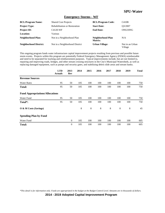#### **Emergency Storms - WF**

| <b>BCL/Program Name:</b>      | <b>Shared Cost Projects</b>          | <b>BCL/Program Code:</b>     | C410B                      |
|-------------------------------|--------------------------------------|------------------------------|----------------------------|
| <b>Project Type:</b>          | <b>Rehabilitation or Restoration</b> | <b>Start Date:</b>           | O3/2007                    |
| <b>Project ID:</b>            | C4120-WF                             | <b>End Date:</b>             | ONGOING                    |
| Location:                     | Various                              |                              |                            |
| Neighborhood Plan:            | Not in a Neighborhood Plan           | Neighborhood Plan<br>Matrix: | N/A                        |
| <b>Neighborhood District:</b> | Not in a Neighborhood District       | <b>Urban Village:</b>        | Not in an Urban<br>Village |

This ongoing program funds water infrastructure capital improvement projects resulting from previous and possible future storm events. Projects within this program are potentially Federal Emergency Management Agency (FEMA) reimbursable and need to be separated for tracking and reimbursement purposes. Typical improvements include, but are not limited to, repairing and improving roads, bridges, and other stream crossing structures in the City's Municipal Watersheds, as well as replacing damaged equipment, such as pumps and security gates, and stabilizing debris slide areas and stream banks.

|                                        | <b>LTD</b><br><b>Actuals</b> | 2013<br>Rev  | 2014 | 2015 | 2016 | 2017 | 2018 | 2019 | <b>Total</b> |
|----------------------------------------|------------------------------|--------------|------|------|------|------|------|------|--------------|
| <b>Revenue Sources</b>                 |                              |              |      |      |      |      |      |      |              |
| <b>Water Rates</b>                     | 95                           | 50           | 105  | 100  | 100  | 100  | 100  | 100  | 750          |
| <b>Total:</b>                          | 95                           | 50           | 105  | 100  | 100  | 100  | 100  | 100  | 750          |
| <b>Fund Appropriations/Allocations</b> |                              |              |      |      |      |      |      |      |              |
| Water Fund                             | 95                           | 50           | 105  | 100  | 100  | 100  | 100  | 100  | 750          |
| Total*:                                | 95                           | 50           | 105  | 100  | 100  | 100  | 100  | 100  | 750          |
| O & M Costs (Savings)                  |                              |              | 8    | 8    | 8    | 8    | 8    | 8    | 45           |
| <b>Spending Plan by Fund</b>           |                              |              |      |      |      |      |      |      |              |
| Water Fund                             |                              | $\mathbf{0}$ | 105  | 100  | 100  | 100  | 100  | 100  | 605          |
| <b>Total:</b>                          |                              | $\theta$     | 105  | 100  | 100  | 100  | 100  | 100  | 605          |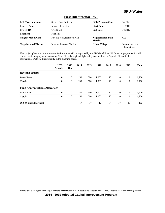#### **First Hill Streetcar - WF**

| <b>BCL/Program Name:</b>      | <b>Shared Cost Projects</b> | <b>BCL/Program Code:</b>     | C410B                             |
|-------------------------------|-----------------------------|------------------------------|-----------------------------------|
| <b>Project Type:</b>          | <b>Improved Facility</b>    | <b>Start Date:</b>           | O1/2010                           |
| <b>Project ID:</b>            | C4130-WF                    | <b>End Date:</b>             | O4/2017                           |
| Location:                     | First Hill                  |                              |                                   |
| Neighborhood Plan:            | Not in a Neighborhood Plan  | Neighborhood Plan<br>Matrix: | N/A                               |
| <b>Neighborhood District:</b> | In more than one District   | <b>Urban Village:</b>        | In more than one<br>Urban Village |

This project plans and relocates water facilities that will be impacted by the SDOT-led First Hill Streetcar project, which will connect major employment centers on First Hill to the regional light rail system stations on Capitol Hill and in the International District. It is currently in the planning phase.

|                                        | <b>LTD</b><br><b>Actuals</b> | 2013<br>Rev    | 2014 | 2015 | 2016  | 2017 | 2018     | 2019             | <b>Total</b> |
|----------------------------------------|------------------------------|----------------|------|------|-------|------|----------|------------------|--------------|
| <b>Revenue Sources</b>                 |                              |                |      |      |       |      |          |                  |              |
| <b>Water Rates</b>                     | $\overline{0}$               | $\theta$       | 150  | 500  | 1,000 | 50   | $\theta$ | $\boldsymbol{0}$ | 1,700        |
| Total:                                 | $\theta$                     | $\overline{0}$ | 150  | 500  | 1,000 | 50   | $\theta$ | $\mathbf{0}$     | 1,700        |
| <b>Fund Appropriations/Allocations</b> |                              |                |      |      |       |      |          |                  |              |
| Water Fund                             | $\overline{0}$               | $\theta$       | 150  | 500  | 1,000 | 50   | $\theta$ | $\overline{0}$   | 1,700        |
| Total*:                                | $\overline{0}$               | $\mathbf{0}$   | 150  | 500  | 1,000 | 50   | $\theta$ | $\mathbf{0}$     | 1,700        |
| O & M Costs (Savings)                  |                              |                | 17   | 17   | 17    | 17   | 17       | 17               | 102          |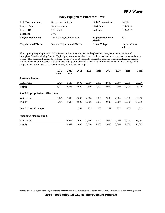#### **Heavy Equipment Purchases - WF**

| <b>BCL/Program Name:</b>      | <b>Shared Cost Projects</b>    | <b>BCL/Program Code:</b>     | C410B                      |
|-------------------------------|--------------------------------|------------------------------|----------------------------|
| <b>Project Type:</b>          | New Investment                 | <b>Start Date:</b>           | ONGOING                    |
| <b>Project ID:</b>            | C4116-WF                       | <b>End Date:</b>             | ONGOING                    |
| Location:                     | N/A                            |                              |                            |
| Neighborhood Plan:            | Not in a Neighborhood Plan     | Neighborhood Plan<br>Matrix: | N/A                        |
| <b>Neighborhood District:</b> | Not in a Neighborhood District | <b>Urban Village:</b>        | Not in an Urban<br>Village |

This ongoing program provides SPU's Water Utility crews with new and replacement heavy equipment that is used throughout Seattle and King County. Typical purchases include backhoes, graders, loaders, dozers, service trucks, and dump trucks. This equipment transports work crews and tools to jobsites and supports the safe and efficient replacement, repair, and maintenance of infrastructure that delivers high quality drinking water to 1.5 million customers in King County. This project is one of four SPU fund-specific heavy equipment CIP projects.

|                                        | <b>LTD</b><br><b>Actuals</b> | 2013<br>Rev | 2014  | 2015  | 2016  | 2017  | 2018  | 2019  | <b>Total</b> |
|----------------------------------------|------------------------------|-------------|-------|-------|-------|-------|-------|-------|--------------|
| <b>Revenue Sources</b>                 |                              |             |       |       |       |       |       |       |              |
| <b>Water Rates</b>                     | 8,427                        | 3,618       | 2,600 | 2,566 | 2,000 | 2,000 | 2,000 | 2,000 | 25,210       |
| <b>Total:</b>                          | 8,427                        | 3,618       | 2,600 | 2,566 | 2,000 | 2,000 | 2,000 | 2,000 | 25,210       |
| <b>Fund Appropriations/Allocations</b> |                              |             |       |       |       |       |       |       |              |
| Water Fund                             | 8,427                        | 3,618       | 2,600 | 2,566 | 2,000 | 2,000 | 2,000 | 2,000 | 25,210       |
| Total*:                                | 8,427                        | 3,618       | 2,600 | 2,566 | 2,000 | 2,000 | 2,000 | 2,000 | 25,210       |
| O & M Costs (Savings)                  |                              |             | 252   | 252   | 252   | 252   | 252   | 252   | 1,513        |
| <b>Spending Plan by Fund</b>           |                              |             |       |       |       |       |       |       |              |
| Water Fund                             |                              | 2,929       | 2,600 | 2,566 | 2,000 | 2,000 | 2,000 | 2,000 | 16,095       |
| <b>Total:</b>                          |                              | 2,929       | 2.600 | 2,566 | 2,000 | 2.000 | 2.000 | 2.000 | 16,095       |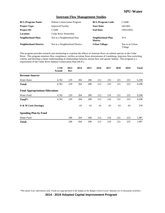#### **Instream Flow Management Studies**

| <b>BCL/Program Name:</b>      | <b>Habitat Conservation Program</b> | <b>BCL/Program Code:</b>     | C <sub>160</sub> B         |
|-------------------------------|-------------------------------------|------------------------------|----------------------------|
| <b>Project Type:</b>          | <b>Improved Facility</b>            | <b>Start Date:</b>           | O4/2003                    |
| <b>Project ID:</b>            | C <sub>1608</sub>                   | <b>End Date:</b>             | ONGOING                    |
| <b>Location:</b>              | Cedar River Watershed               |                              |                            |
| Neighborhood Plan:            | Not in a Neighborhood Plan          | Neighborhood Plan<br>Matrix: | N/A                        |
| <b>Neighborhood District:</b> | Not in a Neighborhood District      | <b>Urban Village:</b>        | Not in an Urban<br>Village |

This program provides research and monitoring to examine the effects of instream flows on salmon species in the Cedar River. This program monitors flow compliance, verifies accretion flows downstream of Landsburg, improves flow-switching criteria, and develops a better understanding of relationships between stream flow and aquatic habitat. This program is a requirement of the Cedar River Habitat Conservation Plan (HCP.)

|                                        | <b>LTD</b><br><b>Actuals</b> | 2013<br>Rev | 2014 | 2015 | 2016 | 2017 | 2018 | 2019 | <b>Total</b> |
|----------------------------------------|------------------------------|-------------|------|------|------|------|------|------|--------------|
| <b>Revenue Sources</b>                 |                              |             |      |      |      |      |      |      |              |
| <b>Water Rates</b>                     | 4,782                        | 229         | 204  | 208  | 212  | 216  | 221  | 225  | 6,298        |
| <b>Total:</b>                          | 4,782                        | 229         | 204  | 208  | 212  | 216  | 221  | 225  | 6,298        |
| <b>Fund Appropriations/Allocations</b> |                              |             |      |      |      |      |      |      |              |
| Water Fund                             | 4,782                        | 229         | 204  | 208  | 212  | 216  | 221  | 225  | 6,298        |
| Total*:                                | 4,782                        | 229         | 204  | 208  | 212  | 216  | 221  | 225  | 6,298        |
| O & M Costs (Savings)                  |                              |             | 63   | 63   | 63   | 63   | 63   | 63   | 378          |
| <b>Spending Plan by Fund</b>           |                              |             |      |      |      |      |      |      |              |
| Water Fund                             |                              | 200         | 204  | 208  | 212  | 216  | 221  | 225  | 1,487        |
| <b>Total:</b>                          |                              | 200         | 204  | 208  | 212  | 216  | 221  | 225  | 1,487        |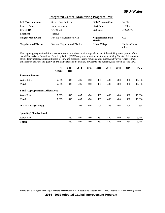#### **Integrated Control Monitoring Program - WF**

| <b>BCL/Program Name:</b>      | <b>Shared Cost Projects</b>    | <b>BCL/Program Code:</b>     | C410B                      |
|-------------------------------|--------------------------------|------------------------------|----------------------------|
| <b>Project Type:</b>          | New Investment                 | <b>Start Date:</b>           | O1/2002                    |
| <b>Project ID:</b>            | C4108-WF                       | <b>End Date:</b>             | ONGOING                    |
| <b>Location:</b>              | Various                        |                              |                            |
| Neighborhood Plan:            | Not in a Neighborhood Plan     | Neighborhood Plan<br>Matrix: | N/A                        |
| <b>Neighborhood District:</b> | Not in a Neighborhood District | <b>Urban Village:</b>        | Not in an Urban<br>Village |

This ongoing program funds improvements to the centralized monitoring and control of the drinking water portion of the overall Supervisory Control and Data Acquisition (SCADA) system infrastructure throughout King County. Infrastructure affected may include, but is not limited to, flow and pressure sensors, remote control pumps, and valves. This program enhances the delivery and quality of drinking water and the delivery of water to fire hydrants, also known as "fire flow."

|                                        | <b>LTD</b><br><b>Actuals</b> | 2013<br>Rev | 2014 | 2015 | 2016 | 2017 | 2018 | 2019 | <b>Total</b> |
|----------------------------------------|------------------------------|-------------|------|------|------|------|------|------|--------------|
| <b>Revenue Sources</b>                 |                              |             |      |      |      |      |      |      |              |
| <b>Water Rates</b>                     | 7,385                        | 446         | 405  | 480  | 480  | 480  | 480  | 480  | 10,636       |
| <b>Total:</b>                          | 7,385                        | 446         | 405  | 480  | 480  | 480  | 480  | 480  | 10,636       |
| <b>Fund Appropriations/Allocations</b> |                              |             |      |      |      |      |      |      |              |
| Water Fund                             | 7,385                        | 446         | 405  | 480  | 480  | 480  | 480  | 480  | 10,636       |
| Total*:                                | 7,385                        | 446         | 405  | 480  | 480  | 480  | 480  | 480  | 10,636       |
| O & M Costs (Savings)                  |                              |             | 106  | 106  | 106  | 106  | 106  | 106  | 638          |
| <b>Spending Plan by Fund</b>           |                              |             |      |      |      |      |      |      |              |
| Water Fund                             |                              | 660         | 405  | 480  | 480  | 480  | 480  | 480  | 3,465        |
| <b>Total:</b>                          |                              | 660         | 405  | 480  | 480  | 480  | 480  | 480  | 3,465        |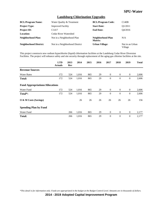#### **Landsburg Chlorination Upgrades**

| <b>BCL/Program Name:</b>      | Water Quality & Treatment      | <b>BCL/Program Code:</b>     | C140B                      |
|-------------------------------|--------------------------------|------------------------------|----------------------------|
| <b>Project Type:</b>          | <b>Improved Facility</b>       | <b>Start Date:</b>           | O1/2011                    |
| <b>Project ID:</b>            | C <sub>1417</sub>              | <b>End Date:</b>             | O4/2016                    |
| Location:                     | Cedar River Watershed          |                              |                            |
| Neighborhood Plan:            | Not in a Neighborhood Plan     | Neighborhood Plan<br>Matrix: | N/A                        |
| <b>Neighborhood District:</b> | Not in a Neighborhood District | <b>Urban Village:</b>        | Not in an Urban<br>Village |

This project constructs new sodium hypochlorite (liquid) chlorination facilities at the Landsburg Cedar River Diversion Facilities. The project will enhance safety and site security through replacement of the aging gas chlorine facilities at the site.

|                                        | <b>LTD</b><br><b>Actuals</b> | 2013<br><b>Rev</b> | 2014  | 2015 | 2016 | 2017           | 2018           | 2019             | <b>Total</b> |
|----------------------------------------|------------------------------|--------------------|-------|------|------|----------------|----------------|------------------|--------------|
| <b>Revenue Sources</b>                 |                              |                    |       |      |      |                |                |                  |              |
| <b>Water Rates</b>                     | 172                          | 524                | 1,016 | 865  | 29   | $\theta$       | $\overline{0}$ | $\mathbf{0}$     | 2,606        |
| <b>Total:</b>                          | 172                          | 524                | 1,016 | 865  | 29   | $\theta$       | $\mathbf{0}$   | $\boldsymbol{0}$ | 2,606        |
| <b>Fund Appropriations/Allocations</b> |                              |                    |       |      |      |                |                |                  |              |
| Water Fund                             | 172                          | 524                | 1,016 | 865  | 29   | $\overline{0}$ | $\overline{0}$ | $\overline{0}$   | 2,606        |
| Total*:                                | 172                          | 524                | 1,016 | 865  | 29   | $\theta$       | $\mathbf{0}$   | $\theta$         | 2,606        |
| O & M Costs (Savings)                  |                              |                    | 26    | 26   | 26   | 26             | 26             | 26               | 156          |
| <b>Spending Plan by Fund</b>           |                              |                    |       |      |      |                |                |                  |              |
| Water Fund                             |                              | 266                | 1,016 | 865  | 29   | $\theta$       | $\mathbf{0}$   | $\boldsymbol{0}$ | 2,177        |
| <b>Total:</b>                          |                              | 266                | 1,016 | 865  | 29   | $\theta$       | $\mathbf{0}$   | $\boldsymbol{0}$ | 2,177        |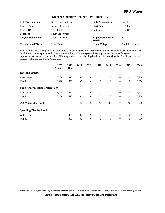#### **Mercer Corridor Project East Phase - WF**

| <b>BCL/Program Name:</b>      | <b>Shared Cost Projects</b> | <b>BCL/Program Code:</b>            | C410B            |
|-------------------------------|-----------------------------|-------------------------------------|------------------|
| <b>Project Type:</b>          | <b>Improved Facility</b>    | <b>Start Date:</b>                  | O1/2007          |
| <b>Project ID:</b>            | C4114-WF                    | <b>End Date:</b>                    | O4/2014          |
| <b>Location:</b>              | South Lake Union            |                                     |                  |
| Neighborhood Plan:            | South Lake Union            | Neighborhood Plan<br><b>Matrix:</b> | N/A              |
| <b>Neighborhood District:</b> | Lake Union                  | Urban Village:                      | South Lake Union |
|                               |                             |                                     |                  |

This program funds the repair, relocation, protection, and upgrade of water infrastructure related to the redevelopment of the South Lake Union neighborhood. This effort identifies SPU water system direct impacts, opportunities for system improvements, and cost responsibility. This program also funds planning-level coordination with other City departments on projects within the South Lake Union area.

|                                        | <b>LTD</b><br><b>Actuals</b> | 2013<br>Rev | 2014 | 2015             | 2016           | 2017           | 2018           | 2019             | <b>Total</b> |
|----------------------------------------|------------------------------|-------------|------|------------------|----------------|----------------|----------------|------------------|--------------|
| <b>Revenue Sources</b>                 |                              |             |      |                  |                |                |                |                  |              |
| <b>Water Rates</b>                     | 3,428                        | 520         | 30   | $\mathbf{0}$     | $\mathbf{0}$   | $\overline{0}$ | $\overline{0}$ | $\overline{0}$   | 3,978        |
| <b>Total:</b>                          | 3,428                        | 520         | 30   | $\boldsymbol{0}$ | $\mathbf{0}$   | $\mathbf{0}$   | $\theta$       | $\boldsymbol{0}$ | 3,978        |
| <b>Fund Appropriations/Allocations</b> |                              |             |      |                  |                |                |                |                  |              |
| Water Fund                             | 3,428                        | 520         | 30   | $\overline{0}$   | $\overline{0}$ | $\overline{0}$ | $\overline{0}$ | $\overline{0}$   | 3,978        |
| Total*:                                | 3,428                        | 520         | 30   | $\boldsymbol{0}$ | $\theta$       | $\theta$       | $\theta$       | $\boldsymbol{0}$ | 3,978        |
| O & M Costs (Savings)                  |                              |             | 40   | 40               | 40             | 40             | 40             | 40               | 239          |
| <b>Spending Plan by Fund</b>           |                              |             |      |                  |                |                |                |                  |              |
| Water Fund                             |                              | 300         | 30   | $\mathbf{0}$     | $\theta$       | $\overline{0}$ | $\mathbf{0}$   | $\mathbf{0}$     | 330          |
| <b>Total:</b>                          |                              | 300         | 30   | $\overline{0}$   | $\theta$       | $\theta$       | $\Omega$       | $\overline{0}$   | 330          |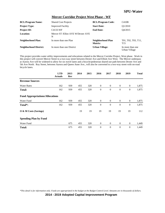#### **Mercer Corridor Project West Phase - WF**

| <b>BCL/Program Name:</b>      | <b>Shared Cost Projects</b>              | <b>BCL/Program Code:</b>     | C410B                                  |
|-------------------------------|------------------------------------------|------------------------------|----------------------------------------|
| <b>Project Type:</b>          | <b>Improved Facility</b>                 | <b>Start Date:</b>           | O1/2010                                |
| <b>Project ID:</b>            | C4133-WF                                 | <b>End Date:</b>             | O4/2015                                |
| <b>Location:</b>              | Mercer ST / Elliot AVE W/Dexter AVE<br>N |                              |                                        |
| Neighborhood Plan:            | In more than one Plan                    | Neighborhood Plan<br>Matrix: | T01, T02, T03, T11,<br>T <sub>15</sub> |
| <b>Neighborhood District:</b> | In more than one District                | Urban Village:               | In more than one<br>Urban Village      |

This project provides water utility improvements and relocations related to the Mercer Corridor Project, West phase. Work in this project will convert Mercer Street to a two-way street between Dexter Ave and Elliott Ave West. The Mercer underpass at Aurora Ave will be widened to allow for six travel lanes and a bicycle/pedestrian shared use path between Dexter Ave and 5th Ave North. Roy Street, between Aurora and Queen Anne Ave., will also be converted to a two-way street with on-road bicycle lanes.

|                                        | <b>LTD</b><br><b>Actuals</b> | 2013<br>Rev | 2014 | 2015 | 2016         | 2017           | 2018           | 2019             | <b>Total</b> |
|----------------------------------------|------------------------------|-------------|------|------|--------------|----------------|----------------|------------------|--------------|
| <b>Revenue Sources</b>                 |                              |             |      |      |              |                |                |                  |              |
| <b>Water Rates</b>                     | 162                          | 939         | 455  | 320  | $\mathbf{0}$ | $\overline{0}$ | $\overline{0}$ | $\overline{0}$   | 1,875        |
| <b>Total:</b>                          | 162                          | 939         | 455  | 320  | $\theta$     | $\theta$       | $\theta$       | $\mathbf{0}$     | 1,875        |
| <b>Fund Appropriations/Allocations</b> |                              |             |      |      |              |                |                |                  |              |
| Water Fund                             | 162                          | 939         | 455  | 320  | $\mathbf{0}$ | $\mathbf{0}$   | $\mathbf{0}$   | $\mathbf{0}$     | 1,875        |
| Total <sup>*</sup> :                   | 162                          | 939         | 455  | 320  | $\theta$     | $\theta$       | $\theta$       | $\theta$         | 1,875        |
| O & M Costs (Savings)                  |                              |             | 19   | 19   | 19           | 19             | 19             | 19               | 112          |
| <b>Spending Plan by Fund</b>           |                              |             |      |      |              |                |                |                  |              |
| Water Fund                             |                              | 675         | 455  | 320  | $\theta$     | $\theta$       | $\theta$       | $\mathbf{0}$     | 1,449        |
| <b>Total:</b>                          |                              | 675         | 455  | 320  | $\theta$     | $\overline{0}$ | $\theta$       | $\boldsymbol{0}$ | 1,449        |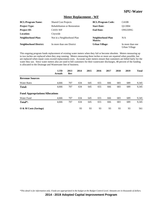### **Meter Replacement - WF**

| <b>BCL/Program Name:</b>      | <b>Shared Cost Projects</b>          | <b>BCL/Program Code:</b>     | C410B                             |
|-------------------------------|--------------------------------------|------------------------------|-----------------------------------|
| <b>Project Type:</b>          | <b>Rehabilitation or Restoration</b> | <b>Start Date:</b>           | O1/2004                           |
| <b>Project ID:</b>            | C4101-WF                             | <b>End Date:</b>             | ONGOING                           |
| Location:                     | Citywide                             |                              |                                   |
| Neighborhood Plan:            | Not in a Neighborhood Plan           | Neighborhood Plan<br>Matrix: | N/A                               |
| <b>Neighborhood District:</b> | In more than one District            | <b>Urban Village:</b>        | In more than one<br>Urban Village |

This ongoing program funds replacement of existing water meters when they fail or become obsolete. Meters measuring up to two inches are replaced when they stop running. Meters measuring three inches or more are repaired when possible, but are replaced when repair costs exceed replacement costs. Accurate water meters ensure that customers are billed fairly for the water they use. Since water meters also are used to bill customers for their wastewater discharges, 48 percent of the funding is allocated to the Drainage and Wastewater line of business.

|                                        | <b>LTD</b><br><b>Actuals</b> | 2013<br>Rev | 2014 | 2015 | 2016 | 2017 | 2018 | 2019 | <b>Total</b> |
|----------------------------------------|------------------------------|-------------|------|------|------|------|------|------|--------------|
| <b>Revenue Sources</b>                 |                              |             |      |      |      |      |      |      |              |
| <b>Water Rates</b>                     | 4,666                        | 707         | 634  | 645  | 655  | 666  | 683  | 689  | 9,345        |
| <b>Total:</b>                          | 4,666                        | 707         | 634  | 645  | 655  | 666  | 683  | 689  | 9,345        |
| <b>Fund Appropriations/Allocations</b> |                              |             |      |      |      |      |      |      |              |
| Water Fund                             | 4,666                        | 707         | 634  | 645  | 655  | 666  | 683  | 689  | 9,345        |
| Total <sup>*</sup> :                   | 4,666                        | 707         | 634  | 645  | 655  | 666  | 683  | 689  | 9,345        |
| O & M Costs (Savings)                  |                              |             | 93   | 93   | 93   | 93   | 93   | 93   | 561          |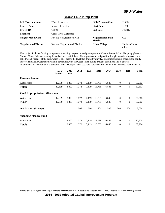#### **Morse Lake Pump Plant**

| <b>BCL/Program Name:</b>      | <b>Water Resources</b>         | <b>BCL/Program Code:</b>     | C <sub>150</sub> B         |
|-------------------------------|--------------------------------|------------------------------|----------------------------|
| <b>Project Type:</b>          | <b>Improved Facility</b>       | <b>Start Date:</b>           | O1/2003                    |
| <b>Project ID:</b>            | C <sub>1508</sub>              | <b>End Date:</b>             | O4/2017                    |
| Location:                     | Cedar River Watershed          |                              |                            |
| Neighborhood Plan:            | Not in a Neighborhood Plan     | Neighborhood Plan<br>Matrix: | N/A                        |
| <b>Neighborhood District:</b> | Not in a Neighborhood District | <b>Urban Village:</b>        | Not in an Urban<br>Village |

This project includes funding to replace the existing barge-mounted pump plants at Chester Morse Lake. The pump plants at Chester Morse Lake are nearing the end of their useful lives. These pumps are designed for drought situations to access socalled "dead storage" at the lake, which is at or below the level that drains by gravity. The improvements enhance the ability to provide reliable water supply and in-stream flows in the Cedar River during drought conditions and to address requirements of the Habitat Conservation Plan. Most pre-2012 costs are deferred costs that will be amortized over ten years.

|                                        | <b>LTD</b><br><b>Actuals</b> | 2013<br>Rev | 2014  | 2015  | 2016   | 2017  | 2018             | 2019             | <b>Total</b> |
|----------------------------------------|------------------------------|-------------|-------|-------|--------|-------|------------------|------------------|--------------|
| <b>Revenue Sources</b>                 |                              |             |       |       |        |       |                  |                  |              |
| <b>Water Rates</b>                     | 12,639                       | 3,800       | 1,372 | 7,119 | 18,788 | 6,846 | $\boldsymbol{0}$ | $\mathbf{0}$     | 50,563       |
| <b>Total:</b>                          | 12,639                       | 3,800       | 1,372 | 7,119 | 18,788 | 6,846 | $\boldsymbol{0}$ | $\boldsymbol{0}$ | 50,563       |
| <b>Fund Appropriations/Allocations</b> |                              |             |       |       |        |       |                  |                  |              |
| Water Fund                             | 12,639                       | 3,800       | 1,372 | 7,119 | 18,788 | 6,846 | $\boldsymbol{0}$ | $\overline{0}$   | 50,563       |
| Total*:                                | 12,639                       | 3,800       | 1,372 | 7,119 | 18,788 | 6,846 | $\boldsymbol{0}$ | $\boldsymbol{0}$ | 50,563       |
| O & M Costs (Savings)                  |                              |             | 506   | 506   | 506    | 506   | 506              | 506              | 3,034        |
| <b>Spending Plan by Fund</b>           |                              |             |       |       |        |       |                  |                  |              |
| Water Fund                             |                              | 3,800       | 1,372 | 7,119 | 18,788 | 6,846 | $\boldsymbol{0}$ | $\mathbf{0}$     | 37,924       |
| <b>Total:</b>                          |                              | 3,800       | 1,372 | 7.119 | 18.788 | 6,846 | $\overline{0}$   | $\mathbf{0}$     | 37,924       |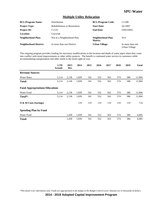### **Multiple Utility Relocation**

| <b>BCL/Program Name:</b>      | <b>Distribution</b>           | <b>BCL/Program Code:</b>     | C110B                             |
|-------------------------------|-------------------------------|------------------------------|-----------------------------------|
| <b>Project Type:</b>          | Rehabilitation or Restoration | <b>Start Date:</b>           | O1/2007                           |
| <b>Project ID:</b>            | C <sub>1133</sub>             | <b>End Date:</b>             | ONGOING                           |
| Location:                     | Citywide                      |                              |                                   |
| Neighborhood Plan:            | Not in a Neighborhood Plan    | Neighborhood Plan<br>Matrix: | N/A                               |
| <b>Neighborhood District:</b> | In more than one District     | <b>Urban Village:</b>        | In more than one<br>Urban Village |

This ongoing program provides funding for necessary modifications to the location and depth of water pipes when they come into conflict with street improvements or other utility projects. The benefit is continued water service to customers while accommodating transportation and other needs in the street right-of-way.

|                                        | <b>LTD</b><br><b>Actuals</b> | 2013<br>Rev | 2014  | 2015 | 2016 | 2017 | 2018 | 2019 | <b>Total</b> |
|----------------------------------------|------------------------------|-------------|-------|------|------|------|------|------|--------------|
| <b>Revenue Sources</b>                 |                              |             |       |      |      |      |      |      |              |
| <b>Water Rates</b>                     | 5,114                        | 2,136       | 1,839 | 541  | 552  | 563  | 574  | 586  | 11,904       |
| <b>Total:</b>                          | 5,114                        | 2,136       | 1,839 | 541  | 552  | 563  | 574  | 586  | 11,904       |
| <b>Fund Appropriations/Allocations</b> |                              |             |       |      |      |      |      |      |              |
| Water Fund                             | 5,114                        | 2,136       | 1,839 | 541  | 552  | 563  | 574  | 586  | 11,904       |
| Total <sup>*</sup> :                   | 5,114                        | 2,136       | 1,839 | 541  | 552  | 563  | 574  | 586  | 11,904       |
| $\overline{O}$ & M Costs (Savings)     |                              |             | 119   | 119  | 119  | 119  | 119  | 119  | 714          |
| <b>Spending Plan by Fund</b>           |                              |             |       |      |      |      |      |      |              |
| Water Fund                             |                              | 1,430       | 1,839 | 541  | 552  | 563  | 574  | 586  | 6,085        |
| <b>Total:</b>                          |                              | 1,430       | 1,839 | 541  | 552  | 563  | 574  | 586  | 6,085        |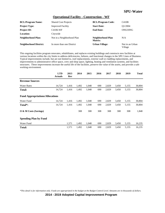#### **Operational Facility - Construction - WF**

| <b>BCL/Program Name:</b>      | <b>Shared Cost Projects</b> | <b>BCL/Program Code:</b>     | C410B                      |
|-------------------------------|-----------------------------|------------------------------|----------------------------|
| <b>Project Type:</b>          | <b>Improved Facility</b>    | <b>Start Date:</b>           | O1/2004                    |
| <b>Project ID:</b>            | C4106-WF                    | <b>End Date:</b>             | ONGOING                    |
| <b>Location:</b>              | Citywide                    |                              |                            |
| Neighborhood Plan:            | Not in a Neighborhood Plan  | Neighborhood Plan<br>Matrix: | N/A                        |
| <b>Neighborhood District:</b> | In more than one District   | <b>Urban Village:</b>        | Not in an Urban<br>Village |

This ongoing facilities program renovates, rehabilitates, and replaces existing buildings and constructs new facilities at various locations within the city limits to address deficiencies, failures, and functional changes in the SPU Lines of Business. Typical improvements include, but are not limited to, roof replacements, exterior wall or cladding replacements, and improvements to administrative office space, crew and shop space, lighting, heating and ventilation systems, and facilities structures. These improvements increase the useful life of the facilities, preserve the value of the assets, and provide a safe working environment.

|                                        | <b>LTD</b><br><b>Actuals</b> | 2013<br>Rev | 2014  | 2015  | 2016 | 2017  | 2018  | 2019  | <b>Total</b> |
|----------------------------------------|------------------------------|-------------|-------|-------|------|-------|-------|-------|--------------|
| <b>Revenue Sources</b>                 |                              |             |       |       |      |       |       |       |              |
| <b>Water Rates</b>                     | 14,724                       | 1,416       | 1,492 | 1,048 | 690  | 2,829 | 3,450 | 5,155 | 30,804       |
| <b>Total:</b>                          | 14,724                       | 1,416       | 1,492 | 1,048 | 690  | 2,829 | 3,450 | 5,155 | 30,804       |
| <b>Fund Appropriations/Allocations</b> |                              |             |       |       |      |       |       |       |              |
| Water Fund                             | 14,724                       | 1,416       | 1,492 | 1,048 | 690  | 2,829 | 3,450 | 5,155 | 30,804       |
| Total*:                                | 14,724                       | 1,416       | 1,492 | 1,048 | 690  | 2,829 | 3,450 | 5,155 | 30,804       |
| O & M Costs (Savings)                  |                              |             | 308   | 308   | 308  | 308   | 308   | 308   | 1,848        |
| <b>Spending Plan by Fund</b>           |                              |             |       |       |      |       |       |       |              |
| Water Fund                             |                              | 1,571       | 1,492 | 1,048 | 690  | 2,829 | 3,450 | 5,155 | 16,235       |
| <b>Total:</b>                          |                              | 1,571       | 1,492 | 1,048 | 690  | 2,829 | 3,450 | 5,155 | 16,235       |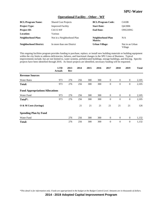### **Operational Facility - Other - WF**

| <b>BCL/Program Name:</b>      | <b>Shared Cost Projects</b> | <b>BCL/Program Code:</b>     | C410B                      |
|-------------------------------|-----------------------------|------------------------------|----------------------------|
| <b>Project Type:</b>          | <b>Improved Facility</b>    | <b>Start Date:</b>           | O4/2006                    |
| <b>Project ID:</b>            | C4115-WF                    | <b>End Date:</b>             | ONGOING                    |
| Location:                     | Various                     |                              |                            |
| <b>Neighborhood Plan:</b>     | Not in a Neighborhood Plan  | Neighborhood Plan<br>Matrix: | N/A                        |
| <b>Neighborhood District:</b> | In more than one District   | <b>Urban Village:</b>        | Not in an Urban<br>Village |

This ongoing facilities program provides funding to purchase, replace, or install new building materials or building equipment within the city limits to address deficiencies, failures, and functional changes in the SPU Lines of Business. Typical improvements include, but are not limited to, water systems, prefabricated buildings, storage buildings, and fencing. Specific projects have been identified through 2016. As future projects are identified, necessary funding will be requested.

|                                        | <b>LTD</b><br><b>Actuals</b> | 2013<br>Rev | 2014 | 2015 | 2016 | 2017           | 2018             | 2019             | <b>Total</b> |
|----------------------------------------|------------------------------|-------------|------|------|------|----------------|------------------|------------------|--------------|
| <b>Revenue Sources</b>                 |                              |             |      |      |      |                |                  |                  |              |
| <b>Water Rates</b>                     | 973                          | 276         | 256  | 300  | 300  | $\overline{0}$ | $\boldsymbol{0}$ | $\overline{0}$   | 2,105        |
| <b>Total:</b>                          | 973                          | 276         | 256  | 300  | 300  | $\theta$       | $\theta$         | $\mathbf{0}$     | 2,105        |
| <b>Fund Appropriations/Allocations</b> |                              |             |      |      |      |                |                  |                  |              |
| Water Fund                             | 973                          | 276         | 256  | 300  | 300  | $\bf{0}$       | $\mathbf{0}$     | $\boldsymbol{0}$ | 2,105        |
| Total <sup>*</sup> :                   | 973                          | 276         | 256  | 300  | 300  | $\theta$       | $\theta$         | $\mathbf{0}$     | 2,105        |
| O & M Costs (Savings)                  |                              |             | 21   | 21   | 21   | 21             | 21               | 21               | 126          |
| <b>Spending Plan by Fund</b>           |                              |             |      |      |      |                |                  |                  |              |
| Water Fund                             |                              | 276         | 256  | 300  | 300  | $\theta$       | $\theta$         | $\mathbf{0}$     | 1,132        |
| <b>Total:</b>                          |                              | 276         | 256  | 300  | 300  | $\theta$       | $\theta$         | $\boldsymbol{0}$ | 1,132        |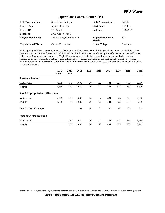#### **Operations Control Center - WF**

| <b>BCL/Program Name:</b>      | <b>Shared Cost Projects</b> | <b>BCL/Program Code:</b>     | C410B    |
|-------------------------------|-----------------------------|------------------------------|----------|
| <b>Project Type:</b>          | <b>Improved Facility</b>    | <b>Start Date:</b>           | O1/2003  |
| <b>Project ID:</b>            | C4105-WF                    | <b>End Date:</b>             | ONGOING  |
| Location:                     | 2700 Airport Way S          |                              |          |
| Neighborhood Plan:            | Not in a Neighborhood Plan  | Neighborhood Plan<br>Matrix: | N/A      |
| <b>Neighborhood District:</b> | Greater Duwamish            | Urban Village:               | Duwamish |

This ongoing facilities program renovates, rehabilitates, and replaces existing buildings and constructs new facilities at the Operations Control Center located at 2700 Airport Way South to improve the efficiency and effectiveness of the field crews delivering utility services to customers. Typical improvements include, but are not limited to, roof and other exterior replacements, improvements to public spaces, office and crew spaces and lighting, and heating and ventilation systems. These improvements increase the useful life of the facility, preserve the value of the asset, and provide a safe work and public space environment.

|                                        | <b>LTD</b><br><b>Actuals</b> | 2013<br>Rev | 2014  | 2015 | 2016 | 2017 | 2018 | 2019 | <b>Total</b> |
|----------------------------------------|------------------------------|-------------|-------|------|------|------|------|------|--------------|
| <b>Revenue Sources</b>                 |                              |             |       |      |      |      |      |      |              |
| <b>Water Rates</b>                     | 4,555                        | 170         | 1,630 | 76   | 122  | 431  | 623  | 783  | 8,390        |
| Total:                                 | 4,555                        | 170         | 1,630 | 76   | 122  | 431  | 623  | 783  | 8,390        |
| <b>Fund Appropriations/Allocations</b> |                              |             |       |      |      |      |      |      |              |
| Water Fund                             | 4,555                        | 170         | 1,630 | 76   | 122  | 431  | 623  | 783  | 8,390        |
| Total*:                                | 4,555                        | 170         | 1,630 | 76   | 122  | 431  | 623  | 783  | 8,390        |
| O & M Costs (Savings)                  |                              |             | 84    | 84   | 84   | 84   | 84   | 84   | 503          |
| <b>Spending Plan by Fund</b>           |                              |             |       |      |      |      |      |      |              |
| Water Fund                             |                              | 134         | 1,630 | 76   | 122  | 431  | 623  | 783  | 3,799        |
| <b>Total:</b>                          |                              | 134         | 1,630 | 76   | 122  | 431  | 623  | 783  | 3.799        |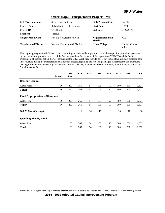#### **Other Major Transportation Projects - WF**

| <b>BCL/Program Name:</b>      | <b>Shared Cost Projects</b>          | <b>BCL/Program Code:</b>     | C410B                      |
|-------------------------------|--------------------------------------|------------------------------|----------------------------|
| <b>Project Type:</b>          | <b>Rehabilitation or Restoration</b> | <b>Start Date:</b>           | O <sub>2</sub> /2008       |
| <b>Project ID:</b>            | C4123-WF                             | <b>End Date:</b>             | ONGOING                    |
| Location:                     | Various                              |                              |                            |
| Neighborhood Plan:            | Not in a Neighborhood Plan           | Neighborhood Plan<br>Matrix: | N/A                        |
| <b>Neighborhood District:</b> | Not in a Neighborhood District       | <b>Urban Village:</b>        | Not in an Urban<br>Village |

This ongoing program funds Water projects that mitigate undesirable impacts and take advantage of opportunities generated by the capital transportation projects of the Washington State Department of Transportation (WSDOT) and the Seattle Department of Transportation (SDOT) throughout the City. Work may include, but is not limited to, physically protecting the infrastructure during the transportation construction process, repairing and replacing damaged infrastructure, and improving existing infrastructure to meet higher standards. Project sites may include, but are not limited to, State Route 520, Interstate 5, and Interstate 90.

|                                        | <b>LTD</b><br><b>Actuals</b> | 2013<br>Rev | 2014 | 2015 | 2016 | 2017 | 2018 | 2019 | <b>Total</b> |
|----------------------------------------|------------------------------|-------------|------|------|------|------|------|------|--------------|
| <b>Revenue Sources</b>                 |                              |             |      |      |      |      |      |      |              |
| <b>Water Rates</b>                     | 36                           | 290         | 265  | 54   | 105  | 50   | 300  | 500  | 1,601        |
| <b>Total:</b>                          | 36                           | 290         | 265  | 54   | 105  | 50   | 300  | 500  | 1,601        |
| <b>Fund Appropriations/Allocations</b> |                              |             |      |      |      |      |      |      |              |
| Water Fund                             | 36                           | 290         | 265  | 54   | 105  | 50   | 300  | 500  | 1,601        |
| Total*:                                | 36                           | 290         | 265  | 54   | 105  | 50   | 300  | 500  | 1,601        |
| O & M Costs (Savings)                  |                              |             | 16   | 16   | 16   | 16   | 16   | 16   | 96           |
| <b>Spending Plan by Fund</b>           |                              |             |      |      |      |      |      |      |              |
| Water Fund                             |                              | 80          | 265  | 54   | 105  | 50   | 300  | 500  | 1,355        |
| <b>Total:</b>                          |                              | 80          | 265  | 54   | 105  | 50   | 300  | 500  | 1,355        |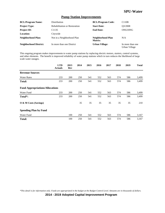### **Pump Station Improvements**

| <b>BCL/Program Name:</b>      | Distribution                         | <b>BCL/Program Code:</b>     | C110B                             |
|-------------------------------|--------------------------------------|------------------------------|-----------------------------------|
| <b>Project Type:</b>          | <b>Rehabilitation or Restoration</b> | <b>Start Date:</b>           | O3/2008                           |
| <b>Project ID:</b>            | C <sub>1135</sub>                    | <b>End Date:</b>             | ONGOING                           |
| <b>Location:</b>              | Citywide                             |                              |                                   |
| <b>Neighborhood Plan:</b>     | Not in a Neighborhood Plan           | Neighborhood Plan<br>Matrix: | N/A                               |
| <b>Neighborhood District:</b> | In more than one District            | <b>Urban Village:</b>        | In more than one<br>Urban Village |

This ongoing program makes improvements to water pump stations by replacing electric motors, starters, control systems, and other elements. The benefit is improved reliability of water pump stations which in turn reduces the likelihood of large scale water outages.

|                                        | <b>LTD</b><br><b>Actuals</b> | 2013<br>Rev | 2014 | 2015 | 2016 | 2017 | 2018 | 2019 | <b>Total</b> |
|----------------------------------------|------------------------------|-------------|------|------|------|------|------|------|--------------|
| <b>Revenue Sources</b>                 |                              |             |      |      |      |      |      |      |              |
| <b>Water Rates</b>                     | 233                          | 200         | 250  | 541  | 552  | 563  | 574  | 586  | 3,499        |
| <b>Total:</b>                          | 233                          | 200         | 250  | 541  | 552  | 563  | 574  | 586  | 3,499        |
| <b>Fund Appropriations/Allocations</b> |                              |             |      |      |      |      |      |      |              |
| Water Fund                             | 233                          | 200         | 250  | 541  | 552  | 563  | 574  | 586  | 3,499        |
| Total*:                                | 233                          | 200         | 250  | 541  | 552  | 563  | 574  | 586  | 3,499        |
| $\overline{O}$ & M Costs (Savings)     |                              |             | 35   | 35   | 35   | 35   | 35   | 35   | 210          |
| <b>Spending Plan by Fund</b>           |                              |             |      |      |      |      |      |      |              |
| Water Fund                             |                              | 100         | 250  | 541  | 552  | 563  | 574  | 586  | 3,167        |
| <b>Total:</b>                          |                              | 100         | 250  | 541  | 552  | 563  | 574  | 586  | 3,167        |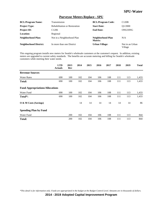### **Purveyor Meters Replace - SPU**

| <b>BCL/Program Name:</b>      | Transmission                         | <b>BCL/Program Code:</b>     | C120B                      |
|-------------------------------|--------------------------------------|------------------------------|----------------------------|
| <b>Project Type:</b>          | <b>Rehabilitation or Restoration</b> | <b>Start Date:</b>           | O1/2000                    |
| <b>Project ID:</b>            | C <sub>1206</sub>                    | <b>End Date:</b>             | ONGOING                    |
| Location:                     | Regional                             |                              |                            |
| <b>Neighborhood Plan:</b>     | Not in a Neighborhood Plan           | Neighborhood Plan<br>Matrix: | N/A                        |
| <b>Neighborhood District:</b> | In more than one District            | <b>Urban Village:</b>        | Not in an Urban<br>Village |

This ongoing program installs new meters for Seattle's wholesale customers at the customer's request. In addition, existing meters are upgraded to current safety standards. The benefits are accurate metering and billing for Seattle's wholesale customers while meeting their water needs.

|                                        | <b>LTD</b><br><b>Actuals</b> | 2013<br>Rev | 2014 | 2015 | 2016 | 2017 | 2018 | 2019 | <b>Total</b> |
|----------------------------------------|------------------------------|-------------|------|------|------|------|------|------|--------------|
| <b>Revenue Sources</b>                 |                              |             |      |      |      |      |      |      |              |
| <b>Water Rates</b>                     | 690                          | 100         | 102  | 104  | 106  | 108  | 111  | 113  | 1,433        |
| <b>Total:</b>                          | 690                          | 100         | 102  | 104  | 106  | 108  | 111  | 113  | 1,433        |
| <b>Fund Appropriations/Allocations</b> |                              |             |      |      |      |      |      |      |              |
| Water Fund                             | 690                          | 100         | 102  | 104  | 106  | 108  | 111  | 113  | 1,433        |
| Total <sup>*</sup> :                   | 690                          | 100         | 102  | 104  | 106  | 108  | 111  | 113  | 1,433        |
| O & M Costs (Savings)                  |                              |             | 14   | 14   | 14   | 14   | 14   | 14   | 86           |
| <b>Spending Plan by Fund</b>           |                              |             |      |      |      |      |      |      |              |
| Water Fund                             |                              | 200         | 102  | 104  | 106  | 108  | 111  | 113  | 844          |
| <b>Total:</b>                          |                              | 200         | 102  | 104  | 106  | 108  | 111  | 113  | 844          |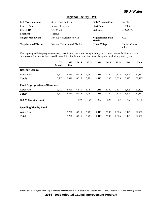### **Regional Facility - WF**

| <b>BCL/Program Name:</b>      | <b>Shared Cost Projects</b>    | <b>BCL/Program Code:</b>     | C410B                      |
|-------------------------------|--------------------------------|------------------------------|----------------------------|
| <b>Project Type:</b>          | <b>Improved Facility</b>       | <b>Start Date:</b>           | O1/2007                    |
| <b>Project ID:</b>            | C4107-WF                       | <b>End Date:</b>             | ONGOING                    |
| Location:                     | Various                        |                              |                            |
| <b>Neighborhood Plan:</b>     | Not in a Neighborhood Plan     | Neighborhood Plan<br>Matrix: | N/A                        |
| <b>Neighborhood District:</b> | Not in a Neighborhood District | <b>Urban Village:</b>        | Not in an Urban<br>Village |

This ongoing facilities program renovates, rehabilitates, replaces existing buildings, and constructs new facilities at various locations outside the city limits to address deficiencies, failures, and functional changes in the drinking water system.

|                                        | <b>LTD</b><br><b>Actuals</b> | 2013<br>Rev | 2014  | 2015  | 2016  | 2017  | 2018  | 2019  | <b>Total</b> |
|----------------------------------------|------------------------------|-------------|-------|-------|-------|-------|-------|-------|--------------|
| <b>Revenue Sources</b>                 |                              |             |       |       |       |       |       |       |              |
| <b>Water Rates</b>                     | 3,713                        | 3,321       | 6,515 | 5,781 | 4,418 | 2,200 | 2,825 | 3,425 | 32,197       |
| Total:                                 | 3,713                        | 3,321       | 6,515 | 5,781 | 4,418 | 2,200 | 2,825 | 3,425 | 32,197       |
| <b>Fund Appropriations/Allocations</b> |                              |             |       |       |       |       |       |       |              |
| Water Fund                             | 3,713                        | 3,321       | 6,515 | 5,781 | 4,418 | 2,200 | 2,825 | 3,425 | 32,197       |
| Total <sup>*</sup> :                   | 3,713                        | 3,321       | 6,515 | 5,781 | 4,418 | 2,200 | 2,825 | 3,425 | 32,197       |
| $\overline{O}$ & M Costs (Savings)     |                              |             | 322   | 322   | 322   | 322   | 322   | 322   | 1,932        |
| <b>Spending Plan by Fund</b>           |                              |             |       |       |       |       |       |       |              |
| Water Fund                             |                              | 2,291       | 6,515 | 5,781 | 4,418 | 2,200 | 2,825 | 3,425 | 27,455       |
| <b>Total:</b>                          |                              | 2,291       | 6,515 | 5,781 | 4,418 | 2,200 | 2,825 | 3,425 | 27,455       |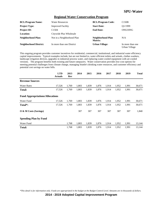#### **Regional Water Conservation Program**

| <b>BCL/Program Name:</b>      | <b>Water Resources</b>     | <b>BCL/Program Code:</b>     | C150B                             |
|-------------------------------|----------------------------|------------------------------|-----------------------------------|
| <b>Project Type:</b>          | <b>Improved Facility</b>   | <b>Start Date:</b>           | O1/1999                           |
| <b>Project ID:</b>            | C <sub>1504</sub>          | <b>End Date:</b>             | ONGOING                           |
| <b>Location:</b>              | Citywide Plus Wholesale    |                              |                                   |
| Neighborhood Plan:            | Not in a Neighborhood Plan | Neighborhood Plan<br>Matrix: | N/A                               |
| <b>Neighborhood District:</b> | In more than one District  | <b>Urban Village:</b>        | In more than one<br>Urban Village |

This ongoing program provides customer incentives for residential, commercial, institutional, and industrial water efficiency capital improvements. Typical examples include, but are not limited to, water efficient toilets and urinals, clothes washers, landscape irrigation devices, upgrades in industrial process water, and replacing water-cooled equipment with air-cooled versions. The program benefits both existing and future ratepayers. Water conservation provides low-cost options for meeting potential challenges from climate change, managing Seattle's drinking water resources, and customer efficiency and potential cost savings on water bills.

|                                        | <b>LTD</b><br><b>Actuals</b> | 2013<br>Rev | 2014  | 2015  | 2016  | 2017  | 2018  | 2019  | <b>Total</b> |
|----------------------------------------|------------------------------|-------------|-------|-------|-------|-------|-------|-------|--------------|
| <b>Revenue Sources</b>                 |                              |             |       |       |       |       |       |       |              |
| <b>Water Rates</b>                     | 17,526                       | 1,769       | 1,803 | 1,839 | 1,876 | 1,914 | 1,952 | 1,991 | 30,671       |
| <b>Total:</b>                          | 17,526                       | 1,769       | 1,803 | 1,839 | 1,876 | 1,914 | 1,952 | 1,991 | 30,671       |
| <b>Fund Appropriations/Allocations</b> |                              |             |       |       |       |       |       |       |              |
| Water Fund                             | 17,526                       | 1,769       | 1,803 | 1,839 | 1,876 | 1,914 | 1,952 | 1,991 | 30,671       |
| Total <sup>*</sup> :                   | 17,526                       | 1,769       | 1,803 | 1,839 | 1,876 | 1,914 | 1,952 | 1,991 | 30,671       |
| O & M Costs (Savings)                  |                              |             | 307   | 307   | 307   | 307   | 307   | 307   | 1,840        |
| <b>Spending Plan by Fund</b>           |                              |             |       |       |       |       |       |       |              |
| Water Fund                             |                              | 1,768       | 1,803 | 1,839 | 1,876 | 1,914 | 1,952 | 1,991 | 13,144       |
| <b>Total:</b>                          |                              | 1,768       | 1,803 | 1,839 | 1,876 | 1,914 | 1,952 | 1,991 | 13,144       |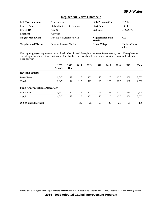### **Replace Air Valve Chambers**

| <b>BCL/Program Name:</b>      | Transmission                         | <b>BCL/Program Code:</b>     | C120B                      |
|-------------------------------|--------------------------------------|------------------------------|----------------------------|
| <b>Project Type:</b>          | <b>Rehabilitation or Restoration</b> | <b>Start Date:</b>           | O3/1999                    |
| <b>Project ID:</b>            | C <sub>1209</sub>                    | <b>End Date:</b>             | ONGOING                    |
| Location:                     | Citywide                             |                              |                            |
| <b>Neighborhood Plan:</b>     | Not in a Neighborhood Plan           | Neighborhood Plan<br>Matrix: | N/A                        |
| <b>Neighborhood District:</b> | In more than one District            | <b>Urban Village:</b>        | Not in an Urban<br>Village |

This ongoing project improves access to the chambers located throughout the transmission water system. The replacement and enlargement of the entrance to transmission chambers increase the safety for workers that need to enter the chambers twice per year.

|                                        | <b>LTD</b><br><b>Actuals</b> | 2013<br>Rev | 2014 | 2015 | 2016 | 2017 | 2018 | 2019 | <b>Total</b> |
|----------------------------------------|------------------------------|-------------|------|------|------|------|------|------|--------------|
| <b>Revenue Sources</b>                 |                              |             |      |      |      |      |      |      |              |
| <b>Water Rates</b>                     | 1.647                        | 112         | 117  | 122  | 125  | 125  | 127  | 130  | 2,505        |
| <b>Total:</b>                          | 1,647                        | 112         | 117  | 122  | 125  | 125  | 127  | 130  | 2,505        |
| <b>Fund Appropriations/Allocations</b> |                              |             |      |      |      |      |      |      |              |
| Water Fund                             | 1,647                        | 112         | 117  | 122  | 125  | 125  | 127  | 130  | 2,505        |
| Total <sup>*</sup> :                   | 1,647                        | 112         | 117  | 122  | 125  | 125  | 127  | 130  | 2,505        |
| O & M Costs (Savings)                  |                              |             | 25   | 25   | 25   | 25   | 25   | 25   | 150          |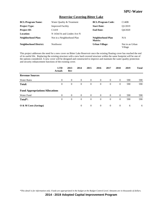### **Reservior Covering-Bitter Lake**

| <b>BCL/Program Name:</b>      | Water Quality & Treatment   | <b>BCL/Program Code:</b>     | C140B                      |
|-------------------------------|-----------------------------|------------------------------|----------------------------|
| <b>Project Type:</b>          | <b>Improved Facility</b>    | <b>Start Date:</b>           | O1/2019                    |
| <b>Project ID:</b>            | C <sub>1419</sub>           | <b>End Date:</b>             | O4/2020                    |
| Location:                     | N 143rd St and Linden Ave N |                              |                            |
| Neighborhood Plan:            | Not in a Neighborhood Plan  | Neighborhood Plan<br>Matrix: | N/A                        |
| <b>Neighborhood District:</b> | Northwest                   | <b>Urban Village:</b>        | Not in an Urban<br>Village |

This project addresses the need for a new cover on Bitter Lake Reservoir once the existing floating cover has reached the end of its useful life. Replacing the existing structure with a new hard covered structure within the same footprint will be one of the options considered. A new cover will be designed and constructed to improve and maintain the water quality protection and security enhancement functions of the existing cover.

|                                        | <b>LTD</b><br><b>Actuals</b> | 2013<br>Rev    | 2014     | 2015           | 2016           | 2017           | 2018           | 2019 | <b>Total</b> |
|----------------------------------------|------------------------------|----------------|----------|----------------|----------------|----------------|----------------|------|--------------|
| <b>Revenue Sources</b>                 |                              |                |          |                |                |                |                |      |              |
| <b>Water Rates</b>                     | $\overline{0}$               | $\overline{0}$ | $\theta$ | $\overline{0}$ | $\overline{0}$ | $\overline{0}$ | $\overline{0}$ | 590  | 590          |
| <b>Total:</b>                          | $\overline{0}$               | $\theta$       | $\theta$ | $\overline{0}$ | $\theta$       | $\theta$       | $\theta$       | 590  | 590          |
| <b>Fund Appropriations/Allocations</b> |                              |                |          |                |                |                |                |      |              |
| <b>Water Fund</b>                      | $\overline{0}$               | $\theta$       | $\theta$ | $\overline{0}$ | $\overline{0}$ | $\theta$       | $\overline{0}$ | 590  | 590          |
| Total*:                                | $\overline{0}$               | $\overline{0}$ | $\theta$ | $\overline{0}$ | $\overline{0}$ | $\theta$       | $\theta$       | 590  | 590          |
| O & M Costs (Savings)                  |                              |                | $\theta$ | $\overline{0}$ | $\overline{0}$ | $\overline{0}$ | $\overline{0}$ | 6    | 6            |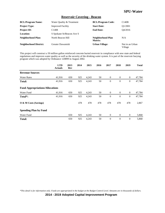### **Reservoir Covering - Beacon**

| <b>BCL/Program Name:</b>      | Water Quality & Treatment | <b>BCL/Program Code:</b>     | C140B                      |
|-------------------------------|---------------------------|------------------------------|----------------------------|
| <b>Project Type:</b>          | <b>Improved Facility</b>  | <b>Start Date:</b>           | O1/2001                    |
| <b>Project ID:</b>            | C <sub>1408</sub>         | <b>End Date:</b>             | O4/2016                    |
| <b>Location:</b>              | S Spokane St/Beacon Ave S |                              |                            |
| Neighborhood Plan:            | North Beacon Hill         | Neighborhood Plan<br>Matrix: | N/A                        |
| <b>Neighborhood District:</b> | Greater Duwamish          | <b>Urban Village:</b>        | Not in an Urban<br>Village |

This project will construct a 50 million gallon reinforced concrete buried reservoir in compliance with new state and federal regulations and improves water quality as well as the security of the drinking water system. It is part of the reservoir burying program which was adopted by Ordinance 120899 in August 2002.

|                                        | <b>LTD</b><br><b>Actuals</b> | 2013<br>Rev | 2014 | 2015  | 2016 | 2017         | 2018           | 2019         | <b>Total</b> |
|----------------------------------------|------------------------------|-------------|------|-------|------|--------------|----------------|--------------|--------------|
| <b>Revenue Sources</b>                 |                              |             |      |       |      |              |                |              |              |
| <b>Water Rates</b>                     | 41,916                       | 650         | 925  | 4,243 | 50   | $\mathbf{0}$ | $\mathbf{0}$   | $\mathbf{0}$ | 47,784       |
| <b>Total:</b>                          | 41,916                       | 650         | 925  | 4,243 | 50   | $\theta$     | $\theta$       | $\mathbf{0}$ | 47,784       |
| <b>Fund Appropriations/Allocations</b> |                              |             |      |       |      |              |                |              |              |
| Water Fund                             | 41,916                       | 650         | 925  | 4,243 | 50   | $\theta$     | $\overline{0}$ | $\mathbf{0}$ | 47,784       |
| Total*:                                | 41,916                       | 650         | 925  | 4,243 | 50   | $\theta$     | $\theta$       | $\mathbf{0}$ | 47,784       |
| O & M Costs (Savings)                  |                              |             | 478  | 478   | 478  | 478          | 478            | 478          | 2,867        |
| <b>Spending Plan by Fund</b>           |                              |             |      |       |      |              |                |              |              |
| Water Fund                             |                              | 650         | 925  | 4,243 | 50   | $\theta$     | $\overline{0}$ | $\mathbf{0}$ | 5,868        |
| <b>Total:</b>                          |                              | 650         | 925  | 4,243 | 50   | $\theta$     | $\theta$       | $\mathbf{0}$ | 5,868        |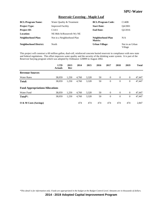### **Reservoir Covering - Maple Leaf**

| <b>BCL/Program Name:</b>      | Water Quality & Treatment  | <b>BCL/Program Code:</b>     | C140B                      |
|-------------------------------|----------------------------|------------------------------|----------------------------|
| <b>Project Type:</b>          | <b>Improved Facility</b>   | <b>Start Date:</b>           | O4/2001                    |
| <b>Project ID:</b>            | C <sub>1411</sub>          | <b>End Date:</b>             | Q2/2016                    |
| <b>Location:</b>              | NE 86th St/Roosevelt Wy NE |                              |                            |
| <b>Neighborhood Plan:</b>     | Not in a Neighborhood Plan | Neighborhood Plan<br>Matrix: | N/A                        |
| <b>Neighborhood District:</b> | North                      | <b>Urban Village:</b>        | Not in an Urban<br>Village |

This project will construct a 60 million gallon, dual-cell, reinforced concrete buried reservoir in compliance with new state and federal regulations. This effort improves water quality and the security of the drinking water system. It is part of the Reservoir burying program which was adopted by Ordinance 120899 in August 2002.

|                                        | <b>LTD</b><br><b>Actuals</b> | 2013<br>Rev | 2014  | 2015  | 2016 | 2017           | 2018           | 2019           | <b>Total</b> |
|----------------------------------------|------------------------------|-------------|-------|-------|------|----------------|----------------|----------------|--------------|
| <b>Revenue Sources</b>                 |                              |             |       |       |      |                |                |                |              |
| <b>Water Rates</b>                     | 38,059                       | 1,250       | 4,760 | 3,328 | 50   | $\theta$       | $\overline{0}$ | $\mathbf{0}$   | 47,447       |
| <b>Total:</b>                          | 38,059                       | 1,250       | 4,760 | 3,328 | 50   | $\theta$       | $\overline{0}$ | $\overline{0}$ | 47,447       |
| <b>Fund Appropriations/Allocations</b> |                              |             |       |       |      |                |                |                |              |
| Water Fund                             | 38,059                       | 1,250       | 4,760 | 3,328 | 50   | $\theta$       | $\overline{0}$ | $\overline{0}$ | 47,447       |
| Total*:                                | 38,059                       | 1,250       | 4,760 | 3,328 | 50   | $\overline{0}$ | $\overline{0}$ | $\overline{0}$ | 47,447       |
| O & M Costs (Savings)                  |                              |             | 474   | 474   | 474  | 474            | 474            | 474            | 2,847        |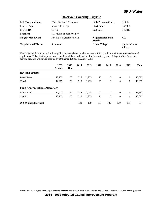### **Reservoir Covering - Myrtle**

| <b>BCL/Program Name:</b>      | Water Quality & Treatment  | <b>BCL/Program Code:</b>     | C140B                      |
|-------------------------------|----------------------------|------------------------------|----------------------------|
| <b>Project Type:</b>          | <b>Improved Facility</b>   | <b>Start Date:</b>           | O4/2001                    |
| <b>Project ID:</b>            | C <sub>1410</sub>          | <b>End Date:</b>             | O4/2016                    |
| <b>Location:</b>              | SW Myrtle St/35th Ave SW   |                              |                            |
| Neighborhood Plan:            | Not in a Neighborhood Plan | Neighborhood Plan<br>Matrix: | N/A                        |
| <b>Neighborhood District:</b> | <b>Southwest</b>           | <b>Urban Village:</b>        | Not in an Urban<br>Village |

This project will construct a 5 million gallon reinforced concrete buried reservoir in compliance with new state and federal regulations. This effort improves water quality and the security of the drinking water system. It is part of the Reservoir burying program which was adopted by Ordinance 120899 in August 2002.

|                                        | <b>LTD</b><br><b>Actuals</b> | 2013<br>Rev | 2014 | 2015  | 2016 | 2017           | 2018           | 2019           | <b>Total</b> |
|----------------------------------------|------------------------------|-------------|------|-------|------|----------------|----------------|----------------|--------------|
| <b>Revenue Sources</b>                 |                              |             |      |       |      |                |                |                |              |
| <b>Water Rates</b>                     | 12,273                       | 50          | 315  | 1,235 | 20   | $\theta$       | $\overline{0}$ | $\overline{0}$ | 13,893       |
| <b>Total:</b>                          | 12,273                       | 50          | 315  | 1,235 | 20   | $\overline{0}$ | $\overline{0}$ | $\overline{0}$ | 13,893       |
| <b>Fund Appropriations/Allocations</b> |                              |             |      |       |      |                |                |                |              |
| Water Fund                             | 12,273                       | 50          | 315  | 1,235 | 20   | $\theta$       | $\overline{0}$ | $\overline{0}$ | 13,893       |
| Total <sup>*</sup> :                   | 12,273                       | 50          | 315  | 1,235 | 20   | $\theta$       | $\overline{0}$ | $\overline{0}$ | 13,893       |
| O & M Costs (Savings)                  |                              |             | 139  | 139   | 139  | 139            | 139            | 139            | 834          |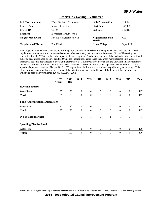#### **Reservoir Covering - Volunteer**

| <b>BCL/Program Name:</b>      | Water Quality & Treatment  | <b>BCL/Program Code:</b>     | C140B        |
|-------------------------------|----------------------------|------------------------------|--------------|
| <b>Project Type:</b>          | <b>Improved Facility</b>   | <b>Start Date:</b>           | O4/2001      |
| <b>Project ID:</b>            | C <sub>1407</sub>          | <b>End Date:</b>             | O4/2013      |
| <b>Location:</b>              | E Prospect St./12th Ave. E |                              |              |
| Neighborhood Plan:            | Not in a Neighborhood Plan | Neighborhood Plan<br>Matrix: | N/A          |
| <b>Neighborhood District:</b> | <b>East District</b>       | <b>Urban Village:</b>        | Capitol Hill |

This project will either reconstruct the 20 million gallon concrete-lined reservoir in compliance with new state and federal regulations, or remove it from service and construct a bypass pipe system around the Reservoir. SPU will be taking the reservoir offline in 2013 to evaluate the impact to the water system. Pending the outcome of the evaluation, the reservoir will either be decommissioned or buried and SPU will seek appropriations for those costs when more information is available. Permanent action is not expected to occur until after Maple Leaf Reservoir is completed and the City has had an opportunity to take the Volunteer Reservoir off-line for a period of time to observe the water system's performance without it. Thus no spending is planned between 2014 and 2016. LTD expenditures in this project are related to preliminary engineering. This effort improves water quality and the security of the drinking water system and is part of the Reservoir burying program which was adopted by Ordinance 120899 in August 2002.

|                                        | <b>LTD</b><br><b>Actuals</b> | 2013<br>Rev | 2014           | 2015           | 2016           | 2017           | 2018         | 2019         | <b>Total</b> |
|----------------------------------------|------------------------------|-------------|----------------|----------------|----------------|----------------|--------------|--------------|--------------|
| <b>Revenue Sources</b>                 |                              |             |                |                |                |                |              |              |              |
| <b>Water Rates</b>                     | 97                           | 20          | $\overline{0}$ | $\overline{0}$ | $\overline{0}$ | $\overline{0}$ | $\mathbf{0}$ | $\mathbf{0}$ | 117          |
| <b>Total:</b>                          | 97                           | 20          | $\theta$       | $\theta$       | $\theta$       | $\overline{0}$ | $\mathbf{0}$ | $\mathbf{0}$ | 117          |
| <b>Fund Appropriations/Allocations</b> |                              |             |                |                |                |                |              |              |              |
| Water Fund                             | 97                           | 20          | $\overline{0}$ | $\overline{0}$ | $\mathbf{0}$   | $\overline{0}$ | $\mathbf{0}$ | $\mathbf{0}$ | 117          |
| Total <sup>*</sup> :                   | 97                           | 20          | $\theta$       | $\theta$       | $\Omega$       | $\Omega$       | $\theta$     | $\mathbf{0}$ | 117          |
| O & M Costs (Savings)                  |                              |             | $\mathbf{1}$   | 1              | 1              | $\mathbf{1}$   | 1            | 1            | $\tau$       |
| <b>Spending Plan by Fund</b>           |                              |             |                |                |                |                |              |              |              |
| Water Fund                             |                              | 100         | $\overline{0}$ | $\theta$       | $\theta$       | $\overline{0}$ | $\mathbf{0}$ | $\mathbf{0}$ | 100          |
| <b>Total:</b>                          |                              | 100         | $\theta$       | $\mathbf{0}$   | $\theta$       | $\theta$       | $\theta$     | $\theta$     | 100          |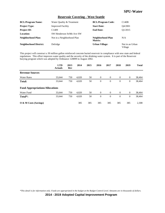### **Reservoir Covering - West Seattle**

| <b>BCL/Program Name:</b>      | Water Quality & Treatment  | <b>BCL/Program Code:</b>     | C140B                      |
|-------------------------------|----------------------------|------------------------------|----------------------------|
| <b>Project Type:</b>          | <b>Improved Facility</b>   | <b>Start Date:</b>           | O4/2001                    |
| <b>Project ID:</b>            | C <sub>1409</sub>          | <b>End Date:</b>             | O1/2015                    |
| Location:                     | SW Henderson St/8th Ave SW |                              |                            |
| <b>Neighborhood Plan:</b>     | Not in a Neighborhood Plan | Neighborhood Plan<br>Matrix: | N/A                        |
| <b>Neighborhood District:</b> | Delridge                   | <b>Urban Village:</b>        | Not in an Urban<br>Village |

This project will construct a 30 million gallon reinforced concrete buried reservoir in compliance with new state and federal regulations. This effort improves water quality and the security of the drinking water system. It is part of the Reservoir burying program which was adopted by Ordinance 120899 in August 2002.

|                                        | <b>LTD</b><br><b>Actuals</b> | 2013<br>Rev | 2014  | 2015 | 2016           | 2017         | 2018     | 2019           | <b>Total</b> |
|----------------------------------------|------------------------------|-------------|-------|------|----------------|--------------|----------|----------------|--------------|
| <b>Revenue Sources</b>                 |                              |             |       |      |                |              |          |                |              |
| <b>Water Rates</b>                     | 33,644                       | 750         | 4,020 | 50   | $\overline{0}$ | $\theta$     | $\theta$ | $\mathbf{0}$   | 38,464       |
| <b>Total:</b>                          | 33,644                       | 750         | 4,020 | 50   | $\mathbf{0}$   | $\mathbf{0}$ | $\theta$ | $\overline{0}$ | 38,464       |
| <b>Fund Appropriations/Allocations</b> |                              |             |       |      |                |              |          |                |              |
| Water Fund                             | 33,644                       | 750         | 4,020 | 50   | $\overline{0}$ | $\theta$     | $\theta$ | $\overline{0}$ | 38,464       |
| Total <sup>*</sup> :                   | 33,644                       | 750         | 4,020 | 50   | $\overline{0}$ | $\theta$     | $\theta$ | $\overline{0}$ | 38,464       |
| $\overline{O}$ & M Costs (Savings)     |                              |             | 385   | 385  | 385            | 385          | 385      | 385            | 2,308        |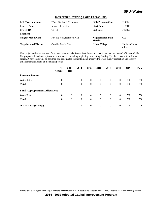### **Reservoir Covering-Lake Forest Park**

| <b>BCL/Program Name:</b>      | Water Quality & Treatment   | <b>BCL/Program Code:</b>     | C140B                      |
|-------------------------------|-----------------------------|------------------------------|----------------------------|
| <b>Project Type:</b>          | <b>Improved Facility</b>    | <b>Start Date:</b>           | O1/2019                    |
| <b>Project ID:</b>            | C <sub>1418</sub>           | <b>End Date:</b>             | O4/2020                    |
| Location:                     |                             |                              |                            |
| Neighborhood Plan:            | Not in a Neighborhood Plan  | Neighborhood Plan<br>Matrix: | N/A                        |
| <b>Neighborhood District:</b> | <b>Outside Seattle City</b> | <b>Urban Village:</b>        | Not in an Urban<br>Village |

This project addresses the need for a new cover on Lake Forest Park Reservoir once it has reached the end of its useful life. The project will evaluate options for a new cover, including replacing the existing floating Hypolan cover with a similar design. A new cover will be designed and constructed to maintain and improve the water quality protection and security enhancement functions of the existing cover.

|                                        | <b>LTD</b><br><b>Actuals</b> | 2013<br>Rev    | 2014     | 2015           | 2016           | 2017           | 2018           | 2019 | <b>Total</b> |
|----------------------------------------|------------------------------|----------------|----------|----------------|----------------|----------------|----------------|------|--------------|
| <b>Revenue Sources</b>                 |                              |                |          |                |                |                |                |      |              |
| <b>Water Rates</b>                     | $\overline{0}$               | $\overline{0}$ | $\theta$ | $\overline{0}$ | $\overline{0}$ | $\overline{0}$ | $\overline{0}$ | 590  | 590          |
| <b>Total:</b>                          | $\overline{0}$               | $\theta$       | $\theta$ | $\overline{0}$ | $\theta$       | $\theta$       | $\theta$       | 590  | 590          |
| <b>Fund Appropriations/Allocations</b> |                              |                |          |                |                |                |                |      |              |
| Water Fund                             | $\Omega$                     | $\Omega$       | $\Omega$ | $\overline{0}$ | $\theta$       | $\Omega$       | $\theta$       | 590  | 590          |
| Total*:                                | $\theta$                     | $\overline{0}$ | $\theta$ | $\overline{0}$ | $\overline{0}$ | $\Omega$       | $\Omega$       | 590  | 590          |
| O & M Costs (Savings)                  |                              |                | $\theta$ | $\overline{0}$ | $\overline{0}$ | $\overline{0}$ | $\overline{0}$ | 6    | 6            |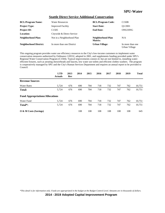#### **Seattle Direct Service Additional Conservation**

| <b>BCL/Program Name:</b>      | <b>Water Resources</b>     | <b>BCL/Program Code:</b>     | C150B                             |
|-------------------------------|----------------------------|------------------------------|-----------------------------------|
| <b>Project Type:</b>          | <b>Improved Facility</b>   | <b>Start Date:</b>           | O1/2001                           |
| <b>Project ID:</b>            | C <sub>1505</sub>          | <b>End Date:</b>             | ONGOING                           |
| <b>Location:</b>              | Citywide & Direct Service  |                              |                                   |
| Neighborhood Plan:            | Not in a Neighborhood Plan | Neighborhood Plan<br>Matrix: | N/A                               |
| <b>Neighborhood District:</b> | In more than one District  | <b>Urban Village:</b>        | In more than one<br>Urban Village |

This ongoing program provides water use efficiency resources to the City's low-income customers to implement water conservation measures authorized by Ordinance 120532, adopted in 2001, and supplements funding provided under SPU's Regional Water Conservation Program (C1504). Typical improvements consist of, but are not limited to, installing waterefficient fixtures, such as aerating showerheads and faucets, low water use toilets and efficient clothes washers. The program is cooperatively managed by SPU and the City's Human Services Department and requires an annual report to be provided to Council.

|                                        | <b>LTD</b><br><b>Actuals</b> | 2013<br>Rev | 2014 | 2015 | 2016 | 2017 | 2018 | 2019 | <b>Total</b> |
|----------------------------------------|------------------------------|-------------|------|------|------|------|------|------|--------------|
| <b>Revenue Sources</b>                 |                              |             |      |      |      |      |      |      |              |
| <b>Water Rates</b>                     | 5.724                        | 676         | 690  | 704  | 718  | 732  | 747  | 762  | 10,751       |
| <b>Total:</b>                          | 5,724                        | 676         | 690  | 704  | 718  | 732  | 747  | 762  | 10,751       |
| <b>Fund Appropriations/Allocations</b> |                              |             |      |      |      |      |      |      |              |
| Water Fund                             | 5,724                        | 676         | 690  | 704  | 718  | 732  | 747  | 762  | 10,751       |
| Total <sup>*</sup> :                   | 5,724                        | 676         | 690  | 704  | 718  | 732  | 747  | 762  | 10,751       |
| $\overline{O}$ & M Costs (Savings)     |                              |             | 108  | 108  | 108  | 108  | 108  | 108  | 645          |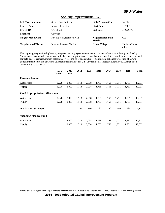#### **Security Improvements - WF**

| <b>BCL/Program Name:</b>      | <b>Shared Cost Projects</b> | <b>BCL/Program Code:</b>     | C410B                      |
|-------------------------------|-----------------------------|------------------------------|----------------------------|
| <b>Project Type:</b>          | <b>Improved Facility</b>    | <b>Start Date:</b>           | O1/2005                    |
| <b>Project ID:</b>            | C4113-WF                    | <b>End Date:</b>             | ONGOING                    |
| Location:                     | Citywide                    |                              |                            |
| Neighborhood Plan:            | Not in a Neighborhood Plan  | Neighborhood Plan<br>Matrix: | N/A                        |
| <b>Neighborhood District:</b> | In more than one District   | <b>Urban Village:</b>        | Not in an Urban<br>Village |

This ongoing program funds physical, integrated security system components on water infrastructure throughout the City. Components may include, but are not limited to, fences, gates, access control card readers, intercoms, lighting, door and hatch contacts, CCTV cameras, motion detection devices, and fiber and conduit. This program enhances protection of SPU's critical infrastructure and addresses vulnerabilities identified in U.S. Environmental Protection Agency (EPA) mandated vulnerability assessments.

|                                        | <b>LTD</b><br><b>Actuals</b> | 2013<br>Rev | 2014  | 2015  | 2016  | 2017  | 2018  | 2019  | <b>Total</b> |
|----------------------------------------|------------------------------|-------------|-------|-------|-------|-------|-------|-------|--------------|
| <b>Revenue Sources</b>                 |                              |             |       |       |       |       |       |       |              |
| <b>Water Rates</b>                     | 6,228                        | 2,000       | 1,713 | 2,038 | 1,788 | 1,763 | 1,771 | 1,731 | 19,031       |
| Total:                                 | 6,228                        | 2,000       | 1,713 | 2,038 | 1,788 | 1,763 | 1,771 | 1,731 | 19,031       |
| <b>Fund Appropriations/Allocations</b> |                              |             |       |       |       |       |       |       |              |
| Water Fund                             | 6,228                        | 2,000       | 1,713 | 2,038 | 1,788 | 1,763 | 1,771 | 1,731 | 19,031       |
| Total*:                                | 6,228                        | 2,000       | 1,713 | 2,038 | 1,788 | 1,763 | 1,771 | 1,731 | 19,031       |
| O & M Costs (Savings)                  |                              |             | 190   | 190   | 190   | 190   | 190   | 190   | 1,142        |
| <b>Spending Plan by Fund</b>           |                              |             |       |       |       |       |       |       |              |
| Water Fund                             |                              | 2,000       | 1,713 | 2,038 | 1,788 | 1,763 | 1,771 | 1,731 | 12,803       |
| <b>Total:</b>                          |                              | 2,000       | 1,713 | 2,038 | 1,788 | 1,763 | 1,771 | 1,731 | 12,803       |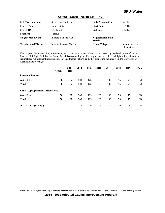### **Sound Transit - North Link - WF**

| <b>BCL/Program Name:</b>      | <b>Shared Cost Projects</b> | <b>BCL/Program Code:</b>     | C410B                             |
|-------------------------------|-----------------------------|------------------------------|-----------------------------------|
| <b>Project Type:</b>          | New Facility                | <b>Start Date:</b>           | O1/2012                           |
| <b>Project ID:</b>            | C4135-WF                    | <b>End Date:</b>             | O4/2020                           |
| <b>Location:</b>              | Various                     |                              |                                   |
| <b>Neighborhood Plan:</b>     | In more than one Plan       | Neighborhood Plan<br>Matrix: |                                   |
| <b>Neighborhood District:</b> | In more than one District   | <b>Urban Village:</b>        | In more than one<br>Urban Village |

This program funds relocation, replacement, and protection of water infrastructure affected by the development of Sound Transit's Link Light Rail System. Sound Transit is constructing the third segment of their electrical light rail transit system that includes 4.3 mile light rail extension, three additional stations, and other supporting facilities from the University of Washington to Northgate.

|                                        | <b>LTD</b><br><b>Actuals</b> | 2013<br>Rev | 2014 | 2015 | 2016 | 2017 | 2018 | 2019 | <b>Total</b> |
|----------------------------------------|------------------------------|-------------|------|------|------|------|------|------|--------------|
| <b>Revenue Sources</b>                 |                              |             |      |      |      |      |      |      |              |
| <b>Water Rates</b>                     | 58                           | 87          | 300  | 125  | 100  | 100  | 75   | 75   | 920          |
| <b>Total:</b>                          | 58                           | 87          | 300  | 125  | 100  | 100  | 75   | 75   | 920          |
| <b>Fund Appropriations/Allocations</b> |                              |             |      |      |      |      |      |      |              |
| Water Fund                             | 58                           | 87          | 300  | 125  | 100  | 100  | 75   | 75   | 920          |
| Total*:                                | 58                           | 87          | 300  | 125  | 100  | 100  | 75   | 75   | 920          |
| O & M Costs (Savings)                  |                              |             | 9    | 9    | 9    | 9    | 9    | 9    | 55           |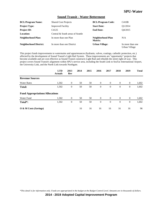### **Sound Transit - Water Betterment**

| <b>BCL/Program Name:</b>      | <b>Shared Cost Projects</b>      | <b>BCL/Program Code:</b>     | C410B                             |
|-------------------------------|----------------------------------|------------------------------|-----------------------------------|
| <b>Project Type:</b>          | <b>Improved Facility</b>         | <b>Start Date:</b>           | O1/2014                           |
| <b>Project ID:</b>            | C <sub>4</sub> 125               | <b>End Date:</b>             | O4/2015                           |
| <b>Location:</b>              | Central & South areas of Seattle |                              |                                   |
| Neighborhood Plan:            | In more than one Plan            | Neighborhood Plan<br>Matrix: | N/A                               |
| <b>Neighborhood District:</b> | In more than one District        | <b>Urban Village:</b>        | In more than one<br>Urban Village |

This project funds improvements to watermains and appurtenances (hydrants, valves, coatings, cathodic protection, etc.) affected by the development of Sound Transit's Light Rail System. These improvements are "opportunity" projects that become available and are cost effective as Sound Transit constructs Light Rail and rebuilds the street right-of-way. This project covers Sound Transit's alignment within SPU's service area, including the South Link to SeaTac International Airport, the University Link, and the North Link towards Northgate.

|                                        | <b>LTD</b><br><b>Actuals</b> | 2013<br>Rev      | 2014 | 2015 | 2016             | 2017           | 2018           | 2019           | <b>Total</b> |
|----------------------------------------|------------------------------|------------------|------|------|------------------|----------------|----------------|----------------|--------------|
| <b>Revenue Sources</b>                 |                              |                  |      |      |                  |                |                |                |              |
| <b>Water Rates</b>                     | 1,502                        | $\mathbf{0}$     | 50   | 50   | $\theta$         | $\overline{0}$ | $\overline{0}$ | $\mathbf{0}$   | 1,602        |
| <b>Total:</b>                          | 1,502                        | $\boldsymbol{0}$ | 50   | 50   | $\boldsymbol{0}$ | $\mathbf{0}$   | $\overline{0}$ | $\mathbf{0}$   | 1,602        |
| <b>Fund Appropriations/Allocations</b> |                              |                  |      |      |                  |                |                |                |              |
| Water Fund                             | 1,502                        | $\theta$         | 50   | 50   | $\overline{0}$   | $\theta$       | $\overline{0}$ | $\overline{0}$ | 1,602        |
| Total*:                                | 1,502                        | $\boldsymbol{0}$ | 50   | 50   | $\mathbf{0}$     | $\theta$       | $\overline{0}$ | $\overline{0}$ | 1,602        |
| $\overline{O}$ & M Costs (Savings)     |                              |                  | 16   | 16   | 16               | 16             | 16             | 16             | 96           |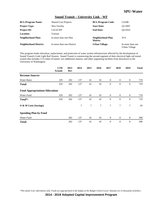### **Sound Transit – University Link - WF**

| <b>BCL/Program Name:</b>      | <b>Shared Cost Projects</b> | <b>BCL/Program Code:</b>     | C410B                             |
|-------------------------------|-----------------------------|------------------------------|-----------------------------------|
| <b>Project Type:</b>          | New Facility                | <b>Start Date:</b>           | O1/2007                           |
| <b>Project ID:</b>            | C4110-WF                    | <b>End Date:</b>             | O <sub>2</sub> /2016              |
| <b>Location:</b>              | Various                     |                              |                                   |
| <b>Neighborhood Plan:</b>     | In more than one Plan       | Neighborhood Plan<br>Matrix: | N/A                               |
| <b>Neighborhood District:</b> | In more than one District   | <b>Urban Village:</b>        | In more than one<br>Urban Village |

This program funds relocation, replacement, and protection of water system infrastructure affected by the development of Sound Transit's Link Light Rail System. Sound Transit is constructing the second segment of their electrical light rail transit system that includes 3.15 miles of tunnel, two additional stations, and other supporting facilities from downtown to the University of Washington.

|                                        | <b>LTD</b><br><b>Actuals</b> | 2013<br>Rev | 2014 | 2015 | 2016   | 2017           | 2018             | 2019             | <b>Total</b> |
|----------------------------------------|------------------------------|-------------|------|------|--------|----------------|------------------|------------------|--------------|
| <b>Revenue Sources</b>                 |                              |             |      |      |        |                |                  |                  |              |
| <b>Water Rates</b>                     | 329                          | 202         | 137  | 41   | 10     | $\overline{0}$ | $\overline{0}$   | $\theta$         | 719          |
| Total:                                 | 329                          | 202         | 137  | 41   | 10     | $\theta$       | $\boldsymbol{0}$ | $\boldsymbol{0}$ | 719          |
| <b>Fund Appropriations/Allocations</b> |                              |             |      |      |        |                |                  |                  |              |
| Water Fund                             | 329                          | 202         | 137  | 41   | 10     | $\overline{0}$ | $\overline{0}$   | $\mathbf{0}$     | 719          |
| Total*:                                | 329                          | 202         | 137  | 41   | 10     | $\theta$       | $\mathbf{0}$     | $\theta$         | 719          |
| O & M Costs (Savings)                  |                              |             | 7    | 7    | $\tau$ | $\tau$         | 7                | 7                | 43           |
| <b>Spending Plan by Fund</b>           |                              |             |      |      |        |                |                  |                  |              |
| Water Fund                             |                              | 202         | 137  | 41   | 10     | $\overline{0}$ | $\mathbf{0}$     | $\theta$         | 390          |
| <b>Total:</b>                          |                              | 202         | 137  | 41   | 10     | $\theta$       | $\theta$         | $\theta$         | 390          |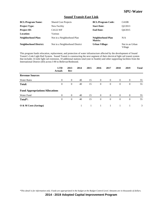### **Sound Transit-East Link**

| <b>BCL/Program Name:</b>      | <b>Shared Cost Projects</b>    | <b>BCL/Program Code:</b>     | C410B                      |
|-------------------------------|--------------------------------|------------------------------|----------------------------|
| <b>Project Type:</b>          | New Facility                   | <b>Start Date:</b>           | Q2/2013                    |
| <b>Project ID:</b>            | C4122-WF                       | <b>End Date:</b>             | O4/2015                    |
| <b>Location:</b>              | Various                        |                              |                            |
| <b>Neighborhood Plan:</b>     | Not in a Neighborhood Plan     | Neighborhood Plan<br>Matrix: | N/A                        |
| <b>Neighborhood District:</b> | Not in a Neighborhood District | <b>Urban Village:</b>        | Not in an Urban<br>Village |

This program funds relocation, replacement, and protection of water infrastructure affected by the development of Sound Transit's Link Light Rail System. Sound Transit is constructing the next segment of their electrical light rail transit system that includes 14 mile light rail extension, 10 additional stations total (one in Seattle) and other supporting facilities from the International District (ID) across I-90 to Bellevue/Redmond.

|                                        | <b>LTD</b><br><b>Actuals</b> | 2013<br>Rev    | 2014 | 2015 | 2016           | 2017           | 2018           | 2019             | <b>Total</b> |
|----------------------------------------|------------------------------|----------------|------|------|----------------|----------------|----------------|------------------|--------------|
| <b>Revenue Sources</b>                 |                              |                |      |      |                |                |                |                  |              |
| <b>Water Rates</b>                     | $\theta$                     | $\overline{0}$ | 40   | 15   | $\overline{0}$ | $\overline{0}$ | $\mathbf{0}$   | $\boldsymbol{0}$ | 55           |
| <b>Total:</b>                          | $\theta$                     | $\theta$       | 40   | 15   | $\theta$       | $\theta$       | $\overline{0}$ | $\overline{0}$   | 55           |
| <b>Fund Appropriations/Allocations</b> |                              |                |      |      |                |                |                |                  |              |
| Water Fund                             | $\theta$                     | $\overline{0}$ | 40   | 15   | $\overline{0}$ | $\theta$       | $\overline{0}$ | $\overline{0}$   | 55           |
| Total*:                                | $\theta$                     | $\theta$       | 40   | 15   | $\overline{0}$ | $\theta$       | $\overline{0}$ | $\overline{0}$   | 55           |
| O & M Costs (Savings)                  |                              |                | 1    |      |                | 1              |                |                  | 3            |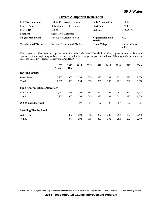### **Stream & Riparian Restoration**

| <b>BCL/Program Name:</b>      | <b>Habitat Conservation Program</b>  | <b>BCL/Program Code:</b>     | C160B                      |
|-------------------------------|--------------------------------------|------------------------------|----------------------------|
| <b>Project Type:</b>          | <b>Rehabilitation or Restoration</b> | <b>Start Date:</b>           | O2/2000                    |
| <b>Project ID:</b>            | C <sub>1602</sub>                    | <b>End Date:</b>             | ONGOING                    |
| Location:                     | Cedar River Watershed                |                              |                            |
| <b>Neighborhood Plan:</b>     | Not in a Neighborhood Plan           | Neighborhood Plan<br>Matrix: | N/A                        |
| <b>Neighborhood District:</b> | Not in a Neighborhood District       | <b>Urban Village:</b>        | Not in an Urban<br>Village |

This program provides stream and riparian restoration in the Cedar River Watershed, including large woody debris placement, riparian conifer underplanting, and culvert replacement for fish passage and peak storm flows. This program is a requirement under the Cedar River Habitat Conservation Plan (HCP.)

|                                        | <b>LTD</b><br><b>Actuals</b> | 2013<br>Rev | 2014 | 2015 | 2016 | 2017 | 2018 | 2019 | <b>Total</b> |
|----------------------------------------|------------------------------|-------------|------|------|------|------|------|------|--------------|
| <b>Revenue Sources</b>                 |                              |             |      |      |      |      |      |      |              |
| <b>Water Rates</b>                     | 7,232                        | 383         | 394  | 395  | 397  | 292  | 292  | 292  | 9,678        |
| <b>Total:</b>                          | 7,232                        | 383         | 394  | 395  | 397  | 292  | 292  | 292  | 9,678        |
| <b>Fund Appropriations/Allocations</b> |                              |             |      |      |      |      |      |      |              |
| Water Fund                             | 7,232                        | 383         | 394  | 395  | 397  | 292  | 292  | 292  | 9,678        |
| Total*:                                | 7,232                        | 383         | 394  | 395  | 397  | 292  | 292  | 292  | 9,678        |
| O & M Costs (Savings)                  |                              |             | 97   | 97   | 97   | 97   | 97   | 97   | 581          |
| <b>Spending Plan by Fund</b>           |                              |             |      |      |      |      |      |      |              |
| Water Fund                             |                              | 377         | 394  | 395  | 397  | 292  | 292  | 292  | 2,440        |
| <b>Total:</b>                          |                              | 377         | 394  | 395  | 397  | 292  | 292  | 292  | 2,440        |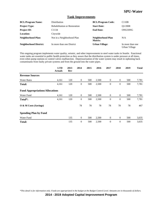#### **Tank Improvements**

| <b>BCL/Program Name:</b>      | <b>Distribution</b>                  | <b>BCL/Program Code:</b>     | C110B                             |
|-------------------------------|--------------------------------------|------------------------------|-----------------------------------|
| <b>Project Type:</b>          | <b>Rehabilitation or Restoration</b> | <b>Start Date:</b>           | O1/2008                           |
| <b>Project ID:</b>            | C <sub>1134</sub>                    | <b>End Date:</b>             | ONGOING                           |
| <b>Location:</b>              | Citywide                             |                              |                                   |
| Neighborhood Plan:            | Not in a Neighborhood Plan           | Neighborhood Plan<br>Matrix: | N/A                               |
| <b>Neighborhood District:</b> | In more than one District            | <b>Urban Village:</b>        | In more than one<br>Urban Village |

This ongoing program implements water quality, seismic, and other improvements to steel water tanks in Seattle. Functional water tanks are essential to public health protection as they assure that the distribution system is under pressure at all times, even when pump stations or control valves malfunction. Depressurization of the water system may result in siphoning back contaminants from faulty private systems and from the ground into the water pipes.

|                                        | <b>LTD</b><br><b>Actuals</b> | 2013<br>Rev | 2014             | 2015 | 2016  | 2017             | 2018             | 2019 | <b>Total</b> |
|----------------------------------------|------------------------------|-------------|------------------|------|-------|------------------|------------------|------|--------------|
| <b>Revenue Sources</b>                 |                              |             |                  |      |       |                  |                  |      |              |
| <b>Water Rates</b>                     | 4,161                        | 120         | $\mathbf{0}$     | 500  | 2,500 | $\bf{0}$         | $\mathbf{0}$     | 500  | 7,781        |
| <b>Total:</b>                          | 4,161                        | 120         | $\boldsymbol{0}$ | 500  | 2,500 | $\mathbf{0}$     | $\boldsymbol{0}$ | 500  | 7,781        |
| <b>Fund Appropriations/Allocations</b> |                              |             |                  |      |       |                  |                  |      |              |
| Water Fund                             | 4,161                        | 120         | $\mathbf{0}$     | 500  | 2,500 | $\boldsymbol{0}$ | $\mathbf{0}$     | 500  | 7,781        |
| Total <sup>*</sup> :                   | 4,161                        | 120         | $\theta$         | 500  | 2,500 | $\theta$         | $\theta$         | 500  | 7,781        |
| O & M Costs (Savings)                  |                              |             | 78               | 78   | 78    | 78               | 78               | 78   | 467          |
| <b>Spending Plan by Fund</b>           |                              |             |                  |      |       |                  |                  |      |              |
| Water Fund                             |                              | 135         | $\theta$         | 500  | 2,500 | $\theta$         | $\mathbf{0}$     | 500  | 3,635        |
| <b>Total:</b>                          |                              | 135         | $\mathbf{0}$     | 500  | 2,500 | $\mathbf{0}$     | $\boldsymbol{0}$ | 500  | 3,635        |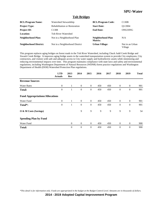#### **Tolt Bridges**

| <b>BCL/Program Name:</b>      | Watershed Stewardship                | <b>BCL/Program Code:</b>     | C130B                      |
|-------------------------------|--------------------------------------|------------------------------|----------------------------|
| <b>Project Type:</b>          | <b>Rehabilitation or Restoration</b> | <b>Start Date:</b>           | O1/2004                    |
| <b>Project ID:</b>            | C <sub>1308</sub>                    | <b>End Date:</b>             | ONGOING                    |
| <b>Location:</b>              | <b>Tolt River Watershed</b>          |                              |                            |
| Neighborhood Plan:            | Not in a Neighborhood Plan           | Neighborhood Plan<br>Matrix: | N/A                        |
| <b>Neighborhood District:</b> | Not in a Neighborhood District       | <b>Urban Village:</b>        | Not in an Urban<br>Village |

This program replaces aging bridges on forest roads in the Tolt River Watershed, including Chuck Judd Creek Bridge and Siwash Creek Bridge. It improves aging bridge assets in the watershed transportation system to provide City employees, City contractors, and visitors with safe and adequate access to City water supply and hydroelectric assets while minimizing and reducing environmental impacts over time. This program maintains compliance with state laws and safety and environmental regulations, including Washington Department of Natural Resources (WDNR) forest practice regulations and Washington Department of Health (DOH) Watershed Protection Plan regulations.

|                                        | <b>LTD</b><br><b>Actuals</b> | 2013<br>Rev  | 2014             | 2015             | 2016 | 2017 | 2018             | 2019         | <b>Total</b> |
|----------------------------------------|------------------------------|--------------|------------------|------------------|------|------|------------------|--------------|--------------|
| <b>Revenue Sources</b>                 |                              |              |                  |                  |      |      |                  |              |              |
| <b>Water Rates</b>                     | $\overline{0}$               | $\mathbf{1}$ | $\overline{0}$   | $\overline{0}$   | 450  | 450  | $\overline{0}$   | $\mathbf{0}$ | 901          |
| <b>Total:</b>                          | $\theta$                     | 1            | $\theta$         | $\mathbf{0}$     | 450  | 450  | $\mathbf{0}$     | $\mathbf{0}$ | 901          |
| <b>Fund Appropriations/Allocations</b> |                              |              |                  |                  |      |      |                  |              |              |
| Water Fund                             | $\mathbf{0}$                 | 1            | $\boldsymbol{0}$ | $\boldsymbol{0}$ | 450  | 450  | $\boldsymbol{0}$ | $\mathbf{0}$ | 901          |
| Total <sup>*</sup> :                   | $\overline{0}$               | $\mathbf{1}$ | $\theta$         | $\mathbf{0}$     | 450  | 450  | $\mathbf{0}$     | $\mathbf{0}$ | 901          |
| O & M Costs (Savings)                  |                              |              | 9                | 9                | 9    | 9    | 9                | 9            | 54           |
| <b>Spending Plan by Fund</b>           |                              |              |                  |                  |      |      |                  |              |              |
| Water Fund                             |                              | $\theta$     | $\theta$         | $\mathbf{0}$     | 450  | 450  | $\overline{0}$   | $\mathbf{0}$ | 900          |
| <b>Total:</b>                          |                              | $\theta$     | $\theta$         | $\mathbf{0}$     | 450  | 450  | $\overline{0}$   | $\mathbf{0}$ | 900          |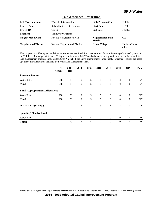### **Tolt Watershed Restoration**

| <b>BCL/Program Name:</b>      | Watershed Stewardship                | <b>BCL/Program Code:</b>     | C <sub>130</sub> B         |
|-------------------------------|--------------------------------------|------------------------------|----------------------------|
| <b>Project Type:</b>          | <b>Rehabilitation or Restoration</b> | <b>Start Date:</b>           | O1/2009                    |
| <b>Project ID:</b>            | C <sub>1310</sub>                    | <b>End Date:</b>             | O4/2020                    |
| <b>Location:</b>              | <b>Tolt River Watershed</b>          |                              |                            |
| <b>Neighborhood Plan:</b>     | Not in a Neighborhood Plan           | Neighborhood Plan<br>Matrix: | N/A                        |
| <b>Neighborhood District:</b> | Not in a Neighborhood District       | <b>Urban Village:</b>        | Not in an Urban<br>Village |

This program provides aquatic and riparian restoration, and funds improvements and decommissioning of the road system in the Tolt River Municipal Watershed. This program improves Tolt Watershed management practices to be consistent with the land management practices in the Cedar River Watershed, the City's other primary water supply watershed. Projects are based upon recommendations of the 2011 Tolt Watershed Management Plan.

|                                        | <b>LTD</b><br><b>Actuals</b> | 2013<br>Rev | 2014 | 2015 | 2016           | 2017           | 2018           | 2019           | <b>Total</b> |
|----------------------------------------|------------------------------|-------------|------|------|----------------|----------------|----------------|----------------|--------------|
| <b>Revenue Sources</b>                 |                              |             |      |      |                |                |                |                |              |
| <b>Water Rates</b>                     | 288                          | 28          | 6    | 5    | $\theta$       | $\theta$       | $\overline{0}$ | $\theta$       | 327          |
| <b>Total:</b>                          | 288                          | 28          | 6    | 5    | $\theta$       | $\theta$       | $\mathbf{0}$   | $\theta$       | 327          |
| <b>Fund Appropriations/Allocations</b> |                              |             |      |      |                |                |                |                |              |
| Water Fund                             | 288                          | 28          | 6    | 5    | $\overline{0}$ | $\overline{0}$ | $\overline{0}$ | $\mathbf{0}$   | 327          |
| Total*:                                | 288                          | 28          | 6    | 5    | $\theta$       | $\Omega$       | $\mathbf{0}$   | $\overline{0}$ | 327          |
| O & M Costs (Savings)                  |                              |             | 3    | 3    | 3              | 3              | 3              | $\mathfrak{Z}$ | 20           |
| <b>Spending Plan by Fund</b>           |                              |             |      |      |                |                |                |                |              |
| Water Fund                             |                              | 29          | 6    | 5    | $\mathbf{0}$   | $\theta$       | $\overline{0}$ | $\mathbf{0}$   | 40           |
| <b>Total:</b>                          |                              | 29          | 6    | 5    | $\theta$       | $\theta$       | $\mathbf{0}$   | $\theta$       | 40           |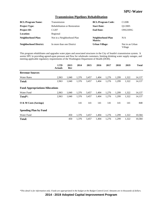### **Transmission Pipelines Rehabilitation**

| <b>BCL/Program Name:</b>      | Transmission                         | <b>BCL/Program Code:</b>     | C120B                      |
|-------------------------------|--------------------------------------|------------------------------|----------------------------|
| <b>Project Type:</b>          | <b>Rehabilitation or Restoration</b> | <b>Start Date:</b>           | O <sub>1</sub> /2005       |
| <b>Project ID:</b>            | C <sub>1207</sub>                    | <b>End Date:</b>             | ONGOING                    |
| Location:                     | Regional                             |                              |                            |
| Neighborhood Plan:            | Not in a Neighborhood Plan           | Neighborhood Plan<br>Matrix: | N/A                        |
| <b>Neighborhood District:</b> | In more than one District            | <b>Urban Village:</b>        | Not in an Urban<br>Village |

This program rehabilitates and upgrades water pipes and associated structures in the City of Seattle's transmission system. It assists SPU in providing agreed-upon pressure and flow for wholesale customers, limiting drinking water supply outages, and meeting applicable regulatory requirements of the Washington Department of Health (DOH).

|                                        | <b>LTD</b><br><b>Actuals</b> | 2013<br>Rev | 2014  | 2015  | 2016  | 2017  | 2018  | 2019  | <b>Total</b> |
|----------------------------------------|------------------------------|-------------|-------|-------|-------|-------|-------|-------|--------------|
| <b>Revenue Sources</b>                 |                              |             |       |       |       |       |       |       |              |
| <b>Water Rates</b>                     | 2,963                        | 1,040       | 1,376 | 3,457 | 1,404 | 1,276 | 1,299 | 1,322 | 14,137       |
| <b>Total:</b>                          | 2,963                        | 1,040       | 1,376 | 3,457 | 1,404 | 1,276 | 1,299 | 1,322 | 14,137       |
| <b>Fund Appropriations/Allocations</b> |                              |             |       |       |       |       |       |       |              |
| Water Fund                             | 2,963                        | 1,040       | 1,376 | 3,457 | 1,404 | 1,276 | 1,299 | 1,322 | 14,137       |
| Total*:                                | 2,963                        | 1,040       | 1,376 | 3,457 | 1,404 | 1,276 | 1,299 | 1,322 | 14,137       |
| $\overline{O}$ & M Costs (Savings)     |                              |             | 141   | 141   | 141   | 141   | 141   | 141   | 848          |
| <b>Spending Plan by Fund</b>           |                              |             |       |       |       |       |       |       |              |
| Water Fund                             |                              | 450         | 1,376 | 3,457 | 1,404 | 1,276 | 1,299 | 1,322 | 10,584       |
| <b>Total:</b>                          |                              | 450         | 1,376 | 3,457 | 1,404 | 1,276 | 1,299 | 1,322 | 10,584       |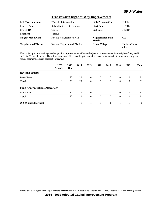### **Transmission Right-of-Way Improvements**

| <b>BCL/Program Name:</b>      | Watershed Stewardship                | <b>BCL/Program Code:</b>     | C130B                      |
|-------------------------------|--------------------------------------|------------------------------|----------------------------|
| <b>Project Type:</b>          | <b>Rehabilitation or Restoration</b> | <b>Start Date:</b>           | O1/2012                    |
| <b>Project ID:</b>            | C <sub>1316</sub>                    | <b>End Date:</b>             | O4/2014                    |
| Location:                     | Various                              |                              |                            |
| <b>Neighborhood Plan:</b>     | Not in a Neighborhood Plan           | Neighborhood Plan<br>Matrix: | N/A                        |
| <b>Neighborhood District:</b> | Not in a Neighborhood District       | <b>Urban Village:</b>        | Not in an Urban<br>Village |

This project provides drainage and vegetation improvements within and adjacent to water transmission rights-of-way and in the Lake Youngs Reserve. These improvements will reduce long-term maintenance costs, contribute to worker safety, and reduce sediment delivery adjacent waterways.

|                                        | <b>LTD</b><br><b>Actuals</b> | 2013<br>Rev | 2014 | 2015           | 2016           | 2017           | 2018           | 2019           | <b>Total</b> |
|----------------------------------------|------------------------------|-------------|------|----------------|----------------|----------------|----------------|----------------|--------------|
| <b>Revenue Sources</b>                 |                              |             |      |                |                |                |                |                |              |
| <b>Water Rates</b>                     |                              | 70          | 20   | $\overline{0}$ | $\overline{0}$ | $\overline{0}$ | $\overline{0}$ | $\theta$       | 91           |
| <b>Total:</b>                          |                              | 70          | 20   | $\overline{0}$ | $\theta$       | $\theta$       | $\overline{0}$ | $\overline{0}$ | 91           |
| <b>Fund Appropriations/Allocations</b> |                              |             |      |                |                |                |                |                |              |
| <b>Water Fund</b>                      |                              | 70          | 20   | $\overline{0}$ | $\overline{0}$ | $\overline{0}$ | $\overline{0}$ | $\theta$       | 91           |
| Total <sup>*</sup> :                   | $\perp$                      | 70          | 20   | $\mathbf{0}$   | $\theta$       | $\overline{0}$ | $\overline{0}$ | $\mathbf{0}$   | 91           |
| O & M Costs (Savings)                  |                              |             | 1    |                | 1              |                | 1              |                | 5            |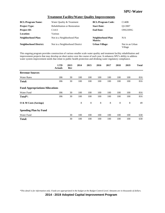### **Treatment Facility/Water Quality Improvements**

| <b>BCL/Program Name:</b>      | Water Quality & Treatment            | <b>BCL/Program Code:</b>     | C140B                      |
|-------------------------------|--------------------------------------|------------------------------|----------------------------|
| <b>Project Type:</b>          | <b>Rehabilitation or Restoration</b> | <b>Start Date:</b>           | O1/2007                    |
| <b>Project ID:</b>            | C <sub>1413</sub>                    | <b>End Date:</b>             | ONGOING                    |
| <b>Location:</b>              | Various                              |                              |                            |
| <b>Neighborhood Plan:</b>     | Not in a Neighborhood Plan           | Neighborhood Plan<br>Matrix: | N/A                        |
| <b>Neighborhood District:</b> | Not in a Neighborhood District       | <b>Urban Village:</b>        | Not in an Urban<br>Village |

This ongoing program provides construction of various smaller scale water quality and treatment facility rehabilitation and improvement projects that may develop on short notice over the course of each year. It enhances SPU's ability to address water system improvement needs that relate to public health protection and drinking water regulatory compliance.

|                                        | <b>LTD</b><br><b>Actuals</b> | 2013<br>Rev | 2014 | 2015 | 2016 | 2017 | 2018 | 2019 | <b>Total</b> |
|----------------------------------------|------------------------------|-------------|------|------|------|------|------|------|--------------|
| <b>Revenue Sources</b>                 |                              |             |      |      |      |      |      |      |              |
| <b>Water Rates</b>                     | 186                          | 30          | 100  | 100  | 100  | 100  | 100  | 100  | 816          |
| <b>Total:</b>                          | 186                          | 30          | 100  | 100  | 100  | 100  | 100  | 100  | 816          |
| <b>Fund Appropriations/Allocations</b> |                              |             |      |      |      |      |      |      |              |
| Water Fund                             | 186                          | 30          | 100  | 100  | 100  | 100  | 100  | 100  | 816          |
| Total <sup>*</sup> :                   | 186                          | 30          | 100  | 100  | 100  | 100  | 100  | 100  | 816          |
| O & M Costs (Savings)                  |                              |             | 8    | 8    | 8    | 8    | 8    | 8    | 49           |
| <b>Spending Plan by Fund</b>           |                              |             |      |      |      |      |      |      |              |
| Water Fund                             |                              | 30          | 100  | 100  | 100  | 100  | 100  | 100  | 630          |
| <b>Total:</b>                          |                              | 30          | 100  | 100  | 100  | 100  | 100  | 100  | 630          |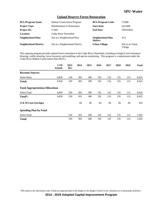### **Upland Reserve Forest Restoration**

| <b>BCL/Program Name:</b>      | <b>Habitat Conservation Program</b>  | <b>BCL/Program Code:</b>     | C <sub>160</sub> B         |
|-------------------------------|--------------------------------------|------------------------------|----------------------------|
| <b>Project Type:</b>          | <b>Rehabilitation or Restoration</b> | <b>Start Date:</b>           | O2/2000                    |
| <b>Project ID:</b>            | C <sub>1603</sub>                    | <b>End Date:</b>             | ONGOING                    |
| Location:                     | Cedar River Watershed                |                              |                            |
| Neighborhood Plan:            | Not in a Neighborhood Plan           | Neighborhood Plan<br>Matrix: | N/A                        |
| <b>Neighborhood District:</b> | Not in a Neighborhood District       | <b>Urban Village:</b>        | Not in an Urban<br>Village |

This ongoing program provides upland forest restoration in the Cedar River Watershed, including ecological and restoration thinning, conifer planting, forest inventory and modeling, and species monitoring. This program is a requirement under the Cedar River Habitat Conservation Plan (HCP.)

|                                        | <b>LTD</b><br><b>Actuals</b> | 2013<br>Rev | 2014 | 2015 | 2016 | 2017 | 2018 | 2019 | <b>Total</b> |
|----------------------------------------|------------------------------|-------------|------|------|------|------|------|------|--------------|
| <b>Revenue Sources</b>                 |                              |             |      |      |      |      |      |      |              |
| <b>Water Rates</b>                     | 6,850                        | 530         | 283  | 188  | 192  | 132  | 135  | 115  | 8,425        |
| <b>Total:</b>                          | 6,850                        | 530         | 283  | 188  | 192  | 132  | 135  | 115  | 8,425        |
| <b>Fund Appropriations/Allocations</b> |                              |             |      |      |      |      |      |      |              |
| Water Fund                             | 6,850                        | 530         | 283  | 188  | 192  | 132  | 135  | 115  | 8,425        |
| Total*:                                | 6,850                        | 530         | 283  | 188  | 192  | 132  | 135  | 115  | 8,425        |
| O & M Costs (Savings)                  |                              |             | 84   | 84   | 84   | 84   | 84   | 84   | 505          |
| <b>Spending Plan by Fund</b>           |                              |             |      |      |      |      |      |      |              |
| Water Fund                             |                              | 520         | 283  | 188  | 192  | 132  | 135  | 115  | 1,565        |
| <b>Total:</b>                          |                              | 520         | 283  | 188  | 192  | 132  | 135  | 115  | 1,565        |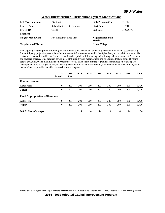| <b>Water Infrastructure - Distribution System Modifications</b> |
|-----------------------------------------------------------------|
|                                                                 |

| <b>BCL/Program Name:</b>      | Distribution                         | <b>BCL/Program Code:</b>     | C110B                |
|-------------------------------|--------------------------------------|------------------------------|----------------------|
| <b>Project Type:</b>          | <b>Rehabilitation or Restoration</b> | <b>Start Date:</b>           | O <sub>1</sub> /2013 |
| <b>Project ID:</b>            | C <sub>1138</sub>                    | <b>End Date:</b>             | ONGOING              |
| Location:                     |                                      |                              |                      |
| Neighborhood Plan:            | Not in Neighborhood Plan             | Neighborhood Plan<br>Matrix: |                      |
| <b>Neighborhood District:</b> |                                      | Urban Village:               |                      |

This ongoing program provides funding for modifications and relocations of existing Distribution System assets resulting from third party project impacts to Distribution System infrastructure located in the right-of-way or on public property. The costs are recovered from third parties and primarily other public utilities and agencies through Memorandums of Agreement and standard charges. This program covers all Distribution System modifications and relocations that are funded by third parties excluding Water main Extension Program projects. The benefit of this program is accommodation of third party development by relocating or modifying existing Distribution System infrastructure, while retaining a Distribution System that continues to provide cost effective service to the ratepayer.

|                                        | <b>LTD</b><br><b>Actuals</b> | 2013<br>Rev | 2014 | 2015 | 2016 | 2017 | 2018 | 2019 | <b>Total</b> |
|----------------------------------------|------------------------------|-------------|------|------|------|------|------|------|--------------|
| <b>Revenue Sources</b>                 |                              |             |      |      |      |      |      |      |              |
| <b>Water Rates</b>                     | $\theta$                     | 200         | 200  | 200  | 200  | 200  | 200  | 200  | 1,400        |
| Total:                                 | $\mathbf{0}$                 | 200         | 200  | 200  | 200  | 200  | 200  | 200  | 1,400        |
| <b>Fund Appropriations/Allocations</b> |                              |             |      |      |      |      |      |      |              |
| Water Fund                             | $\theta$                     | 200         | 200  | 200  | 200  | 200  | 200  | 200  | 1,400        |
| Total <sup>*</sup> :                   | 0                            | 200         | 200  | 200  | 200  | 200  | 200  | 200  | 1,400        |
| $\overline{O}$ & M Costs (Savings)     |                              |             | 14   | 14   | 14   | 14   | 14   | 14   | 84           |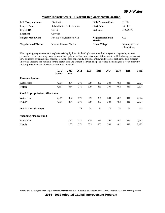| <b>BCL/Program Name:</b>      | Distribution                         | <b>BCL/Program Code:</b>     | C110B                             |
|-------------------------------|--------------------------------------|------------------------------|-----------------------------------|
| <b>Project Type:</b>          | <b>Rehabilitation or Restoration</b> | <b>Start Date:</b>           | O4/1998                           |
| <b>Project ID:</b>            | C <sub>1110</sub>                    | <b>End Date:</b>             | ONGOING                           |
| <b>Location:</b>              | Citywide                             |                              |                                   |
| <b>Neighborhood Plan:</b>     | Not in a Neighborhood Plan           | Neighborhood Plan<br>Matrix: | N/A                               |
| <b>Neighborhood District:</b> | In more than one District            | <b>Urban Village:</b>        | In more than one<br>Urban Village |

### **Water Infrastructure - Hydrant Replacement/Relocation**

This ongoing program renews or replaces existing hydrants in the City's water distribution system. In general, hydrant renewal or replacement may occur as a result of hydrant malfunction, catastrophic failure due to vehicle damage, or to meet SPU criticality criteria such as spacing, location, cost, opportunity projects, or flow and pressure problems. This program improves access to fire hydrants for the Seattle Fire Department (SFD) and helps to reduce the damage as a result of fire by locating fire hydrants in alternate or additional locations.

|                                        | <b>LTD</b><br><b>Actuals</b> | 2013<br>Rev | 2014 | 2015 | 2016 | 2017 | 2018 | 2019 | <b>Total</b> |
|----------------------------------------|------------------------------|-------------|------|------|------|------|------|------|--------------|
| <b>Revenue Sources</b>                 |                              |             |      |      |      |      |      |      |              |
| <b>Water Rates</b>                     | 4,667                        | 364         | 371  | 379  | 386  | 394  | 402  | 410  | 7,374        |
| Total:                                 | 4,667                        | 364         | 371  | 379  | 386  | 394  | 402  | 410  | 7,374        |
| <b>Fund Appropriations/Allocations</b> |                              |             |      |      |      |      |      |      |              |
| Water Fund                             | 4,667                        | 364         | 371  | 379  | 386  | 394  | 402  | 410  | 7,374        |
| Total*:                                | 4,667                        | 364         | 371  | 379  | 386  | 394  | 402  | 410  | 7,374        |
| O & M Costs (Savings)                  |                              |             | 74   | 74   | 74   | 74   | 74   | 74   | 442          |
| <b>Spending Plan by Fund</b>           |                              |             |      |      |      |      |      |      |              |
| Water Fund                             |                              | 150         | 371  | 379  | 386  | 394  | 402  | 410  | 2,493        |
| <b>Total:</b>                          |                              | 150         | 371  | 379  | 386  | 394  | 402  | 410  | 2,493        |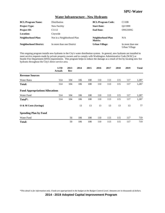### **Water Infrastructure - New Hydrants**

| <b>BCL/Program Name:</b>      | Distribution               | <b>BCL/Program Code:</b>     | C110B                             |
|-------------------------------|----------------------------|------------------------------|-----------------------------------|
| <b>Project Type:</b>          | New Facility               | <b>Start Date:</b>           | O <sub>2</sub> /1999              |
| <b>Project ID:</b>            | C <sub>1112</sub>          | <b>End Date:</b>             | ONGOING                           |
| Location:                     | Citywide                   |                              |                                   |
| Neighborhood Plan:            | Not in a Neighborhood Plan | Neighborhood Plan<br>Matrix: | N/A                               |
| <b>Neighborhood District:</b> | In more than one District  | <b>Urban Village:</b>        | In more than one<br>Urban Village |

This ongoing program installs new hydrants in the City's water distribution system. In general, new hydrants are installed to meet service requests made by private property owners and to comply with Washington Administrative Code (WAC) or Seattle Fire Department (SFD) requirements. This program helps to reduce the damage as a result of fire by locating new fire hydrants throughout the City's direct service area.

|                                        | <b>LTD</b><br><b>Actuals</b> | 2013<br>Rev | 2014 | 2015 | 2016 | 2017 | 2018 | 2019 | <b>Total</b> |
|----------------------------------------|------------------------------|-------------|------|------|------|------|------|------|--------------|
| <b>Revenue Sources</b>                 |                              |             |      |      |      |      |      |      |              |
| <b>Water Rates</b>                     | 514                          | 104         | 106  | 108  | 110  | 113  | 115  | 117  | 1,287        |
| <b>Total:</b>                          | 514                          | 104         | 106  | 108  | 110  | 113  | 115  | 117  | 1,287        |
| <b>Fund Appropriations/Allocations</b> |                              |             |      |      |      |      |      |      |              |
| Water Fund                             | 514                          | 104         | 106  | 108  | 110  | 113  | 115  | 117  | 1,287        |
| Total <sup>*</sup> :                   | 514                          | 104         | 106  | 108  | 110  | 113  | 115  | 117  | 1,287        |
| O & M Costs (Savings)                  |                              |             | 13   | 13   | 13   | 13   | 13   | 13   | 77           |
| <b>Spending Plan by Fund</b>           |                              |             |      |      |      |      |      |      |              |
| Water Fund                             |                              | 50          | 106  | 108  | 110  | 113  | 115  | 117  | 719          |
| Total:                                 |                              | 50          | 106  | 108  | 110  | 113  | 115  | 117  | 719          |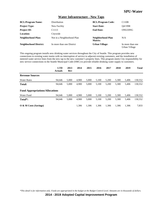#### **Water Infrastructure - New Taps**

| <b>BCL/Program Name:</b>      | <b>Distribution</b>        | <b>BCL/Program Code:</b>     | C110B                             |
|-------------------------------|----------------------------|------------------------------|-----------------------------------|
| <b>Project Type:</b>          | New Facility               | <b>Start Date:</b>           | O4/1998                           |
| <b>Project ID:</b>            | C <sub>1113</sub>          | <b>End Date:</b>             | ONGOING                           |
| <b>Location:</b>              | Citywide                   |                              |                                   |
| Neighborhood Plan:            | Not in a Neighborhood Plan | Neighborhood Plan<br>Matrix: | N/A                               |
| <b>Neighborhood District:</b> | In more than one District  | <b>Urban Village:</b>        | In more than one<br>Urban Village |

This ongoing program installs new drinking water services throughout the City of Seattle. This program provides new connections to existing water mains with no interruption of service to adjacent existing customers, and the installation of metered water service lines from the new tap to the new customer's property lines. This program meets City responsibility for new service connections in the Seattle Municipal Code (SMC) to provide reliable drinking water supply to customers.

|                                        | <b>LTD</b><br><b>Actuals</b> | 2013<br>Rev | 2014  | 2015  | 2016  | 2017  | 2018  | 2019  | <b>Total</b> |
|----------------------------------------|------------------------------|-------------|-------|-------|-------|-------|-------|-------|--------------|
| <b>Revenue Sources</b>                 |                              |             |       |       |       |       |       |       |              |
| <b>Water Rates</b>                     | 94.646                       | 5.000       | 4,900 | 5.000 | 5.100 | 5,200 | 5,300 | 5,406 | 130,552      |
| <b>Total:</b>                          | 94,646                       | 5.000       | 4.900 | 5.000 | 5.100 | 5.200 | 5.300 | 5.406 | 130,552      |
| <b>Fund Appropriations/Allocations</b> |                              |             |       |       |       |       |       |       |              |
| Water Fund                             | 94,646                       | 5.000       | 4.900 | 5.000 | 5.100 | 5,200 | 5,300 | 5,406 | 130,552      |
| Total <sup>*</sup> :                   | 94,646                       | 5.000       | 4.900 | 5.000 | 5.100 | 5.200 | 5.300 | 5.406 | 130,552      |
| O & M Costs (Savings)                  |                              |             | 1.306 | 1.306 | 1.306 | 1.306 | 1.306 | 1.306 | 7,833        |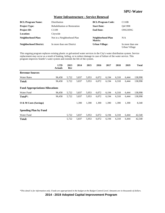#### **Water Infrastructure - Service Renewal**

| <b>BCL/Program Name:</b>      | Distribution                         | <b>BCL/Program Code:</b>     | C110B                             |
|-------------------------------|--------------------------------------|------------------------------|-----------------------------------|
| <b>Project Type:</b>          | <b>Rehabilitation or Restoration</b> | <b>Start Date:</b>           | O4/1998                           |
| <b>Project ID:</b>            | C <sub>1109</sub>                    | <b>End Date:</b>             | ONGOING                           |
| <b>Location:</b>              | Citywide                             |                              |                                   |
| <b>Neighborhood Plan:</b>     | Not in a Neighborhood Plan           | Neighborhood Plan<br>Matrix: | N/A                               |
| <b>Neighborhood District:</b> | In more than one District            | <b>Urban Village:</b>        | In more than one<br>Urban Village |

This ongoing program replaces existing plastic or galvanized water services in the City's water distribution system. Service replacement may occur as a result of leaking, failing, or to reduce damage in case of failure of the water service. This program improves Seattle's water system and extends the life of the system.

|                                        | <b>LTD</b><br><b>Actuals</b> | 2013<br>Rev | 2014  | 2015  | 2016  | 2017  | 2018  | 2019  | <b>Total</b> |
|----------------------------------------|------------------------------|-------------|-------|-------|-------|-------|-------|-------|--------------|
| <b>Revenue Sources</b>                 |                              |             |       |       |       |       |       |       |              |
| <b>Water Rates</b>                     | 96,458                       | 5,722       | 5,837 | 5,953 | 6,072 | 6,194 | 6,318 | 6,444 | 138,998      |
| <b>Total:</b>                          | 96,458                       | 5,722       | 5,837 | 5,953 | 6,072 | 6,194 | 6,318 | 6,444 | 138,998      |
| <b>Fund Appropriations/Allocations</b> |                              |             |       |       |       |       |       |       |              |
| Water Fund                             | 96,458                       | 5,722       | 5,837 | 5,953 | 6,072 | 6,194 | 6,318 | 6,444 | 138,998      |
| Total <sup>*</sup> :                   | 96,458                       | 5,722       | 5,837 | 5,953 | 6,072 | 6,194 | 6,318 | 6,444 | 138,998      |
| $\overline{O}$ & M Costs (Savings)     |                              |             | 1,390 | 1,390 | 1,390 | 1,390 | 1,390 | 1,390 | 8,340        |
| <b>Spending Plan by Fund</b>           |                              |             |       |       |       |       |       |       |              |
| Water Fund                             |                              | 5,722       | 5,837 | 5,953 | 6,072 | 6,194 | 6,318 | 6,444 | 42,540       |
| <b>Total:</b>                          |                              | 5,722       | 5,837 | 5,953 | 6,072 | 6,194 | 6,318 | 6,444 | 42,540       |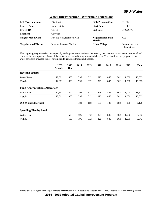#### **Water Infrastructure - Watermain Extensions**

| <b>BCL/Program Name:</b>      | Distribution               | <b>BCL/Program Code:</b>     | C110B                             |
|-------------------------------|----------------------------|------------------------------|-----------------------------------|
| <b>Project Type:</b>          | New Facility               | <b>Start Date:</b>           | O <sub>1</sub> /1998              |
| <b>Project ID:</b>            | C <sub>1111</sub>          | <b>End Date:</b>             | ONGOING                           |
| <b>Location:</b>              | Citywide                   |                              |                                   |
| <b>Neighborhood Plan:</b>     | Not in a Neighborhood Plan | Neighborhood Plan<br>Matrix: | N/A                               |
| <b>Neighborhood District:</b> | In more than one District  | <b>Urban Village:</b>        | In more than one<br>Urban Village |

This ongoing program assists developers by adding new water mains to the water system in order to serve new residential and commercial developments. Most of the costs are recovered through standard charges. The benefit of this program is that water service is provided to new housing and businesses throughout Seattle.

|                                        | <b>LTD</b><br><b>Actuals</b> | 2013<br>Rev | 2014 | 2015 | 2016 | 2017 | 2018 | 2019  | <b>Total</b> |
|----------------------------------------|------------------------------|-------------|------|------|------|------|------|-------|--------------|
| <b>Revenue Sources</b>                 |                              |             |      |      |      |      |      |       |              |
| <b>Water Rates</b>                     | 12,861                       | 800         | 796  | 812  | 828  | 845  | 862  | 1,000 | 18,803       |
| <b>Total:</b>                          | 12,861                       | 800         | 796  | 812  | 828  | 845  | 862  | 1,000 | 18,803       |
| <b>Fund Appropriations/Allocations</b> |                              |             |      |      |      |      |      |       |              |
| Water Fund                             | 12,861                       | 800         | 796  | 812  | 828  | 845  | 862  | 1,000 | 18,803       |
| Total <sup>*</sup> :                   | 12,861                       | 800         | 796  | 812  | 828  | 845  | 862  | 1,000 | 18,803       |
| O & M Costs (Savings)                  |                              |             | 188  | 188  | 188  | 188  | 188  | 188   | 1,128        |
| <b>Spending Plan by Fund</b>           |                              |             |      |      |      |      |      |       |              |
| Water Fund                             |                              | 500         | 796  | 812  | 828  | 845  | 862  | 1,000 | 5,643        |
| Total:                                 |                              | 500         | 796  | 812  | 828  | 845  | 862  | 1,000 | 5,643        |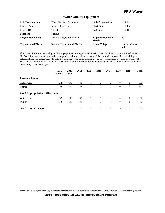#### **Water Quality Equipment**

| <b>BCL/Program Name:</b>      | Water Quality & Treatment      | <b>BCL/Program Code:</b>     | C140B                      |
|-------------------------------|--------------------------------|------------------------------|----------------------------|
| <b>Project Type:</b>          | <b>Improved Facility</b>       | <b>Start Date:</b>           | O1/2007                    |
| <b>Project ID:</b>            | C <sub>1414</sub>              | <b>End Date:</b>             | O4/2015                    |
| Location:                     | Various                        |                              |                            |
| Neighborhood Plan:            | Not in a Neighborhood Plan     | Neighborhood Plan<br>Matrix: | N/A                        |
| <b>Neighborhood District:</b> | Not in a Neighborhood District | <b>Urban Village:</b>        | Not in an Urban<br>Village |

This project installs water quality monitoring equipment throughout the drinking water distribution system and enhances SPU's drinking water quality, security, and public health surveillance system. This effort will improve Seattle's ability to detect and respond appropriately to potential drinking water contamination events as recommended by research produced by SPU and the Environmental Protection Agency (EPA) for online monitoring equipment and SPU's broader efforts to increase the security of the water system.

|                                        | <b>LTD</b><br><b>Actuals</b> | 2013<br>Rev | 2014 | 2015 | 2016           | 2017           | 2018           | 2019           | <b>Total</b> |
|----------------------------------------|------------------------------|-------------|------|------|----------------|----------------|----------------|----------------|--------------|
| <b>Revenue Sources</b>                 |                              |             |      |      |                |                |                |                |              |
| <b>Water Rates</b>                     | 249                          | 140         | 143  | 1    | $\overline{0}$ | $\overline{0}$ | $\overline{0}$ | $\theta$       | 533          |
| Total:                                 | 249                          | 140         | 143  |      | $\theta$       | $\overline{0}$ | $\overline{0}$ | $\mathbf{0}$   | 533          |
| <b>Fund Appropriations/Allocations</b> |                              |             |      |      |                |                |                |                |              |
| Water Fund                             | 249                          | 140         | 143  |      | $\theta$       | $\theta$       | $\overline{0}$ | $\overline{0}$ | 533          |
| Total*:                                | 249                          | 140         | 143  |      | $\theta$       | $\overline{0}$ | $\overline{0}$ | $\theta$       | 533          |
| O & M Costs (Savings)                  |                              |             | 5    | 5    | 5              | 5              | 5              | 5              | 32           |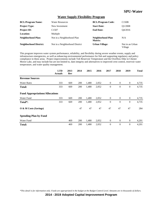#### **Water Supply Flexibility Program**

| <b>BCL/Program Name:</b>      | <b>Water Resources</b>         | <b>BCL/Program Code:</b>     | C <sub>150</sub> B         |
|-------------------------------|--------------------------------|------------------------------|----------------------------|
| <b>Project Type:</b>          | New Investment                 | <b>Start Date:</b>           | O1/2008                    |
| <b>Project ID:</b>            | C <sub>1507</sub>              | <b>End Date:</b>             | O4/2016                    |
| Location:                     | Multiple                       |                              |                            |
| Neighborhood Plan:            | Not in a Neighborhood Plan     | Neighborhood Plan<br>Matrix: | N/A                        |
| <b>Neighborhood District:</b> | Not in a Neighborhood District | <b>Urban Village:</b>        | Not in an Urban<br>Village |

This program improves water system performance, reliability, and flexibility during severe weather events, supply and infrastructure emergencies, as well as enhancing environmental performance for fish and supporting regulatory and policy compliance in these areas. Project improvements include Tolt Reservoir Temperature and the Overflow Dike in Chester Morse Lake, and may include but are not limited to, dam integrity and alternatives to improved crest control, reservoir water temperature, and water quality management.

|                                        | <b>LTD</b><br><b>Actuals</b> | 2013<br>Rev | 2014 | 2015  | 2016  | 2017             | 2018             | 2019             | <b>Total</b> |
|----------------------------------------|------------------------------|-------------|------|-------|-------|------------------|------------------|------------------|--------------|
| <b>Revenue Sources</b>                 |                              |             |      |       |       |                  |                  |                  |              |
| <b>Water Rates</b>                     | 333                          | 669         | 200  | 1,480 | 2,052 | $\theta$         | $\theta$         | $\mathbf{0}$     | 4,735        |
| <b>Total:</b>                          | 333                          | 669         | 200  | 1,480 | 2,052 | $\mathbf{0}$     | $\boldsymbol{0}$ | $\mathbf{0}$     | 4,735        |
| <b>Fund Appropriations/Allocations</b> |                              |             |      |       |       |                  |                  |                  |              |
| Water Fund                             | 333                          | 669         | 200  | 1,480 | 2,052 | $\mathbf{0}$     | $\theta$         | $\mathbf{0}$     | 4,735        |
| Total*:                                | 333                          | 669         | 200  | 1,480 | 2,052 | $\mathbf{0}$     | $\theta$         | $\boldsymbol{0}$ | 4,735        |
| O & M Costs (Savings)                  |                              |             | 47   | 47    | 47    | 47               | 47               | 47               | 284          |
| <b>Spending Plan by Fund</b>           |                              |             |      |       |       |                  |                  |                  |              |
| Water Fund                             |                              | 469         | 200  | 1,480 | 2,052 | $\boldsymbol{0}$ | $\theta$         | $\boldsymbol{0}$ | 4,201        |
| <b>Total:</b>                          |                              | 469         | 200  | 1,480 | 2,052 | $\theta$         | $\overline{0}$   | $\mathbf{0}$     | 4,201        |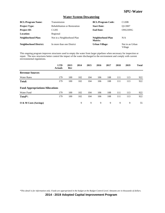#### **Water System Dewatering**

| <b>BCL/Program Name:</b>      | Transmission                         | <b>BCL/Program Code:</b>     | C120B                      |
|-------------------------------|--------------------------------------|------------------------------|----------------------------|
| <b>Project Type:</b>          | <b>Rehabilitation or Restoration</b> | <b>Start Date:</b>           | O1/2007                    |
| <b>Project ID:</b>            | C <sub>1205</sub>                    | <b>End Date:</b>             | ONGOING                    |
| Location:                     | Regional                             |                              |                            |
| <b>Neighborhood Plan:</b>     | Not in a Neighborhood Plan           | Neighborhood Plan<br>Matrix: | N/A                        |
| <b>Neighborhood District:</b> | In more than one District            | <b>Urban Village:</b>        | Not in an Urban<br>Village |

This ongoing program improves structures used to empty the water from larger pipelines when necessary for inspection or repair. The new structures better control the impact of the water discharged to the environment and comply with current environmental regulations.

|                                        | <b>LTD</b><br><b>Actuals</b> | 2013<br>Rev | 2014 | 2015 | 2016 | 2017 | 2018 | 2019 | <b>Total</b> |
|----------------------------------------|------------------------------|-------------|------|------|------|------|------|------|--------------|
| <b>Revenue Sources</b>                 |                              |             |      |      |      |      |      |      |              |
| <b>Water Rates</b>                     | 179                          | 100         | 102  | 104  | 106  | 108  | 111  | 113  | 922          |
| Total:                                 | 179                          | 100         | 102  | 104  | 106  | 108  | 111  | 113  | 922          |
| <b>Fund Appropriations/Allocations</b> |                              |             |      |      |      |      |      |      |              |
| Water Fund                             | 179                          | 100         | 102  | 104  | 106  | 108  | 111  | 113  | 922          |
| Total <sup>*</sup> :                   | 179                          | 100         | 102  | 104  | 106  | 108  | 111  | 113  | 922          |
| $\overline{O}$ & M Costs (Savings)     |                              |             | 9    | 9    | 9    | 9    | 9    | 9    | 55           |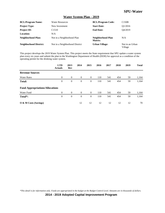#### **Water System Plan - 2019**

| <b>BCL/Program Name:</b>      | <b>Water Resources</b>         | <b>BCL/Program Code:</b>     | C150B                      |
|-------------------------------|--------------------------------|------------------------------|----------------------------|
| <b>Project Type:</b>          | New Investment                 | <b>Start Date:</b>           | O <sub>1</sub> /2016       |
| <b>Project ID:</b>            | C <sub>1510</sub>              | <b>End Date:</b>             | O4/2019                    |
| <b>Location:</b>              | N/A                            |                              |                            |
| <b>Neighborhood Plan:</b>     | Not in a Neighborhood Plan     | Neighborhood Plan<br>Matrix: | N/A                        |
| <b>Neighborhood District:</b> | Not in a Neighborhood District | <b>Urban Village:</b>        | Not in an Urban<br>Village |

This project develops the 2019 Water System Plan. This project meets the State requirement that SPU update a water system plan every six years and submit the plan to the Washington Department of Health (DOH) for approval as a condition of the operating permit for the drinking water system.

|                                        | <b>LTD</b><br><b>Actuals</b> | 2013<br>Rev    | 2014     | 2015           | 2016 | 2017 | 2018 | 2019 | <b>Total</b> |
|----------------------------------------|------------------------------|----------------|----------|----------------|------|------|------|------|--------------|
| <b>Revenue Sources</b>                 |                              |                |          |                |      |      |      |      |              |
| <b>Water Rates</b>                     | $\overline{0}$               | $\theta$       | $\theta$ | $\overline{0}$ | 110  | 541  | 454  | 59   | 1,164        |
| <b>Total:</b>                          | $\theta$                     | $\theta$       | $\theta$ | $\overline{0}$ | 110  | 541  | 454  | 59   | 1,164        |
| <b>Fund Appropriations/Allocations</b> |                              |                |          |                |      |      |      |      |              |
| Water Fund                             | $\overline{0}$               | $\theta$       | $\theta$ | $\overline{0}$ | 110  | 541  | 454  | 59   | 1,164        |
| Total*:                                | $\boldsymbol{0}$             | $\overline{0}$ | $\theta$ | $\overline{0}$ | 110  | 541  | 454  | 59   | 1,164        |
| O & M Costs (Savings)                  |                              |                | 12       | 12             | 12   | 12   | 12   | 12   | 70           |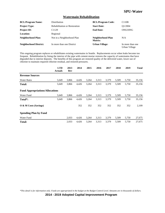#### **Watermain Rehabilitation**

| <b>BCL/Program Name:</b>      | Distribution                         | <b>BCL/Program Code:</b>     | C110B                             |
|-------------------------------|--------------------------------------|------------------------------|-----------------------------------|
| <b>Project Type:</b>          | <b>Rehabilitation or Restoration</b> | <b>Start Date:</b>           | O1/2004                           |
| <b>Project ID:</b>            | C <sub>1129</sub>                    | <b>End Date:</b>             | ONGOING                           |
| <b>Location:</b>              | Regional                             |                              |                                   |
| Neighborhood Plan:            | Not in a Neighborhood Plan           | Neighborhood Plan<br>Matrix: | N/A                               |
| <b>Neighborhood District:</b> | In more than one District            | <b>Urban Village:</b>        | In more than one<br>Urban Village |

This ongoing program replaces or rehabilitates existing watermains in Seattle. Replacements occur when leaks become too frequent. Rehabilitation by lining the interior of the pipe with cement mortar restores the capacity of watermains that have degraded due to interior deposits. The benefits of this program are restored quality of the delivered water, lower use of chlorine to maintain required chlorine residual, and restored pressures.

|                                        | <b>LTD</b><br><b>Actuals</b> | 2013<br>Rev | 2014  | 2015  | 2016  | 2017  | 2018  | 2019  | <b>Total</b> |
|----------------------------------------|------------------------------|-------------|-------|-------|-------|-------|-------|-------|--------------|
| <b>Revenue Sources</b>                 |                              |             |       |       |       |       |       |       |              |
| <b>Water Rates</b>                     | 5,649                        | 3,866       | 4,426 | 3,264 | 3,313 | 3,379 | 5,509 | 5,750 | 35,156       |
| <b>Total:</b>                          | 5,649                        | 3,866       | 4,426 | 3,264 | 3.313 | 3,379 | 5,509 | 5,750 | 35,156       |
| <b>Fund Appropriations/Allocations</b> |                              |             |       |       |       |       |       |       |              |
| Water Fund                             | 5,649                        | 3,866       | 4,426 | 3,264 | 3,313 | 3,379 | 5,509 | 5,750 | 35,156       |
| Total <sup>*</sup> :                   | 5,649                        | 3,866       | 4,426 | 3,264 | 3,313 | 3,379 | 5,509 | 5,750 | 35,156       |
| O & M Costs (Savings)                  |                              |             | 352   | 352   | 352   | 352   | 352   | 352   | 2,109        |
| <b>Spending Plan by Fund</b>           |                              |             |       |       |       |       |       |       |              |
| Water Fund                             |                              | 2,033       | 4,426 | 3,264 | 3,313 | 3,379 | 5,509 | 5,750 | 27,675       |
| <b>Total:</b>                          |                              | 2,033       | 4,426 | 3,264 | 3,313 | 3,379 | 5,509 | 5,750 | 27,675       |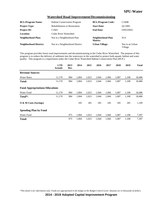#### **Watershed Road Improvement/Decommissioning**

| <b>BCL/Program Name:</b>      | <b>Habitat Conservation Program</b>  | <b>BCL/Program Code:</b>     | C <sub>160</sub> B         |
|-------------------------------|--------------------------------------|------------------------------|----------------------------|
| <b>Project Type:</b>          | <b>Rehabilitation or Restoration</b> | <b>Start Date:</b>           | O1/2001                    |
| <b>Project ID:</b>            | C <sub>1601</sub>                    | <b>End Date:</b>             | ONGOING                    |
| Location:                     | Cedar River Watershed                |                              |                            |
| <b>Neighborhood Plan:</b>     | Not in a Neighborhood Plan           | Neighborhood Plan<br>Matrix: | N/A                        |
| <b>Neighborhood District:</b> | Not in a Neighborhood District       | <b>Urban Village:</b>        | Not in an Urban<br>Village |

This program provides forest road improvements and decommissioning in the Cedar River Watershed. The purpose of this program is to reduce the delivery of sediment into the waterways in the watershed to protect both aquatic habitat and water quality. This program is a requirement under the Cedar River Watershed Habitat Conservation Plan (HCP.)

|                                        | <b>LTD</b><br><b>Actuals</b> | 2013<br>Rev | 2014  | 2015  | 2016  | 2017  | 2018  | 2019  | <b>Total</b> |
|----------------------------------------|------------------------------|-------------|-------|-------|-------|-------|-------|-------|--------------|
| <b>Revenue Sources</b>                 |                              |             |       |       |       |       |       |       |              |
| <b>Water Rates</b>                     | 11,170                       | 984         | 1,004 | 1,023 | 1,044 | 1,066 | 1,087 | 1,108 | 18,486       |
| <b>Total:</b>                          | 11,170                       | 984         | 1,004 | 1,023 | 1,044 | 1,066 | 1,087 | 1,108 | 18,486       |
| <b>Fund Appropriations/Allocations</b> |                              |             |       |       |       |       |       |       |              |
| Water Fund                             | 11,170                       | 984         | 1,004 | 1,023 | 1,044 | 1,066 | 1,087 | 1,108 | 18,486       |
| Total*:                                | 11,170                       | 984         | 1,004 | 1,023 | 1,044 | 1,066 | 1,087 | 1,108 | 18,486       |
| $\overline{O}$ & M Costs (Savings)     |                              |             | 185   | 185   | 185   | 185   | 185   | 185   | 1,109        |
| <b>Spending Plan by Fund</b>           |                              |             |       |       |       |       |       |       |              |
| Water Fund                             |                              | 975         | 1,004 | 1,023 | 1,044 | 1,066 | 1,087 | 1,108 | 7,307        |
| <b>Total:</b>                          |                              | 975         | 1,004 | 1,023 | 1,044 | 1,066 | 1,087 | 1,108 | 7,307        |